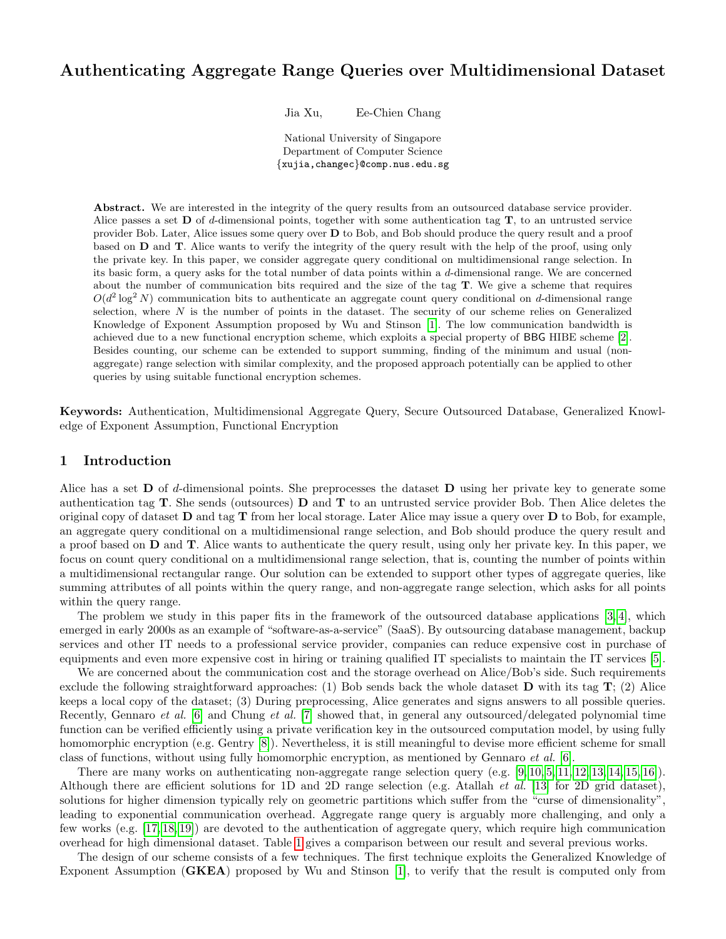## Authenticating Aggregate Range Queries over Multidimensional Dataset

Jia Xu, Ee-Chien Chang

National University of Singapore Department of Computer Science {xujia,changec}@comp.nus.edu.sg

Abstract. We are interested in the integrity of the query results from an outsourced database service provider. Alice passes a set  $\bf{D}$  of d-dimensional points, together with some authentication tag  $\bf{T}$ , to an untrusted service provider Bob. Later, Alice issues some query over D to Bob, and Bob should produce the query result and a proof based on D and T. Alice wants to verify the integrity of the query result with the help of the proof, using only the private key. In this paper, we consider aggregate query conditional on multidimensional range selection. In its basic form, a query asks for the total number of data points within a  $d$ -dimensional range. We are concerned about the number of communication bits required and the size of the tag T. We give a scheme that requires  $O(d^2 \log^2 N)$  communication bits to authenticate an aggregate count query conditional on d-dimensional range selection, where  $N$  is the number of points in the dataset. The security of our scheme relies on Generalized Knowledge of Exponent Assumption proposed by Wu and Stinson [\[1\]](#page-15-0). The low communication bandwidth is achieved due to a new functional encryption scheme, which exploits a special property of BBG HIBE scheme [\[2\]](#page-15-1). Besides counting, our scheme can be extended to support summing, finding of the minimum and usual (nonaggregate) range selection with similar complexity, and the proposed approach potentially can be applied to other queries by using suitable functional encryption schemes.

Keywords: Authentication, Multidimensional Aggregate Query, Secure Outsourced Database, Generalized Knowledge of Exponent Assumption, Functional Encryption

### 1 Introduction

Alice has a set  $\bf{D}$  of d-dimensional points. She preprocesses the dataset  $\bf{D}$  using her private key to generate some authentication tag T. She sends (outsources) D and T to an untrusted service provider Bob. Then Alice deletes the original copy of dataset  $D$  and tag  $T$  from her local storage. Later Alice may issue a query over  $D$  to Bob, for example, an aggregate query conditional on a multidimensional range selection, and Bob should produce the query result and a proof based on D and T. Alice wants to authenticate the query result, using only her private key. In this paper, we focus on count query conditional on a multidimensional range selection, that is, counting the number of points within a multidimensional rectangular range. Our solution can be extended to support other types of aggregate queries, like summing attributes of all points within the query range, and non-aggregate range selection, which asks for all points within the query range.

The problem we study in this paper fits in the framework of the outsourced database applications [\[3,](#page-15-2) [4\]](#page-15-3), which emerged in early 2000s as an example of "software-as-a-service" (SaaS). By outsourcing database management, backup services and other IT needs to a professional service provider, companies can reduce expensive cost in purchase of equipments and even more expensive cost in hiring or training qualified IT specialists to maintain the IT services [\[5\]](#page-15-4).

We are concerned about the communication cost and the storage overhead on Alice/Bob's side. Such requirements exclude the following straightforward approaches: (1) Bob sends back the whole dataset  $\bf{D}$  with its tag  $\bf{T}$ ; (2) Alice keeps a local copy of the dataset; (3) During preprocessing, Alice generates and signs answers to all possible queries. Recently, Gennaro et al. [\[6\]](#page-15-5) and Chung et al. [\[7\]](#page-16-0) showed that, in general any outsourced/delegated polynomial time function can be verified efficiently using a private verification key in the outsourced computation model, by using fully homomorphic encryption (e.g. Gentry [\[8\]](#page-16-1)). Nevertheless, it is still meaningful to devise more efficient scheme for small class of functions, without using fully homomorphic encryption, as mentioned by Gennaro et al. [\[6\]](#page-15-5).

There are many works on authenticating non-aggregate range selection query  $(e.g. [9, 10, 5, 11, 12, 13, 14, 15, 16])$  $(e.g. [9, 10, 5, 11, 12, 13, 14, 15, 16])$  $(e.g. [9, 10, 5, 11, 12, 13, 14, 15, 16])$  $(e.g. [9, 10, 5, 11, 12, 13, 14, 15, 16])$  $(e.g. [9, 10, 5, 11, 12, 13, 14, 15, 16])$  $(e.g. [9, 10, 5, 11, 12, 13, 14, 15, 16])$  $(e.g. [9, 10, 5, 11, 12, 13, 14, 15, 16])$  $(e.g. [9, 10, 5, 11, 12, 13, 14, 15, 16])$  $(e.g. [9, 10, 5, 11, 12, 13, 14, 15, 16])$  $(e.g. [9, 10, 5, 11, 12, 13, 14, 15, 16])$  $(e.g. [9, 10, 5, 11, 12, 13, 14, 15, 16])$ . Although there are efficient solutions for 1D and 2D range selection (e.g. Atallah *et al.* [\[13\]](#page-16-6) for 2D grid dataset), solutions for higher dimension typically rely on geometric partitions which suffer from the "curse of dimensionality", leading to exponential communication overhead. Aggregate range query is arguably more challenging, and only a few works (e.g. [\[17,](#page-16-10) [18,](#page-16-11) [19\]](#page-16-12)) are devoted to the authentication of aggregate query, which require high communication overhead for high dimensional dataset. Table [1](#page-1-0) gives a comparison between our result and several previous works.

The design of our scheme consists of a few techniques. The first technique exploits the Generalized Knowledge of Exponent Assumption (GKEA) proposed by Wu and Stinson [\[1\]](#page-15-0), to verify that the result is computed only from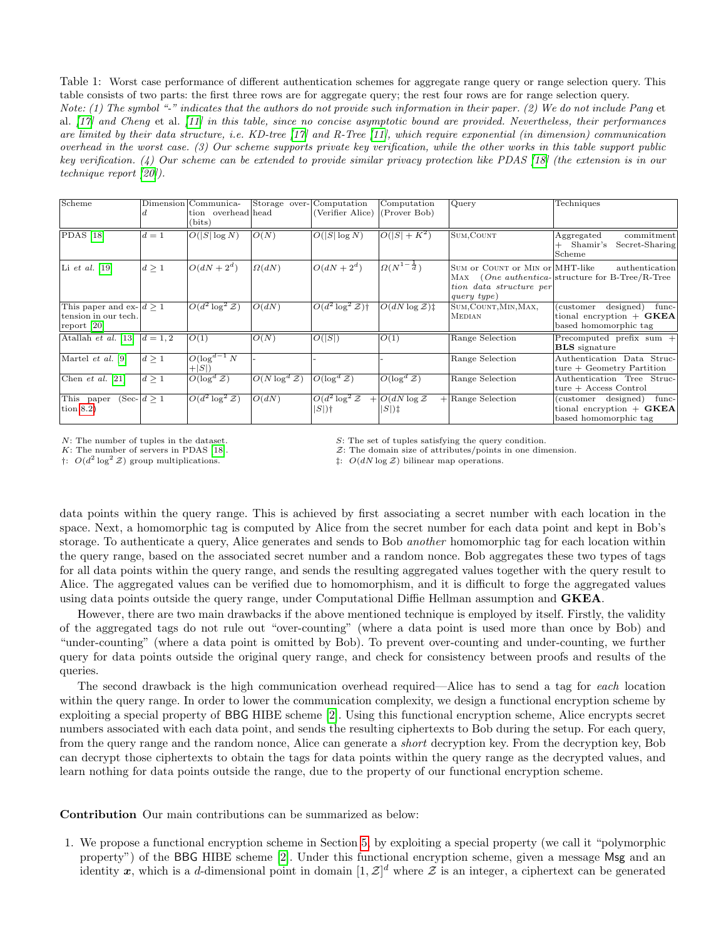<span id="page-1-0"></span>Table 1: Worst case performance of different authentication schemes for aggregate range query or range selection query. This table consists of two parts: the first three rows are for aggregate query; the rest four rows are for range selection query. Note: (1) The symbol "-" indicates that the authors do not provide such information in their paper. (2) We do not include Pang et al. [\[17\]](#page-16-10) and Cheng et al. [\[11\]](#page-16-4) in this table, since no concise asymptotic bound are provided. Nevertheless, their performances are limited by their data structure, i.e. KD-tree [\[17\]](#page-16-10) and R-Tree [\[11\]](#page-16-4), which require exponential (in dimension) communication overhead in the worst case. (3) Our scheme supports private key verification, while the other works in this table support public key verification. (4) Our scheme can be extended to provide similar privacy protection like PDAS [\[18\]](#page-16-11) (the extension is in our technique report [\[20\]](#page-16-13)).

| Scheme                     |             | Dimension Communica-        | Storage over-Computation |                               | Computation                              | Query                           | Techniques                                      |
|----------------------------|-------------|-----------------------------|--------------------------|-------------------------------|------------------------------------------|---------------------------------|-------------------------------------------------|
|                            |             | tion overhead head          |                          | (Verifier Alice)              | (Prover Bob)                             |                                 |                                                 |
|                            |             | (bits)                      |                          |                               |                                          |                                 |                                                 |
| <b>PDAS</b> [18]           | $d=1$       | $O( S \log N)$              | O(N)                     | $O( S \log N)$                | $ O( S +K^2)$                            | SUM, COUNT                      | commitment<br>Aggregated                        |
|                            |             |                             |                          |                               |                                          |                                 | Shamir's<br>Secret-Sharing                      |
|                            |             |                             |                          |                               |                                          |                                 | Scheme                                          |
| Li $et$ al. [19]           | $d \geq 1$  | $O(dN+2^d)$                 | $\Omega(dN)$             | $O(dN+2^d)$                   | $\left \Omega(N^{1-\frac{1}{d}})\right $ | SUM or COUNT or MIN or MHT-like | authentication                                  |
|                            |             |                             |                          |                               |                                          |                                 | MAX (One authentica-structure for B-Tree/R-Tree |
|                            |             |                             |                          |                               |                                          | tion data structure per         |                                                 |
|                            |             |                             |                          |                               |                                          | query type)                     |                                                 |
| This paper and ex- $d > 1$ |             | $O(d^2 \log^2 \mathcal{Z})$ | O(dN)                    | $O(d^2 \log^2 \mathcal{Z})$ † | $O(dN \log \mathcal{Z})$ :               | SUM, COUNT, MIN, MAX,           | designed)<br>func-<br>(customer)                |
| tension in our tech.       |             |                             |                          |                               |                                          | <b>MEDIAN</b>                   | tional encryption $+$ GKEA                      |
| report [20]                |             |                             |                          |                               |                                          |                                 | based homomorphic tag                           |
| Atallah et al. [13]        | $d = 1, 2$  | O(1)                        | O(N)                     | O( S )                        | O(1)                                     | Range Selection                 | $Precomputed$ prefix sum $+$                    |
|                            |             |                             |                          |                               |                                          |                                 | <b>BLS</b> signature                            |
| Martel $et \ al.$ [9]      | d>1         | $O(\log^{d-1} N)$           |                          |                               |                                          | Range Selection                 | Authentication Data Struc-                      |
|                            |             | $+ S $                      |                          |                               |                                          |                                 | $ true + Geometry$ Partition                    |
| Chen et al. $[21]$         | $d \geq 1$  | $O(\log^d Z)$               | $O(N \log^d Z)$          | $O(\log^d Z)$                 | $O(\log^d Z)$                            | Range Selection                 | Authentication Tree Struc-                      |
|                            |             |                             |                          |                               |                                          |                                 | $ true + Access Control$                        |
| This paper                 | $(Sec- d>1$ | $O(d^2 \log^2 \mathcal{Z})$ | O(dN)                    | $O(d^2 \log^2 \mathcal{Z})$   | $+ O(dN \log \mathcal{Z}) $              | $+$ Range Selection             | (customer designed)<br>func-                    |
| tion $8.2$ )               |             |                             |                          | $ S $ )†                      | $ S $ )‡                                 |                                 | tional encryption $+$ GKEA                      |
|                            |             |                             |                          |                               |                                          |                                 | based homomorphic tag                           |

 $\uparrow$ :  $O(d^2)$ 

N: The number of tuples in the dataset.<br>  $\mathcal{S}$ : The set of tuples satisfying the query condition.<br>  $\mathcal{S}$ : The domain size of attributes/points in one din

 $\mathcal{Z}$ : The domain size of attributes/points in one dimension.

 $\ddagger$ :  $O(dN \log Z)$  bilinear map operations.

data points within the query range. This is achieved by first associating a secret number with each location in the space. Next, a homomorphic tag is computed by Alice from the secret number for each data point and kept in Bob's storage. To authenticate a query, Alice generates and sends to Bob another homomorphic tag for each location within the query range, based on the associated secret number and a random nonce. Bob aggregates these two types of tags for all data points within the query range, and sends the resulting aggregated values together with the query result to Alice. The aggregated values can be verified due to homomorphism, and it is difficult to forge the aggregated values using data points outside the query range, under Computational Diffie Hellman assumption and GKEA.

However, there are two main drawbacks if the above mentioned technique is employed by itself. Firstly, the validity of the aggregated tags do not rule out "over-counting" (where a data point is used more than once by Bob) and "under-counting" (where a data point is omitted by Bob). To prevent over-counting and under-counting, we further query for data points outside the original query range, and check for consistency between proofs and results of the queries.

The second drawback is the high communication overhead required—Alice has to send a tag for each location within the query range. In order to lower the communication complexity, we design a functional encryption scheme by exploiting a special property of BBG HIBE scheme [\[2\]](#page-15-1). Using this functional encryption scheme, Alice encrypts secret numbers associated with each data point, and sends the resulting ciphertexts to Bob during the setup. For each query, from the query range and the random nonce, Alice can generate a short decryption key. From the decryption key, Bob can decrypt those ciphertexts to obtain the tags for data points within the query range as the decrypted values, and learn nothing for data points outside the range, due to the property of our functional encryption scheme.

Contribution Our main contributions can be summarized as below:

1. We propose a functional encryption scheme in Section [5,](#page-7-0) by exploiting a special property (we call it "polymorphic property") of the BBG HIBE scheme [\[2\]](#page-15-1). Under this functional encryption scheme, given a message Msg and an identity x, which is a d-dimensional point in domain  $[1, \mathcal{Z}]^d$  where Z is an integer, a ciphertext can be generated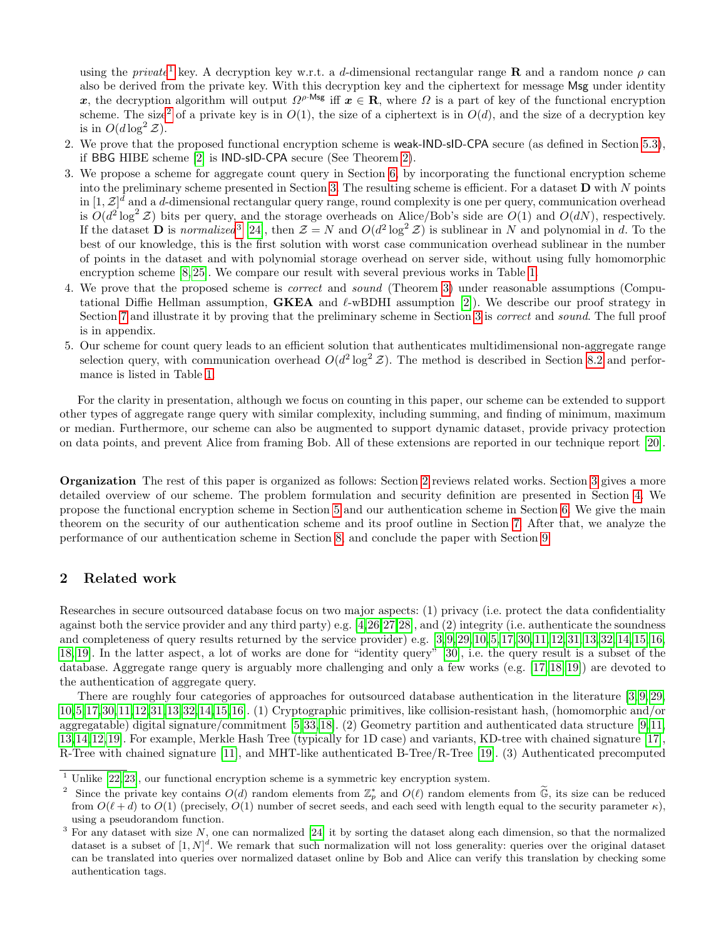using the private<sup>[1](#page-2-0)</sup> key. A decryption key w.r.t. a d-dimensional rectangular range **R** and a random nonce  $\rho$  can also be derived from the private key. With this decryption key and the ciphertext for message Msg under identity x, the decryption algorithm will output  $\Omega^{\rho\text{-Msg}}$  iff  $x \in \mathbf{R}$ , where  $\Omega$  is a part of key of the functional encryption scheme. The size<sup>[2](#page-2-1)</sup> of a private key is in  $O(1)$ , the size of a ciphertext is in  $O(d)$ , and the size of a decryption key is in  $O(d \log^2 \mathcal{Z})$ .

- 2. We prove that the proposed functional encryption scheme is weak-IND-sID-CPA secure (as defined in Section [5.3\)](#page-8-0), if BBG HIBE scheme [\[2\]](#page-15-1) is IND-sID-CPA secure (See Theorem [2\)](#page-8-1).
- 3. We propose a scheme for aggregate count query in Section [6,](#page-9-0) by incorporating the functional encryption scheme into the preliminary scheme presented in Section [3.](#page-3-0) The resulting scheme is efficient. For a dataset  $\bf{D}$  with N points in  $[1, \mathcal{Z}]^d$  and a d-dimensional rectangular query range, round complexity is one per query, communication overhead is  $O(d^2 \log^2 \mathcal{Z})$  bits per query, and the storage overheads on Alice/Bob's side are  $O(1)$  and  $O(dN)$ , respectively. If the dataset **D** is normalized<sup>[3](#page-2-2)</sup> [\[24\]](#page-16-15), then  $\mathcal{Z} = N$  and  $O(d^2 \log^2 \mathcal{Z})$  is sublinear in N and polynomial in d. To the best of our knowledge, this is the first solution with worst case communication overhead sublinear in the number of points in the dataset and with polynomial storage overhead on server side, without using fully homomorphic encryption scheme [\[8,](#page-16-1) [25\]](#page-16-16). We compare our result with several previous works in Table [1.](#page-1-0)
- 4. We prove that the proposed scheme is *correct* and *sound* (Theorem [3\)](#page-12-0) under reasonable assumptions (Computational Diffie Hellman assumption, **GKEA** and  $\ell$ -wBDHI assumption [\[2\]](#page-15-1)). We describe our proof strategy in Section [7](#page-12-1) and illustrate it by proving that the preliminary scheme in Section [3](#page-3-0) is *correct* and *sound*. The full proof is in appendix.
- 5. Our scheme for count query leads to an efficient solution that authenticates multidimensional non-aggregate range selection query, with communication overhead  $O(d^2 \log^2 \mathcal{Z})$ . The method is described in Section [8.2](#page-15-6) and performance is listed in Table [1.](#page-1-0)

For the clarity in presentation, although we focus on counting in this paper, our scheme can be extended to support other types of aggregate range query with similar complexity, including summing, and finding of minimum, maximum or median. Furthermore, our scheme can also be augmented to support dynamic dataset, provide privacy protection on data points, and prevent Alice from framing Bob. All of these extensions are reported in our technique report [\[20\]](#page-16-13).

Organization The rest of this paper is organized as follows: Section [2](#page-2-3) reviews related works. Section [3](#page-3-0) gives a more detailed overview of our scheme. The problem formulation and security definition are presented in Section [4.](#page-5-0) We propose the functional encryption scheme in Section [5](#page-7-0) and our authentication scheme in Section [6.](#page-9-0) We give the main theorem on the security of our authentication scheme and its proof outline in Section [7.](#page-12-1) After that, we analyze the performance of our authentication scheme in Section [8,](#page-14-0) and conclude the paper with Section [9.](#page-15-7)

### <span id="page-2-3"></span>2 Related work

Researches in secure outsourced database focus on two major aspects: (1) privacy (i.e. protect the data confidentiality against both the service provider and any third party) e.g. [\[4,](#page-15-3)[26,](#page-16-17)[27,](#page-16-18)[28\]](#page-16-19), and (2) integrity (i.e. authenticate the soundness and completeness of query results returned by the service provider) e.g. [\[3,](#page-15-2) [9,](#page-16-2) [29,](#page-16-20) [10,](#page-16-3) [5,](#page-15-4) [17,](#page-16-10) [30,](#page-16-21) [11,](#page-16-4) [12,](#page-16-5) [31,](#page-16-22) [13,](#page-16-6) [32,](#page-16-23) [14,](#page-16-7) [15,](#page-16-8) [16,](#page-16-9) [18,](#page-16-11) [19\]](#page-16-12). In the latter aspect, a lot of works are done for "identity query" [\[30\]](#page-16-21), i.e. the query result is a subset of the database. Aggregate range query is arguably more challenging and only a few works (e.g. [\[17,](#page-16-10) [18,](#page-16-11) [19\]](#page-16-12)) are devoted to the authentication of aggregate query.

There are roughly four categories of approaches for outsourced database authentication in the literature [\[3,](#page-15-2) [9,](#page-16-2) [29,](#page-16-20) [10,](#page-16-3)[5,](#page-15-4)[17,](#page-16-10)[30,](#page-16-21)[11,](#page-16-4)[12,](#page-16-5)[31,](#page-16-22)[13,](#page-16-6)[32,](#page-16-23)[14,](#page-16-7)[15,](#page-16-8)[16\]](#page-16-9). (1) Cryptographic primitives, like collision-resistant hash, (homomorphic and/or aggregatable) digital signature/commitment [\[5,](#page-15-4)[33,](#page-16-24)[18\]](#page-16-11). (2) Geometry partition and authenticated data structure [\[9,](#page-16-2)[11,](#page-16-4) [13,](#page-16-6)[14,](#page-16-7)[12,](#page-16-5)[19\]](#page-16-12). For example, Merkle Hash Tree (typically for 1D case) and variants, KD-tree with chained signature [\[17\]](#page-16-10), R-Tree with chained signature [\[11\]](#page-16-4), and MHT-like authenticated B-Tree/R-Tree [\[19\]](#page-16-12). (3) Authenticated precomputed

<span id="page-2-0"></span> $1$  Unlike  $[22, 23]$  $[22, 23]$ , our functional encryption scheme is a symmetric key encryption system.

<span id="page-2-1"></span><sup>&</sup>lt;sup>2</sup> Since the private key contains  $O(d)$  random elements from  $\mathbb{Z}_p^*$  and  $O(\ell)$  random elements from  $\widetilde{\mathbb{G}}$ , its size can be reduced from  $O(\ell + d)$  to  $O(1)$  (precisely,  $O(1)$  number of secret seeds, and each seed with length equal to the security parameter  $\kappa$ ), using a pseudorandom function.

<span id="page-2-2"></span><sup>&</sup>lt;sup>3</sup> For any dataset with size N, one can normalized [\[24\]](#page-16-15) it by sorting the dataset along each dimension, so that the normalized dataset is a subset of  $[1, N]^d$ . We remark that such normalization will not loss generality: queries over the original dataset can be translated into queries over normalized dataset online by Bob and Alice can verify this translation by checking some authentication tags.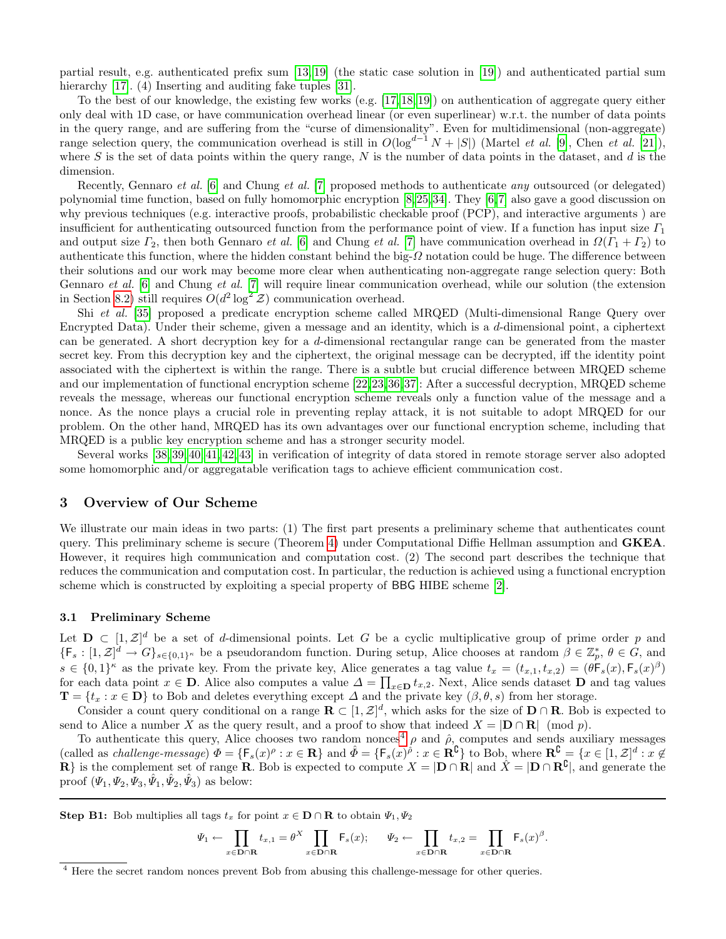partial result, e.g. authenticated prefix sum [\[13,](#page-16-6) [19\]](#page-16-12) (the static case solution in [\[19\]](#page-16-12)) and authenticated partial sum hierarchy [\[17\]](#page-16-10). (4) Inserting and auditing fake tuples [\[31\]](#page-16-22).

To the best of our knowledge, the existing few works (e.g. [\[17,](#page-16-10) [18,](#page-16-11) [19\]](#page-16-12)) on authentication of aggregate query either only deal with 1D case, or have communication overhead linear (or even superlinear) w.r.t. the number of data points in the query range, and are suffering from the "curse of dimensionality". Even for multidimensional (non-aggregate) range selection query, the communication overhead is still in  $O(\log^{d-1} N + |S|)$  (Martel *et al.* [\[9\]](#page-16-2), Chen *et al.* [\[21\]](#page-16-14)), where S is the set of data points within the query range,  $N$  is the number of data points in the dataset, and  $d$  is the dimension.

Recently, Gennaro et al. [\[6\]](#page-15-5) and Chung et al. [\[7\]](#page-16-0) proposed methods to authenticate any outsourced (or delegated) polynomial time function, based on fully homomorphic encryption [\[8,](#page-16-1)[25,](#page-16-16)[34\]](#page-16-27). They [\[6,](#page-15-5)[7\]](#page-16-0) also gave a good discussion on why previous techniques (e.g. interactive proofs, probabilistic checkable proof (PCP), and interactive arguments ) are insufficient for authenticating outsourced function from the performance point of view. If a function has input size  $\Gamma_1$ and output size  $\Gamma_2$ , then both Gennaro *et al.* [\[6\]](#page-15-5) and Chung *et al.* [\[7\]](#page-16-0) have communication overhead in  $\Omega(\Gamma_1 + \Gamma_2)$  to authenticate this function, where the hidden constant behind the big- $\Omega$  notation could be huge. The difference between their solutions and our work may become more clear when authenticating non-aggregate range selection query: Both Gennaro et al. [\[6\]](#page-15-5) and Chung et al. [\[7\]](#page-16-0) will require linear communication overhead, while our solution (the extension in Section [8.2\)](#page-15-6) still requires  $O(d^2 \log^2 \mathcal{Z})$  communication overhead.

Shi et al. [\[35\]](#page-16-28) proposed a predicate encryption scheme called MRQED (Multi-dimensional Range Query over Encrypted Data). Under their scheme, given a message and an identity, which is a d-dimensional point, a ciphertext can be generated. A short decryption key for a d-dimensional rectangular range can be generated from the master secret key. From this decryption key and the ciphertext, the original message can be decrypted, iff the identity point associated with the ciphertext is within the range. There is a subtle but crucial difference between MRQED scheme and our implementation of functional encryption scheme [\[22,](#page-16-25)[23,](#page-16-26)[36,](#page-16-29)[37\]](#page-16-30): After a successful decryption, MRQED scheme reveals the message, whereas our functional encryption scheme reveals only a function value of the message and a nonce. As the nonce plays a crucial role in preventing replay attack, it is not suitable to adopt MRQED for our problem. On the other hand, MRQED has its own advantages over our functional encryption scheme, including that MRQED is a public key encryption scheme and has a stronger security model.

Several works [\[38,](#page-17-0) [39,](#page-17-1) [40,](#page-17-2) [41,](#page-17-3) [42,](#page-17-4) [43\]](#page-17-5) in verification of integrity of data stored in remote storage server also adopted some homomorphic and/or aggregatable verification tags to achieve efficient communication cost.

### <span id="page-3-0"></span>3 Overview of Our Scheme

We illustrate our main ideas in two parts: (1) The first part presents a preliminary scheme that authenticates count query. This preliminary scheme is secure (Theorem [4\)](#page-13-0) under Computational Diffie Hellman assumption and GKEA. However, it requires high communication and computation cost. (2) The second part describes the technique that reduces the communication and computation cost. In particular, the reduction is achieved using a functional encryption scheme which is constructed by exploiting a special property of BBG HIBE scheme [\[2\]](#page-15-1).

#### 3.1 Preliminary Scheme

Let  $\mathbf{D} \subset [1, \mathcal{Z}]^d$  be a set of d-dimensional points. Let G be a cyclic multiplicative group of prime order p and  $\{\mathsf{F}_s: [1,\mathcal{Z}]^d \to G\}_{s \in \{0,1\}^{\kappa}}$  be a pseudorandom function. During setup, Alice chooses at random  $\beta \in \mathbb{Z}_p^*, \theta \in G$ , and  $s \in \{0,1\}^{\kappa}$  as the private key. From the private key, Alice generates a tag value  $t_x = (t_{x,1}, t_{x,2}) = (\theta \mathsf{F}_s(x), \mathsf{F}_s(x)^\beta)$ for each data point  $x \in \mathbf{D}$ . Alice also computes a value  $\Delta = \prod_{x \in \mathbf{D}} t_{x,2}$ . Next, Alice sends dataset  $\mathbf{D}$  and tag values  $\mathbf{T} = \{t_x : x \in \mathbf{D}\}\$ to Bob and deletes everything except  $\Delta$  and the private key  $(\beta, \theta, s)$  from her storage.

Consider a count query conditional on a range  $\mathbf{R} \subset [1, \mathcal{Z}]^d$ , which asks for the size of  $\mathbf{D} \cap \mathbf{R}$ . Bob is expected to send to Alice a number X as the query result, and a proof to show that indeed  $X = |D \cap R| \pmod{p}$ .

To authenticate this query, Alice chooses two random nonces<sup>[4](#page-3-1)</sup>  $\rho$  and  $\hat{\rho}$ , computes and sends auxiliary messages (called as *challenge-message*)  $\Phi = {\mathsf{F}_s}(x)^\rho : x \in \mathbb{R}$  and  $\hat{\Phi} = {\mathsf{F}_s}(x)^\rho : x \in \mathbb{R}^\complement$  to Bob, where  $\mathbb{R}^\complement = \{x \in [1, \mathcal{Z}]^d : x \notin \mathbb{R}^\complement\}$  $\mathbf{R}$ } is the complement set of range **R**. Bob is expected to compute  $X = |\mathbf{D} \cap \mathbf{R}|$  and  $\hat{X} = |\mathbf{D} \cap \mathbf{R}^{\complement}|$ , and generate the proof  $(\Psi_1, \Psi_2, \dot{\Psi}_3, \hat{\Psi}_1, \hat{\Psi}_2, \hat{\Psi}_3)$  as below:

Step B1: Bob multiplies all tags  $t_x$  for point  $x \in D \cap R$  to obtain  $\Psi_1, \Psi_2$ 

$$
\Psi_1 \leftarrow \prod_{x \in \mathbf{D} \cap \mathbf{R}} t_{x,1} = \theta^X \prod_{x \in \mathbf{D} \cap \mathbf{R}} \mathsf{F}_s(x); \quad \Psi_2 \leftarrow \prod_{x \in \mathbf{D} \cap \mathbf{R}} t_{x,2} = \prod_{x \in \mathbf{D} \cap \mathbf{R}} \mathsf{F}_s(x)^{\beta}.
$$

<span id="page-3-1"></span><sup>&</sup>lt;sup>4</sup> Here the secret random nonces prevent Bob from abusing this challenge-message for other queries.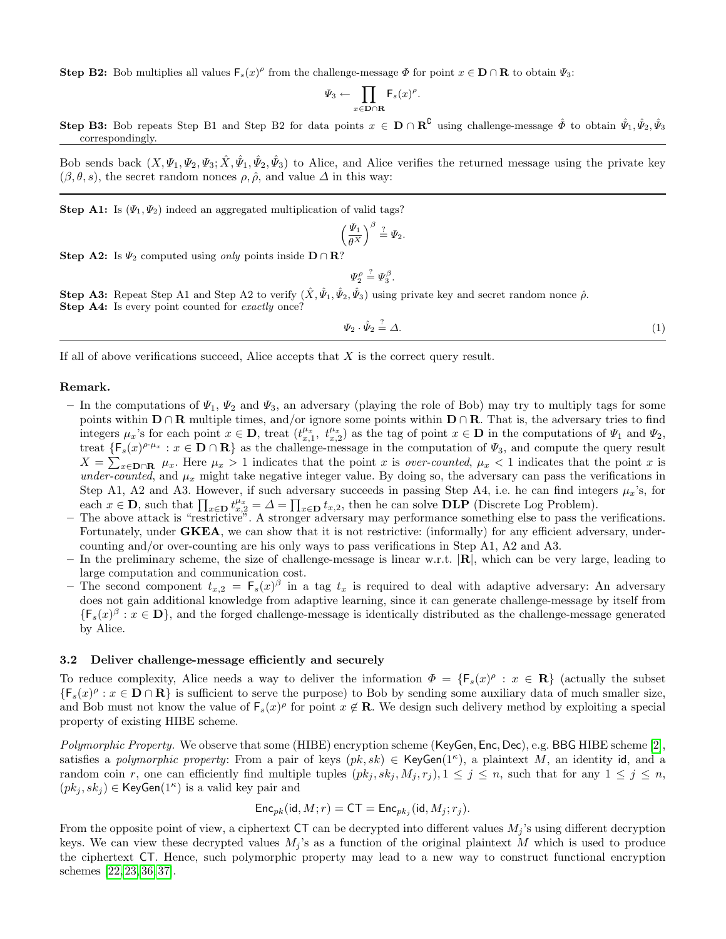**Step B2:** Bob multiplies all values  $\mathsf{F}_s(x)^\rho$  from the challenge-message  $\Phi$  for point  $x \in \mathbf{D} \cap \mathbf{R}$  to obtain  $\Psi_3$ :

$$
\Psi_3 \leftarrow \prod_{x \in \mathbf{D} \cap \mathbf{R}} \mathsf{F}_s(x)^\rho
$$

.

Step B3: Bob repeats Step B1 and Step B2 for data points  $x \in \mathbf{D} \cap \mathbf{R}^{\mathcal{C}}$  using challenge-message  $\hat{\phi}$  to obtain  $\hat{\psi}_1, \hat{\psi}_2, \hat{\psi}_3$ correspondingly.

Bob sends back  $(X,\Psi_1,\Psi_2,\Psi_3;\hat{X},\hat{\Psi}_1,\hat{\Psi}_2,\hat{\Psi}_3)$  to Alice, and Alice verifies the returned message using the private key  $(\beta, \theta, s)$ , the secret random nonces  $\rho$ ,  $\hat{\rho}$ , and value  $\Delta$  in this way:

Step A1: Is  $(\Psi_1, \Psi_2)$  indeed an aggregated multiplication of valid tags?

$$
\left(\frac{\Psi_1}{\theta^X}\right)^{\beta} \stackrel{?}{=} \Psi_2.
$$

Step A2: Is  $\Psi_2$  computed using *only* points inside  $D \cap \mathbb{R}^2$ ?

 $\Psi _{2}^{\rho }\stackrel{?}{=}\Psi _{3}^{\beta }.$ 

Step A3: Repeat Step A1 and Step A2 to verify  $(\hat{X}, \hat{\Psi}_1, \hat{\Psi}_2, \hat{\Psi}_3)$  using private key and secret random nonce  $\hat{\rho}$ . Step A4: Is every point counted for exactly once?

> $\Psi_2 \cdot \hat{\Psi}_2 \stackrel{?}{=} \Delta.$  $\stackrel{?}{=} \Delta.$  (1)

If all of above verifications succeed, Alice accepts that  $X$  is the correct query result.

#### Remark.

- In the computations of  $\Psi_1, \Psi_2$  and  $\Psi_3$ , an adversary (playing the role of Bob) may try to multiply tags for some points within  $D \cap R$  multiple times, and/or ignore some points within  $D \cap R$ . That is, the adversary tries to find integers  $\mu_x$ 's for each point  $x \in \mathbf{D}$ , treat  $(t_{x,1}^{\mu_x}, t_{x,2}^{\mu_x})$  as the tag of point  $x \in \mathbf{D}$  in the computations of  $\Psi_1$  and  $\Psi_2$ , treat  $\{F_s(x)^{\rho \cdot \mu_x} : x \in \mathbf{D} \cap \mathbf{R}\}\$ as the challenge-message in the computation of  $\Psi_3$ , and compute the query result  $X = \sum_{x \in \mathbf{D} \cap \mathbf{R}} \mu_x$ . Here  $\mu_x > 1$  indicates that the point x is *over-counted*,  $\mu_x < 1$  indicates that the point x is under-counted, and  $\mu_x$  might take negative integer value. By doing so, the adversary can pass the verifications in Step A1, A2 and A3. However, if such adversary succeeds in passing Step A4, i.e. he can find integers  $\mu_x$ 's, for each  $x \in \mathbf{D}$ , such that  $\prod_{x \in \mathbf{D}} t_{x,2}^{u_x} = \Delta = \prod_{x \in \mathbf{D}} t_{x,2}$ , then he can solve  $\mathbf{DLP}$  (Discrete Log Problem).
- The above attack is "restrictive". A stronger adversary may performance something else to pass the verifications. Fortunately, under **GKEA**, we can show that it is not restrictive: (informally) for any efficient adversary, undercounting and/or over-counting are his only ways to pass verifications in Step A1, A2 and A3.
- In the preliminary scheme, the size of challenge-message is linear w.r.t.  $|\mathbf{R}|$ , which can be very large, leading to large computation and communication cost.
- The second component  $t_{x,2} = \mathsf{F}_s(x)^\beta$  in a tag  $t_x$  is required to deal with adaptive adversary: An adversary does not gain additional knowledge from adaptive learning, since it can generate challenge-message by itself from  $\{\mathsf{F}_s(x)^\beta : x \in \mathbf{D}\}\$ , and the forged challenge-message is identically distributed as the challenge-message generated by Alice.

#### 3.2 Deliver challenge-message efficiently and securely

To reduce complexity, Alice needs a way to deliver the information  $\Phi = {\mathsf{F}_s}(x)^\rho : x \in \mathbb{R}$  (actually the subset  $\{F_s(x)^\rho : x \in D \cap \mathbf{R}\}\$ is sufficient to serve the purpose) to Bob by sending some auxiliary data of much smaller size, and Bob must not know the value of  $\mathsf{F}_s(x)^\rho$  for point  $x \notin \mathbf{R}$ . We design such delivery method by exploiting a special property of existing HIBE scheme.

Polymorphic Property. We observe that some (HIBE) encryption scheme (KeyGen, Enc, Dec), e.g. BBG HIBE scheme [\[2\]](#page-15-1), satisfies a polymorphic property: From a pair of keys  $(pk, sk) \in \mathsf{KeyGen}(1^{\kappa})$ , a plaintext M, an identity id, and a random coin r, one can efficiently find multiple tuples  $(pk_i, sk_i, M_i, r_j), 1 \leq j \leq n$ , such that for any  $1 \leq j \leq n$ ,  $(pk_j, sk_j) \in \mathsf{KeyGen}(1^{\kappa})$  is a valid key pair and

$$
\mathsf{Enc}_{pk}(\mathsf{id}, M; r) = \mathsf{CT} = \mathsf{Enc}_{pk_j}(\mathsf{id}, M_j; r_j).
$$

From the opposite point of view, a ciphertext  $CT$  can be decrypted into different values  $M_i$ 's using different decryption keys. We can view these decrypted values  $M_i$ 's as a function of the original plaintext M which is used to produce the ciphertext CT. Hence, such polymorphic property may lead to a new way to construct functional encryption schemes [\[22,](#page-16-25) [23,](#page-16-26) [36,](#page-16-29) [37\]](#page-16-30).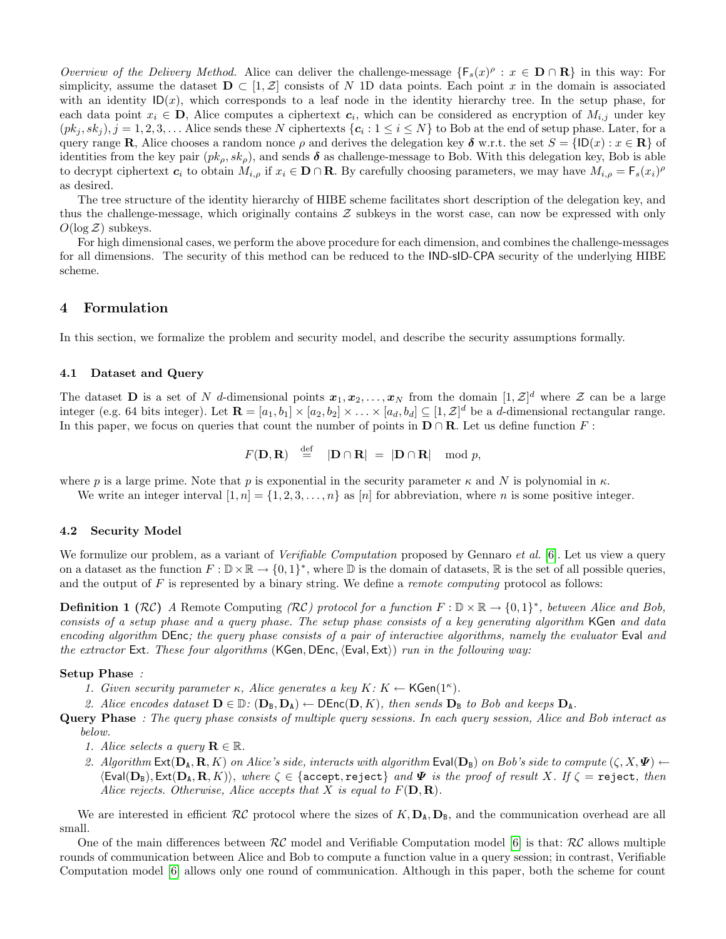Overview of the Delivery Method. Alice can deliver the challenge-message  $\{F_s(x)^\rho : x \in D \cap \mathbf{R}\}\$ in this way: For simplicity, assume the dataset  $D \subset [1, \mathcal{Z}]$  consists of N 1D data points. Each point x in the domain is associated with an identity  $\mathsf{ID}(x)$ , which corresponds to a leaf node in the identity hierarchy tree. In the setup phase, for each data point  $x_i \in \mathbf{D}$ , Alice computes a ciphertext  $c_i$ , which can be considered as encryption of  $M_{i,j}$  under key  $(pk_j, sk_j), j = 1, 2, 3, \ldots$  Alice sends these N ciphertexts  $\{c_i : 1 \le i \le N\}$  to Bob at the end of setup phase. Later, for a query range R, Alice chooses a random nonce  $\rho$  and derives the delegation key  $\delta$  w.r.t. the set  $S = \{ID(x) : x \in \mathbb{R}\}\$  of identities from the key pair  $(pk_o, sk_o)$ , and sends  $\delta$  as challenge-message to Bob. With this delegation key, Bob is able to decrypt ciphertext  $c_i$  to obtain  $M_{i,o}$  if  $x_i \in \mathbf{D} \cap \mathbf{R}$ . By carefully choosing parameters, we may have  $M_{i,o} = F_s(x_i)^{\rho}$ as desired.

The tree structure of the identity hierarchy of HIBE scheme facilitates short description of the delegation key, and thus the challenge-message, which originally contains  $Z$  subkeys in the worst case, can now be expressed with only  $O(\log \mathcal{Z})$  subkeys.

For high dimensional cases, we perform the above procedure for each dimension, and combines the challenge-messages for all dimensions. The security of this method can be reduced to the IND-sID-CPA security of the underlying HIBE scheme.

### <span id="page-5-0"></span>4 Formulation

In this section, we formalize the problem and security model, and describe the security assumptions formally.

#### <span id="page-5-1"></span>4.1 Dataset and Query

The dataset **D** is a set of N d-dimensional points  $x_1, x_2, \ldots, x_N$  from the domain  $[1, \mathcal{Z}]^d$  where Z can be a large integer (e.g. 64 bits integer). Let  $\mathbf{R} = [a_1, b_1] \times [a_2, b_2] \times \ldots \times [a_d, b_d] \subseteq [1, \mathcal{Z}]^d$  be a *d*-dimensional rectangular range. In this paper, we focus on queries that count the number of points in  $\mathbf{D} \cap \mathbf{R}$ . Let us define function F:

$$
F(\mathbf{D}, \mathbf{R}) \stackrel{\text{def}}{=} |\mathbf{D} \cap \mathbf{R}| = |\mathbf{D} \cap \mathbf{R}| \mod p,
$$

where p is a large prime. Note that p is exponential in the security parameter  $\kappa$  and N is polynomial in  $\kappa$ .

We write an integer interval  $[1, n] = \{1, 2, 3, \ldots, n\}$  as  $[n]$  for abbreviation, where n is some positive integer.

#### 4.2 Security Model

We formulize our problem, as a variant of *Verifiable Computation* proposed by Gennaro *et al.* [\[6\]](#page-15-5). Let us view a query on a dataset as the function  $F: \mathbb{D} \times \mathbb{R} \to \{0,1\}^*$ , where  $\mathbb{D}$  is the domain of datasets,  $\mathbb{R}$  is the set of all possible queries, and the output of  $F$  is represented by a binary string. We define a *remote computing* protocol as follows:

**Definition 1** ( $RC$ ) A Remote Computing ( $RC$ ) protocol for a function  $F : \mathbb{D} \times \mathbb{R} \to \{0,1\}^*$ , between Alice and Bob, consists of a setup phase and a query phase. The setup phase consists of a key generating algorithm KGen and data encoding algorithm DEnc; the query phase consists of a pair of interactive algorithms, namely the evaluator Eval and the extractor Ext. These four algorithms  $(KGen, DEnc, \langle Eval, Ext \rangle)$  run in the following way:

#### Setup Phase :

1. Given security parameter  $\kappa$ , Alice generates a key  $K: K \leftarrow \mathsf{KGen}(1^{\kappa})$ .

2. Alice encodes dataset  $\mathbf{D} \in \mathbb{D}$ :  $(\mathbf{D}_B, \mathbf{D}_A) \leftarrow \mathsf{DEnc}(\mathbf{D}, K)$ , then sends  $\mathbf{D}_B$  to Bob and keeps  $\mathbf{D}_A$ .

Query Phase: The query phase consists of multiple query sessions. In each query session, Alice and Bob interact as below.

- 1. Alice selects a query  $\mathbf{R} \in \mathbb{R}$ .
- 2. Algorithm  $\textsf{Ext}(\mathbf{D}_\mathtt{A}, \mathbf{R}, K)$  on Alice's side, interacts with algorithm  $\textsf{Eval}(\mathbf{D}_\mathtt{B})$  on Bob's side to compute  $(\zeta, X, \Psi)$   $\leftarrow$  $\langle \text{Eval}(\mathbf{D}_{\mathbf{B}}), \text{Ext}(\mathbf{D}_{\mathbf{A}}, \mathbf{R}, K) \rangle$ , where  $\zeta \in \{\text{accept}, \text{reject}\}\$  and  $\Psi$  is the proof of result X. If  $\zeta = \text{reject},\$  then Alice rejects. Otherwise, Alice accepts that X is equal to  $F(D, R)$ .

We are interested in efficient  $\mathcal{RC}$  protocol where the sizes of  $K, D_A, D_B$ , and the communication overhead are all small.

One of the main differences between  $\mathcal{RC}$  model and Verifiable Computation model [\[6\]](#page-15-5) is that:  $\mathcal{RC}$  allows multiple rounds of communication between Alice and Bob to compute a function value in a query session; in contrast, Verifiable Computation model [\[6\]](#page-15-5) allows only one round of communication. Although in this paper, both the scheme for count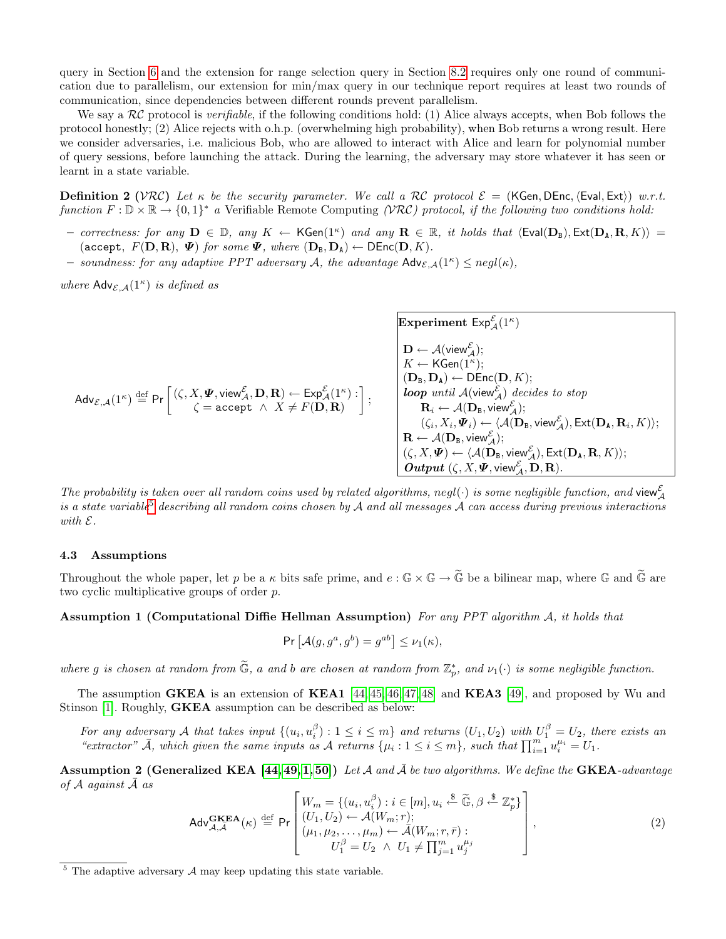query in Section [6](#page-9-0) and the extension for range selection query in Section [8.2](#page-15-6) requires only one round of communication due to parallelism, our extension for min/max query in our technique report requires at least two rounds of communication, since dependencies between different rounds prevent parallelism.

We say a  $\mathcal{RC}$  protocol is verifiable, if the following conditions hold: (1) Alice always accepts, when Bob follows the protocol honestly; (2) Alice rejects with o.h.p. (overwhelming high probability), when Bob returns a wrong result. Here we consider adversaries, i.e. malicious Bob, who are allowed to interact with Alice and learn for polynomial number of query sessions, before launching the attack. During the learning, the adversary may store whatever it has seen or learnt in a state variable.

<span id="page-6-3"></span>**Definition 2** (VRC) Let  $\kappa$  be the security parameter. We call a RC protocol  $\mathcal{E} =$  (KGen, DEnc,  $\langle$ Eval, Ext $\rangle$ ) w.r.t. function  $F: \mathbb{D} \times \mathbb{R} \to \{0,1\}^*$  a Verifiable Remote Computing (VRC) protocol, if the following two conditions hold:

- correctness: for any  $D \in D$ , any  $K \leftarrow \mathsf{KGen}(1^\kappa)$  and any  $\mathbf{R} \in \mathbb{R}$ , it holds that  $\langle \mathsf{Eval}(\mathbf{D}_B), \mathsf{Ext}(\mathbf{D}_A, \mathbf{R}, K) \rangle =$ (accept,  $F(\mathbf{D}, \mathbf{R})$ ,  $\Psi$ ) for some  $\Psi$ , where  $(\mathbf{D}_B, \mathbf{D}_A) \leftarrow \mathsf{DEnc}(\mathbf{D}, K)$ .
- soundness: for any adaptive PPT adversary A, the advantage  $\mathsf{Adv}_{\mathcal{E},\mathcal{A}}(1^{\kappa}) \leq negl(\kappa)$ ,

where  $\mathsf{Adv}_{\mathcal{E},\mathcal{A}}(1^{\kappa})$  is defined as

AdvE,A(1<sup>κ</sup> ) def <sup>=</sup> Pr (ζ, X, Ψ, view<sup>E</sup> <sup>A</sup>, D, R) ← Exp<sup>E</sup> A(1<sup>κ</sup> ) : ζ = accept ∧ X 6= F(D, R) ;

**Experiment** 
$$
\text{Exp}^{\mathcal{E}}_{\mathcal{A}}(1^{\kappa})
$$
\n $\mathbf{D} \leftarrow \mathcal{A}(\text{view}^{\mathcal{E}}_{\mathcal{A}});$ \n $K \leftarrow \text{KGen}(1^{\kappa});$ \n $(D_B, D_A) \leftarrow \text{DEnc}(\mathbf{D}, K);$ \n*loop until*  $\mathcal{A}(\text{view}^{\mathcal{E}}_{\mathcal{A}}) \text{ decides to stop}$ \n $\mathbf{R}_i \leftarrow \mathcal{A}(\mathbf{D}_B, \text{view}^{\mathcal{E}}_{\mathcal{A}});$ \n $(\zeta_i, X_i, \Psi_i) \leftarrow \langle \mathcal{A}(\mathbf{D}_B, \text{view}^{\mathcal{E}}_{\mathcal{A}}), \text{Ext}(\mathbf{D}_A, \mathbf{R}_i, K) \rangle;$ \n $\mathbf{R} \leftarrow \mathcal{A}(\mathbf{D}_B, \text{view}^{\mathcal{E}}_{\mathcal{A}});$ \n $(\zeta, X, \Psi) \leftarrow \langle \mathcal{A}(\mathbf{D}_B, \text{view}^{\mathcal{E}}_{\mathcal{A}}), \text{Ext}(\mathbf{D}_A, \mathbf{R}, K) \rangle;$ \n*Output*  $(\zeta, X, \Psi, \text{view}^{\mathcal{E}}_{\mathcal{A}}, \mathbf{D}, \mathbf{R}).$ 

The probability is taken over all random coins used by related algorithms, negl( $\cdot$ ) is some negligible function, and view $_{\cal A}^{\cal E}$ is a state variable<sup>[5](#page-6-0)</sup> describing all random coins chosen by  $A$  and all messages  $A$  can access during previous interactions with E.

#### 4.3 Assumptions

Throughout the whole paper, let p be a  $\kappa$  bits safe prime, and  $e : \mathbb{G} \times \mathbb{G} \to \widetilde{\mathbb{G}}$  be a bilinear map, where  $\mathbb{G}$  and  $\widetilde{\mathbb{G}}$  are two cyclic multiplicative groups of order p.

<span id="page-6-2"></span>Assumption 1 (Computational Diffie Hellman Assumption) For any PPT algorithm A, it holds that

$$
\Pr\left[\mathcal{A}(g, g^a, g^b) = g^{ab}\right] \leq \nu_1(\kappa),
$$

where g is chosen at random from  $\widetilde{\mathbb{G}}$ , a and b are chosen at random from  $\mathbb{Z}_p^*$ , and  $\nu_1(\cdot)$  is some negligible function.

The assumption GKEA is an extension of KEA1 [\[44,](#page-17-6) [45,](#page-17-7) [46,](#page-17-8) [47,](#page-17-9) [48\]](#page-17-10) and KEA3 [\[49\]](#page-17-11), and proposed by Wu and Stinson [\[1\]](#page-15-0). Roughly, GKEA assumption can be described as below:

For any adversary A that takes input  $\{(u_i, u_i^{\beta}) : 1 \leq i \leq m\}$  and returns  $(U_1, U_2)$  with  $U_1^{\beta} = U_2$ , there exists an "extractor"  $\overline{A}$ , which given the same inputs as  $A$  returns  $\{\mu_i : 1 \leq i \leq m\}$ , such that  $\prod_{i=1}^{m} u_i^{\mu_i} = U_1$ .

<span id="page-6-1"></span>**Assumption 2 (Generalized KEA** [\[44,](#page-17-6) [49,](#page-17-11) [1,](#page-15-0) [50\]](#page-17-12)) Let A and  $\overline{A}$  be two algorithms. We define the **GKEA**-advantage of  $A$  against  $\overline{A}$  as

$$
\mathsf{Adv}_{\mathcal{A},\bar{\mathcal{A}}}^{\mathbf{GKEA}}(\kappa) \stackrel{\text{def}}{=} \mathsf{Pr}\left[\begin{array}{l} W_m = \{(u_i, u_i^{\beta}) : i \in [m], u_i \stackrel{\$}{\leftarrow} \widetilde{\mathbb{G}}, \beta \stackrel{\$}{\leftarrow} \mathbb{Z}_p^* \} \\ (U_1, U_2) \leftarrow \mathcal{A}(W_m; r); \\ (\mu_1, \mu_2, \dots, \mu_m) \leftarrow \bar{\mathcal{A}}(W_m; r, \bar{r}) : \\ U_1^{\beta} = U_2 \ \wedge \ U_1 \neq \prod_{j=1}^m u_j^{\mu_j} \end{array}\right],\right\} \tag{2}
$$

<span id="page-6-0"></span> $5$  The adaptive adversary  $A$  may keep updating this state variable.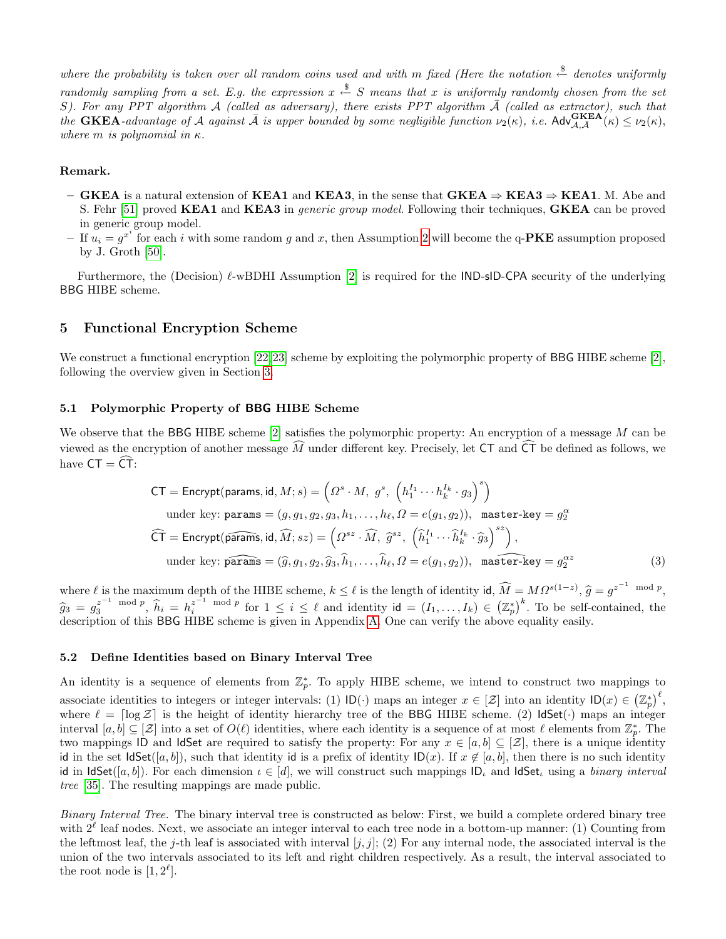where the probability is taken over all random coins used and with m fixed (Here the notation  $\stackrel{\$}{\leftarrow}$  denotes uniformly randomly sampling from a set. E.g. the expression  $x \stackrel{\$}{\leftarrow} S$  means that x is uniformly randomly chosen from the set S). For any PPT algorithm A (called as adversary), there exists PPT algorithm  $\overline{A}$  (called as extractor), such that the GKEA-advantage of A against  $\overline{A}$  is upper bounded by some negligible function  $\nu_2(\kappa)$ , i.e. Adv ${}_{\mathcal{A},\overline{A}}^{GKEA}(\kappa) \leq \nu_2(\kappa)$ , where m is polynomial in  $\kappa$ .

### Remark.

- GKEA is a natural extension of KEA1 and KEA3, in the sense that GKEA  $\Rightarrow$  KEA3  $\Rightarrow$  KEA1. M. Abe and S. Fehr [\[51\]](#page-17-13) proved KEA1 and KEA3 in *generic group model*. Following their techniques, GKEA can be proved in generic group model.
- If  $u_i = g^{x^i}$  for each i with some random g and x, then Assumption [2](#page-6-1) will become the q-PKE assumption proposed by J. Groth [\[50\]](#page-17-12).

Furthermore, the (Decision)  $\ell$ -wBDHI Assumption [\[2\]](#page-15-1) is required for the IND-sID-CPA security of the underlying BBG HIBE scheme.

### <span id="page-7-0"></span>5 Functional Encryption Scheme

We construct a functional encryption [\[22,](#page-16-25)[23\]](#page-16-26) scheme by exploiting the polymorphic property of BBG HIBE scheme [\[2\]](#page-15-1), following the overview given in Section [3.](#page-3-0)

### 5.1 Polymorphic Property of BBG HIBE Scheme

We observe that the BBG HIBE scheme  $[2]$  satisfies the polymorphic property: An encryption of a message  $M$  can be viewed as the encryption of another message  $\tilde{M}$  under different key. Precisely, let CT and  $\tilde{CT}$  be defined as follows, we have  $CT = \widehat{CT}$ :

$$
CT = \text{Encrypt}(\text{params}, \text{id}, M; s) = \left(\Omega^s \cdot M, g^s, \left(h_1^{I_1} \cdots h_k^{I_k} \cdot g_3\right)^s\right)
$$
  
under key:  $\text{params} = (g, g_1, g_2, g_3, h_1, \dots, h_\ell, \Omega = e(g_1, g_2)), \text{ master-key} = g_2^\alpha$   

$$
\widehat{CT} = \text{Encrypt}(\widehat{\text{params}}, \text{id}, \widehat{M}; sz) = \left(\Omega^{sz} \cdot \widehat{M}, \widehat{g}^{sz}, \left(\widehat{h}_1^{I_1} \cdots \widehat{h}_k^{I_k} \cdot \widehat{g}_3\right)^{sz}\right),
$$
  
under key:  $\widehat{\text{params}} = (\widehat{g}, g_1, g_2, \widehat{g}_3, \widehat{h}_1, \dots, \widehat{h}_\ell, \Omega = e(g_1, g_2)), \text{ master-key} = g_2^{\alpha z}$  (3)

where  $\ell$  is the maximum depth of the HIBE scheme,  $k \leq \ell$  is the length of identity id,  $\widehat{M} = M\Omega^{s(1-z)}$ ,  $\widehat{g} = g^{z^{-1} \mod p}$ ,  $\hat{g}_3 = g_3^{z^{-1} \mod p}, \hat{h}_i = h_i^{z^{-1} \mod p}$  for  $1 \leq i \leq \ell$  and identity  $\mathsf{id} = (I_1, \ldots, I_k) \in (\mathbb{Z}_p^*)^k$ . To be self-contained, the description of this **BBC** HIBE schome is given in Appendix A. One can verify the above equ description of this BBG HIBE scheme is given in Appendix [A.](#page-17-14) One can verify the above equality easily.

### <span id="page-7-1"></span>5.2 Define Identities based on Binary Interval Tree

An identity is a sequence of elements from  $\mathbb{Z}_p^*$ . To apply HIBE scheme, we intend to construct two mappings to associate identities to integers or integer intervals: (1)  $\mathsf{ID}(\cdot)$  maps an integer  $x \in [\mathcal{Z}]$  into an identity  $\mathsf{ID}(x) \in (\mathbb{Z}_p^*)^{\ell}$ , where  $\ell = \lceil \log \mathcal{Z} \rceil$  is the height of identity hierarchy tree of the BBG HIBE scheme. (2) IdSet( $\cdot$ ) maps an integer interval  $[a, b] \subseteq [\mathcal{Z}]$  into a set of  $O(\ell)$  identities, where each identity is a sequence of at most  $\ell$  elements from  $\mathbb{Z}_p^*$ . The two mappings ID and IdSet are required to satisfy the property: For any  $x \in [a, b] \subseteq [\mathcal{Z}]$ , there is a unique identity id in the set IdSet([a, b]), such that identity id is a prefix of identity  $\mathsf{ID}(x)$ . If  $x \notin [a, b]$ , then there is no such identity id in IdSet([a, b]). For each dimension  $\iota \in [d]$ , we will construct such mappings ID<sub> $\iota$ </sub> and IdSet<sub> $\iota$ </sub> using a *binary interval* tree [\[35\]](#page-16-28). The resulting mappings are made public.

Binary Interval Tree. The binary interval tree is constructed as below: First, we build a complete ordered binary tree with  $2^{\ell}$  leaf nodes. Next, we associate an integer interval to each tree node in a bottom-up manner: (1) Counting from the leftmost leaf, the j-th leaf is associated with interval  $[j, j]$ ; (2) For any internal node, the associated interval is the union of the two intervals associated to its left and right children respectively. As a result, the interval associated to the root node is  $[1, 2^{\ell}].$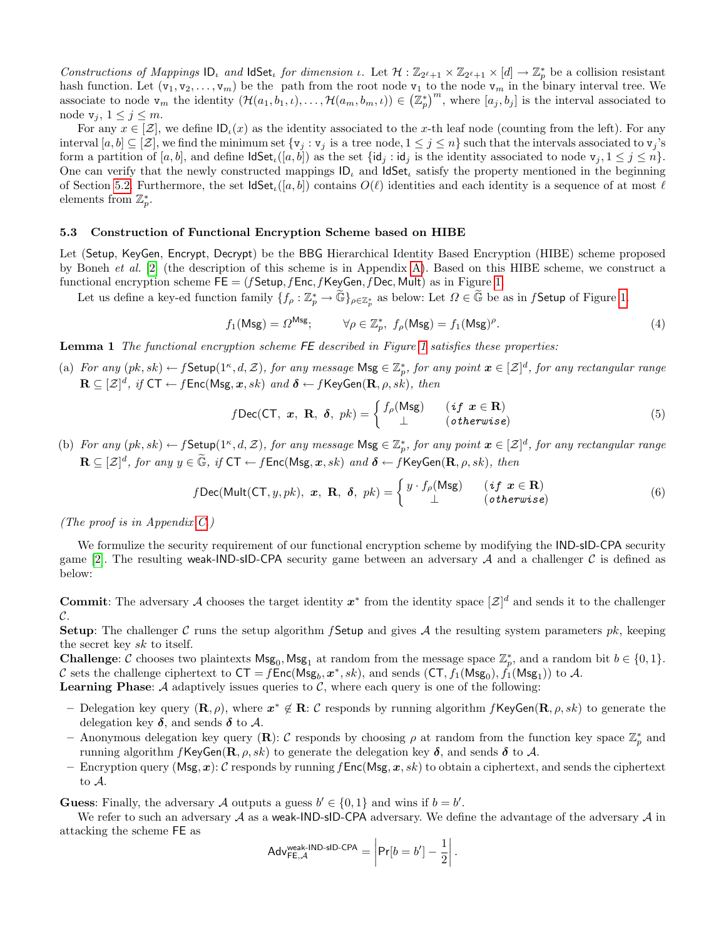Constructions of Mappings  $ID_t$  and IdSet<sub>t</sub> for dimension  $\iota$ . Let  $\mathcal{H} : \mathbb{Z}_{2^{\ell}+1} \times \mathbb{Z}_{2^{\ell}+1} \times [d] \to \mathbb{Z}_p^*$  be a collision resistant hash function. Let  $(v_1, v_2, \ldots, v_m)$  be the path from the root node  $v_1$  to the node  $v_m$  in the binary interval tree. We associate to node  $\mathbf{v}_m$  the identity  $(\mathcal{H}(a_1, b_1, \iota), \dots, \mathcal{H}(a_m, b_m, \iota)) \in (\mathbb{Z}_p^*)^m$ , where  $[a_j, b_j]$  is the interval associated to node  $v_j, 1 \leq j \leq m$ .

For any  $x \in [\mathcal{Z}]$ , we define  $\mathsf{ID}_\iota(x)$  as the identity associated to the x-th leaf node (counting from the left). For any interval  $[a, b] \subseteq [\mathcal{Z}]$ , we find the minimum set  $\{v_j : v_j \text{ is a tree node}, 1 \le j \le n\}$  such that the intervals associated to  $v_j$ 's form a partition of [a, b], and define  $\mathsf{IdSet}_t([a, b])$  as the set  $\{\mathsf{id}_i : \mathsf{id}_j : \mathsf{id}_j\}$  is the identity associated to node  $\mathsf{v}_i, 1 \leq j \leq n\}$ . One can verify that the newly constructed mappings  $|D_i|$  and  $|dSet_i|$  satisfy the property mentioned in the beginning of Section [5.2.](#page-7-1) Furthermore, the set  $\textsf{IdSet}_{\ell}([a, b])$  contains  $O(\ell)$  identities and each identity is a sequence of at most  $\ell$ elements from  $\mathbb{Z}_p^*$ .

### <span id="page-8-0"></span>5.3 Construction of Functional Encryption Scheme based on HIBE

Let (Setup, KeyGen, Encrypt, Decrypt) be the BBG Hierarchical Identity Based Encryption (HIBE) scheme proposed by Boneh *et al.* [\[2\]](#page-15-1) (the description of this scheme is in Appendix [A\)](#page-17-14). Based on this HIBE scheme, we construct a functional encryption scheme  $FE = (fSetup, fEnc, fKeyGen, fDec, Mult)$  as in Figure [1.](#page-10-0)

Let us define a key-ed function family  $\{f_\rho:\mathbb{Z}_p^*\to \widetilde{\mathbb{G}}\}_{\rho\in\mathbb{Z}_p^*}$  as below: Let  $\Omega\in\widetilde{\mathbb{G}}$  be as in  $f$ Setup of Figure [1.](#page-10-0)

$$
f_1(\mathsf{Msg}) = \Omega^{\mathsf{Msg}}; \qquad \forall \rho \in \mathbb{Z}_p^*, \ f_\rho(\mathsf{Msg}) = f_1(\mathsf{Msg})^\rho. \tag{4}
$$

<span id="page-8-2"></span>Lemma 1 The functional encryption scheme FE described in Figure [1](#page-10-0) satisfies these properties:

(a) For any  $(pk, sk) \leftarrow f$ Setup $(1^{\kappa}, d, \mathcal{Z})$ , for any message  $\mathsf{Msg} \in \mathbb{Z}_p^*$ , for any point  $\boldsymbol{x} \in [\mathcal{Z}]^d$ , for any rectangular range  $\mathbf{R} \subseteq [\mathcal{Z}]^d$ , if  $\mathsf{CT} \leftarrow f\mathsf{Enc}(\mathsf{Msg}, \bm{x}, sk)$  and  $\bm{\delta} \leftarrow f\mathsf{KeyGen}(\mathbf{R}, \rho, sk)$ , then

$$
f\text{Dec}(\text{CT}, x, \text{R}, \delta, pk) = \begin{cases} f_{\rho}(\text{Msg}) & (if x \in \text{R}) \\ \perp & (otherwise) \end{cases} \tag{5}
$$

(b) For any  $(pk, sk) \leftarrow f$ Setup $(1^{\kappa}, d, \mathcal{Z})$ , for any message  $\mathsf{Msg} \in \mathbb{Z}_p^*$ , for any point  $\boldsymbol{x} \in [\mathcal{Z}]^d$ , for any rectangular range  $\mathbf{R} \subseteq [\mathcal{Z}]^d$ , for any  $y \in \widetilde{\mathbb{G}}$ , if  $\mathsf{CT} \leftarrow f\mathsf{Enc}(\mathsf{Msg}, x, sk)$  and  $\boldsymbol{\delta} \leftarrow f\mathsf{KeyGen}(\mathbf{R}, \rho, sk)$ , then

$$
f\text{Dec}(\text{Mult}(\text{CT}, y, pk), \mathbf{x}, \mathbf{R}, \delta, pk) = \begin{cases} y \cdot f_{\rho}(\text{Msg}) & (if \ \mathbf{x} \in \mathbf{R}) \\ \perp & (otherwise) \end{cases} \tag{6}
$$

(The proof is in Appendix [C.](#page-18-0))

We formulize the security requirement of our functional encryption scheme by modifying the IND-sID-CPA security game [\[2\]](#page-15-1). The resulting weak-IND-sID-CPA security game between an adversary A and a challenger C is defined as below:

**Commit:** The adversary A chooses the target identity  $x^*$  from the identity space  $[\mathcal{Z}]^d$  and sends it to the challenger  $\mathcal{C}$ 

**Setup:** The challenger C runs the setup algorithm f Setup and gives A the resulting system parameters  $pk$ , keeping the secret key sk to itself.

**Challenge:** C chooses two plaintexts  $\mathsf{Msg}_0$ ,  $\mathsf{Msg}_1$  at random from the message space  $\mathbb{Z}_p^*$ , and a random bit  $b \in \{0,1\}$ . C sets the challenge ciphertext to  $\mathsf{CT}=f\mathsf{Enc}(\mathsf{Msg}_b,\bm{x}^*,sk)$ , and sends  $(\mathsf{CT},f_1(\mathsf{Msg}_0),\hat{f_1}(\mathsf{Msg}_1))$  to A. **Learning Phase:** A adaptively issues queries to  $\mathcal{C}$ , where each query is one of the following:

- Delegation key query  $(\mathbf{R}, \rho)$ , where  $x^* \notin \mathbf{R}$ : C responds by running algorithm  $f$ KeyGen $(\mathbf{R}, \rho, sk)$  to generate the delegation key  $\delta$ , and sends  $\delta$  to  $\mathcal{A}$ .
- Anonymous delegation key query (R): C responds by choosing  $\rho$  at random from the function key space  $\mathbb{Z}_p^*$  and running algorithm f KeyGen $(\mathbf{R}, \rho, sk)$  to generate the delegation key  $\delta$ , and sends  $\delta$  to A.
- Encryption query (Msg, x): C responds by running f Enc(Msg, x, sk) to obtain a ciphertext, and sends the ciphertext to A.

**Guess:** Finally, the adversary A outputs a guess  $b' \in \{0, 1\}$  and wins if  $b = b'$ .

<span id="page-8-1"></span>We refer to such an adversary A as a weak-IND-sID-CPA adversary. We define the advantage of the adversary  $A$  in attacking the scheme FE as

$$
Adv_{\mathsf{FE}, \mathcal{A}}^{\mathsf{weak}\text{-}\mathsf{IND}\text{-}\mathsf{sID}\text{-}\mathsf{CPA}} = \left| \mathsf{Pr}[b = b'] - \frac{1}{2} \right|.
$$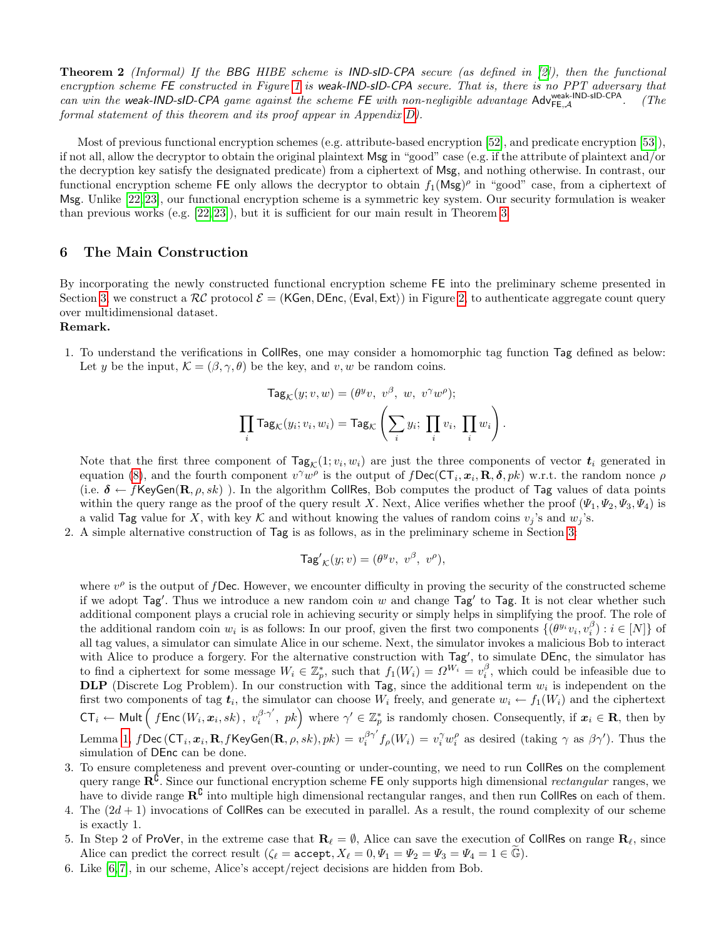**Theorem 2** (Informal) If the BBG HIBE scheme is **IND-sID-CPA** secure (as defined in [\[2\]](#page-15-1)), then the functional encryption scheme FE constructed in Figure [1](#page-10-0) is weak-IND-sID-CPA secure. That is, there is no PPT adversary that can win the weak-IND-sID-CPA game against the scheme FE with non-negligible advantage  $Adv_{FE,A}^{weak-IND-SD-CPA}$ . (The formal statement of this theorem and its proof appear in Appendix [D\)](#page-20-0).

Most of previous functional encryption schemes (e.g. attribute-based encryption [\[52\]](#page-17-15), and predicate encryption [\[53\]](#page-17-16)), if not all, allow the decryptor to obtain the original plaintext Msg in "good" case (e.g. if the attribute of plaintext and/or the decryption key satisfy the designated predicate) from a ciphertext of Msg, and nothing otherwise. In contrast, our functional encryption scheme FE only allows the decryptor to obtain  $f_1(Msg)^{\rho}$  in "good" case, from a ciphertext of Msg. Unlike [\[22,](#page-16-25) [23\]](#page-16-26), our functional encryption scheme is a symmetric key system. Our security formulation is weaker than previous works (e.g. [\[22,](#page-16-25) [23\]](#page-16-26)), but it is sufficient for our main result in Theorem [3.](#page-12-0)

### <span id="page-9-0"></span>6 The Main Construction

By incorporating the newly constructed functional encryption scheme FE into the preliminary scheme presented in Section [3,](#page-3-0) we construct a  $\mathcal{RC}$  protocol  $\mathcal{E} = (KGen, DEnc, \langle Eval, Ext \rangle)$  in Figure [2,](#page-11-0) to authenticate aggregate count query over multidimensional dataset.

### Remark.

1. To understand the verifications in CollRes, one may consider a homomorphic tag function Tag defined as below: Let y be the input,  $\mathcal{K} = (\beta, \gamma, \theta)$  be the key, and v, w be random coins.

$$
\mathsf{Tag}_\mathcal{K}(y; v, w) = (\theta^y v, v^\beta, w, v^\gamma w^\rho);
$$
  

$$
\prod_i \mathsf{Tag}_\mathcal{K}(y_i; v_i, w_i) = \mathsf{Tag}_\mathcal{K}\left(\sum_i y_i; \prod_i v_i, \prod_i w_i\right).
$$

Note that the first three component of  $\text{Tag}_{\mathcal{K}}(1; v_i, w_i)$  are just the three components of vector  $t_i$  generated in equation [\(8\)](#page-11-1), and the fourth component  $v^{\gamma}w^{\rho}$  is the output of  $fDec(CT_i, x_i, R, \delta, pk)$  w.r.t. the random nonce  $\rho$ (i.e.  $\delta \leftarrow f$ KeyGen( $\mathbf{R}, \rho, sk$ )). In the algorithm CollRes, Bob computes the product of Tag values of data points within the query range as the proof of the query result X. Next, Alice verifies whether the proof  $(\Psi_1, \Psi_2, \Psi_3, \Psi_4)$  is a valid Tag value for X, with key K and without knowing the values of random coins  $v_j$ 's and  $w_j$ 's.

2. A simple alternative construction of Tag is as follows, as in the preliminary scheme in Section [3:](#page-3-0)

$$
\mathsf{Tag'}_{\mathcal{K}}(y; v) = (\theta^y v, v^\beta, v^\rho),
$$

where  $v^{\rho}$  is the output of f Dec. However, we encounter difficulty in proving the security of the constructed scheme if we adopt  $Tag'$ . Thus we introduce a new random coin w and change  $Tag'$  to  $Tag$ . It is not clear whether such additional component plays a crucial role in achieving security or simply helps in simplifying the proof. The role of the additional random coin  $w_i$  is as follows: In our proof, given the first two components  $\{(\theta^{y_i}v_i, v_i^{\beta}) : i \in [N]\}$  of all tag values, a simulator can simulate Alice in our scheme. Next, the simulator invokes a malicious Bob to interact with Alice to produce a forgery. For the alternative construction with Tag', to simulate DEnc, the simulator has to find a ciphertext for some message  $W_i \in \mathbb{Z}_p^*$ , such that  $f_1(W_i) = \Omega^{W_i} = v_i^{\beta}$ , which could be infeasible due to **DLP** (Discrete Log Problem). In our construction with  $\text{Tag}$ , since the additional term  $w_i$  is independent on the first two components of tag  $t_i$ , the simulator can choose  $W_i$  freely, and generate  $w_i \leftarrow f_1(W_i)$  and the ciphertext  ${\sf CT}_i \leftarrow {\sf Mult}\left(\right.f{\sf Enc}\left(W_i,{\bm x}_i,sk\right),\;v^{\beta\cdot \gamma'}_i\right)$  $\binom{\beta \cdot \gamma'}{i}$ ,  $pk$ ) where  $\gamma' \in \mathbb{Z}_p^*$  is randomly chosen. Consequently, if  $x_i \in \mathbf{R}$ , then by Lemma [1,](#page-8-2)  $f$ Dec (CT<sub>i</sub>,  $\boldsymbol{x}_i$ , R,  $f$ KeyGen(R,  $\rho$ ,  $sk$ ),  $pk$ ) =  $v_i^{\beta\gamma'}f_\rho(W_i) = v_i^{\gamma}w_i^{\rho}$  as desired (taking  $\gamma$  as  $\beta\gamma'$ ). Thus the simulation of DEnc can be done.

- 3. To ensure completeness and prevent over-counting or under-counting, we need to run CollRes on the complement query range  $\mathbb{R}^{\hat{\mathbb{C}}}$ . Since our functional encryption scheme FE only supports high dimensional *rectangular* ranges, we have to divide range  $\mathbb{R}^{\mathbb{C}}$  into multiple high dimensional rectangular ranges, and then run CollRes on each of them.
- 4. The  $(2d+1)$  invocations of CollRes can be executed in parallel. As a result, the round complexity of our scheme is exactly 1.
- 5. In Step 2 of ProVer, in the extreme case that  $\mathbf{R}_{\ell} = \emptyset$ , Alice can save the execution of CollRes on range  $\mathbf{R}_{\ell}$ , since Alice can predict the correct result  $(\zeta_\ell = \text{accept}, X_\ell = 0, \Psi_1 = \Psi_2 = \Psi_3 = \Psi_4 = 1 \in \mathbb{G}).$
- 6. Like [\[6,](#page-15-5) [7\]](#page-16-0), in our scheme, Alice's accept/reject decisions are hidden from Bob.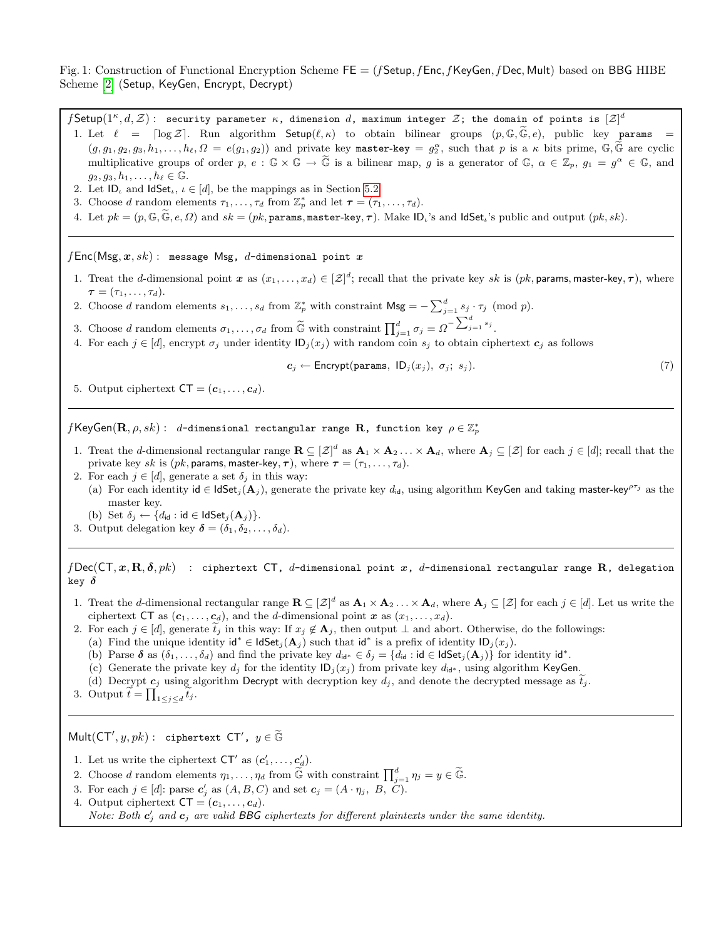<span id="page-10-0"></span>Fig. 1: Construction of Functional Encryption Scheme  $FE = (f$ Setup,  $f$ Enc,  $f$ KeyGen,  $f$ Dec, Mult) based on BBG HIBE Scheme [\[2\]](#page-15-1) (Setup, KeyGen, Encrypt, Decrypt)

 $f$ Setup $(1^\kappa,d,\mathcal{Z})$  : security parameter  $\kappa$ , dimension  $d$ , maximum integer  $\mathcal{Z}$ ; the domain of points is  $[\mathcal{Z}]^d$ 1. Let  $\ell = \lceil \log \mathcal{Z} \rceil$ . Run algorithm Setup $(\ell, \kappa)$  to obtain bilinear groups  $(p, \mathbb{G}, \widetilde{\mathbb{G}}, e)$ , public key params  $(g, g_1, g_2, g_3, h_1, \ldots, h_\ell, \Omega = e(g_1, g_2))$  and private key master-key =  $g_2^\alpha$ , such that p is a  $\kappa$  bits prime,  $\mathbb{G}, \widetilde{\mathbb{G}}$  are cyclic multiplicative groups of order p,  $e : \mathbb{G} \times \mathbb{G} \to \widetilde{\mathbb{G}}$  is a bilinear map, g is a generator of  $\mathbb{G}$ ,  $\alpha \in \mathbb{Z}_p$ ,  $g_1 = g^{\alpha} \in \mathbb{G}$ , and  $g_2, g_3, h_1, \ldots, h_\ell \in \mathbb{G}$ .

- 2. Let  $ID_{\iota}$  and  $IdSet_{\iota}, \iota \in [d]$ , be the mappings as in Section [5.2.](#page-7-1)
- 3. Choose d random elements  $\tau_1, \ldots, \tau_d$  from  $\mathbb{Z}_p^*$  and let  $\tau = (\tau_1, \ldots, \tau_d)$ .
- 4. Let  $pk = (p, \mathbb{G}, \mathbb{G}, e, \Omega)$  and  $sk = (pk, \text{params}, \text{master-key}, \tau)$ . Make  $\mathsf{ID}_i$ 's and  $\mathsf{ldSet}_i$ 's public and output  $(pk, sk)$ .

 $fEnc(Msg, x, sk)$ : message Msg, d-dimensional point x

- 1. Treat the d-dimensional point  $x$  as  $(x_1, \ldots, x_d) \in [\mathcal{Z}]^d$ ; recall that the private key sk is  $(pk,$  params, master-key,  $\tau$ ), where  $\boldsymbol{\tau} = (\tau_1, \ldots, \tau_d).$
- 2. Choose d random elements  $s_1, \ldots, s_d$  from  $\mathbb{Z}_p^*$  with constraint  $\mathsf{Msg} = -\sum_{j=1}^d s_j \cdot \tau_j \pmod{p}$ .
- 3. Choose d random elements  $\sigma_1, \ldots, \sigma_d$  from  $\widetilde{\mathbb{G}}$  with constraint  $\prod_{j=1}^d \sigma_j = \Omega^{-\sum_{j=1}^d s_j}$ .
- 4. For each  $j \in [d]$ , encrypt  $\sigma_j$  under identity  $\mathsf{ID}_j(x_j)$  with random coin  $s_j$  to obtain ciphertext  $c_j$  as follows

$$
c_j \leftarrow \text{Encrypt}(\text{params}, \text{ ID}_j(x_j), \sigma_j; s_j). \tag{7}
$$

5. Output ciphertext  $CT = (c_1, \ldots, c_d)$ .

 $f$ KeyGen $({\bf R},\rho,sk)$  :  $d$ -dimensional rectangular range  ${\bf R}$ , function key  $\rho\in\mathbb{Z}_p^*$ 

- 1. Treat the d-dimensional rectangular range  $\mathbf{R} \subseteq [\mathcal{Z}]^d$  as  $\mathbf{A}_1 \times \mathbf{A}_2 \dots \times \mathbf{A}_d$ , where  $\mathbf{A}_j \subseteq [\mathcal{Z}]$  for each  $j \in [d]$ ; recall that the private key sk is (pk, params, master-key,  $\tau$ ), where  $\tau = (\tau_1, \ldots, \tau_d)$ .
- 2. For each  $j \in [d]$ , generate a set  $\delta_j$  in this way:
	- (a) For each identity id ∈ IdSet<sub>j</sub>( $\mathbf{A}_j$ ), generate the private key  $d_{id}$ , using algorithm KeyGen and taking master-key<sup>pτj</sup> as the master key.
	- (b) Set  $\delta_j \leftarrow \{d_{\mathsf{id}} : \mathsf{id} \in \mathsf{IdSet}_j(\mathbf{A}_j)\}.$
- 3. Output delegation key  $\boldsymbol{\delta} = (\delta_1, \delta_2, \ldots, \delta_d)$ .

 $f\text{Dec}(\text{CT}, x, \textbf{R}, \delta, pk)$  : ciphertext CT, d-dimensional point  $x$ , d-dimensional rectangular range  $\textbf{R}$ , delegation key  $\delta$ 

- 1. Treat the d-dimensional rectangular range  $\mathbf{R} \subseteq [\mathcal{Z}]^d$  as  $\mathbf{A}_1 \times \mathbf{A}_2 \dots \times \mathbf{A}_d$ , where  $\mathbf{A}_j \subseteq [\mathcal{Z}]$  for each  $j \in [d]$ . Let us write the ciphertext CT as  $(c_1, \ldots, c_d)$ , and the *d*-dimensional point x as  $(x_1, \ldots, x_d)$ .
- 2. For each  $j \in [d]$ , generate  $t_j$  in this way: If  $x_j \notin \mathbf{A}_j$ , then output  $\perp$  and abort. Otherwise, do the followings:
	- (a) Find the unique identity  $\mathsf{id}^* \in \mathsf{IdSet}_j(\mathbf{A}_j)$  such that  $\mathsf{id}^*$  is a prefix of identity  $\mathsf{ID}_j(x_j)$ .
	- (b) Parse  $\delta$  as  $(\delta_1, \ldots, \delta_d)$  and find the private key  $d_{\mathbf{i}d^*} \in \delta_j = \{d_{\mathbf{i}d} : \mathbf{i}d \in \mathsf{IdSet}_j(\mathbf{A}_j)\}\$  for identity  $\mathsf{id}^*$ .
	- (c) Generate the private key  $d_j$  for the identity  $\mathsf{ID}_j(x_j)$  from private key  $d_{id^*}$ , using algorithm KeyGen.
	- (d) Decrypt  $c_j$  using algorithm Decrypt with decryption key  $d_j$ , and denote the decrypted message as  $t_j$ .
- 3. Output  $\widetilde{t} = \prod_{1 \leq j \leq d} \widetilde{t}_j$ .

 $\mathsf{Mult}(\mathsf{CT}', y, pk)$ : ciphertext  $\mathsf{CT}'$ ,  $y \in \widetilde{\mathbb{G}}$ 

- 1. Let us write the ciphertext  $CT'$  as  $(c'_1, \ldots, c'_d)$ .
- 2. Choose d random elements  $\eta_1, \ldots, \eta_d$  from  $\widetilde{\mathbb{G}}$  with constraint  $\prod_{j=1}^d \eta_j = y \in \widetilde{\mathbb{G}}$ .
- 3. For each  $j \in [d]$ : parse  $c'_j$  as  $(A, B, C)$  and set  $c_j = (A \cdot \eta_j, B, C)$ .
- 4. Output ciphertext  $CT = (c_1, \ldots, c_d)$ . Note: Both  $c'_j$  and  $c_j$  are valid BBG ciphertexts for different plaintexts under the same identity.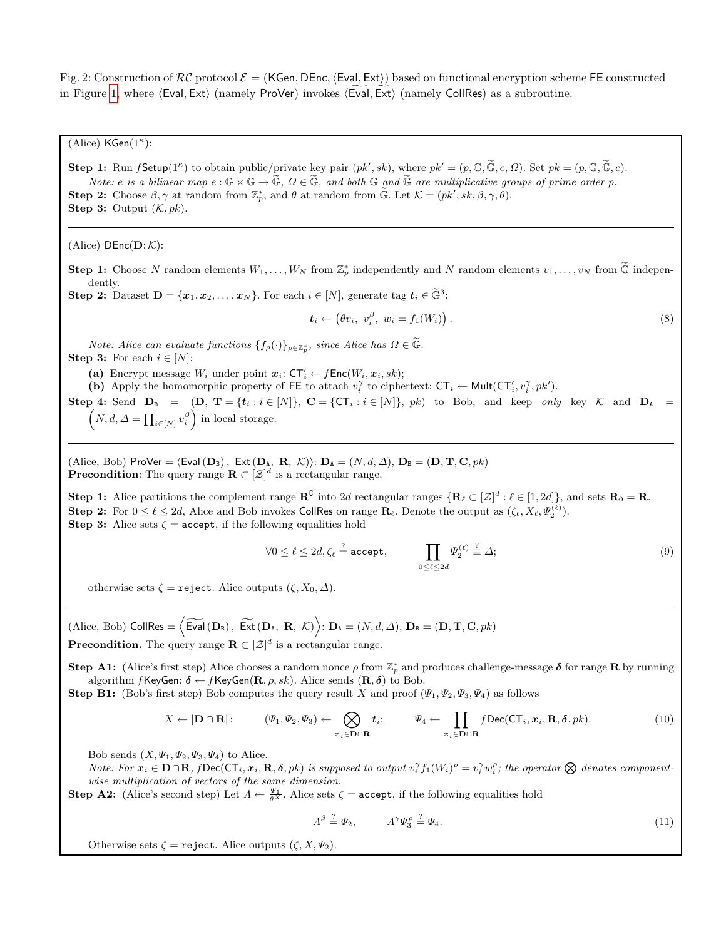<span id="page-11-0"></span>Fig. 2: Construction of  $RC$  protocol  $\mathcal{E} = (KGen, DEnc, \langle Eval, Ext \rangle)$  based on functional encryption scheme FE constructed in Figure [1,](#page-10-0) where  $\langle$  Eval, Ext $\rangle$  (namely ProVer) invokes  $\langle$  Eval, Ext $\rangle$  (namely CollRes) as a subroutine.

(Alice)  $\mathsf{KGen}(1^\kappa)$ :

**Step 1:** Run f Setup(1<sup>*k*</sup>) to obtain public/private key pair  $(pk', sk)$ , where  $pk' = (p, \mathbb{G}, \widetilde{\mathbb{G}}, e, \Omega)$ . Set  $pk = (p, \mathbb{G}, \widetilde{\mathbb{G}}, e)$ . Note: e is a bilinear map  $e : \mathbb{G} \times \mathbb{G} \to \widetilde{\mathbb{G}}$ ,  $\Omega \in \widetilde{\mathbb{G}}$ , and both  $\mathbb{G}$  and  $\widetilde{\mathbb{G}}$  are multiplicative groups of prime order p. **Step 2:** Choose  $\beta, \gamma$  at random from  $\mathbb{Z}_p^*$ , and  $\theta$  at random from  $\widetilde{\mathbb{G}}$ . Let  $\mathcal{K} = (pk', sk, \beta, \gamma, \theta)$ . **Step 3:** Output  $(K, pk)$ .

(Alice)  $DEnc(D; K)$ :

**Step 1:** Choose N random elements  $W_1, \ldots, W_N$  from  $\mathbb{Z}_p^*$  independently and N random elements  $v_1, \ldots, v_N$  from  $\widetilde{\mathbb{G}}$  independent dently.

**Step 2:** Dataset  $\mathbf{D} = \{x_1, x_2, \ldots, x_N\}$ . For each  $i \in [N]$ , generate tag  $\mathbf{t}_i \in \widetilde{\mathbb{G}}^3$ :

<span id="page-11-1"></span>
$$
\boldsymbol{t}_i \leftarrow \left(\theta v_i, \ v_i^{\beta}, \ w_i = f_1(W_i)\right). \tag{8}
$$

Note: Alice can evaluate functions  $\{f_{\rho}(\cdot)\}_{\rho \in \mathbb{Z}_{p}^{*}}$ , since Alice has  $\Omega \in \widetilde{\mathbb{G}}$ . **Step 3:** For each  $i \in [N]$ :

(a) Encrypt message  $W_i$  under point  $x_i: \mathsf{CT}'_i \leftarrow f\mathsf{Enc}(W_i, x_i, sk);$ 

(b) Apply the homomorphic property of FE to attach  $v_i^{\gamma}$  to ciphertext:  $CT_i \leftarrow Mult(CT'_i, v_i^{\gamma}, pk').$ 

Step 4: Send  $D_B = (D, T = \{t_i : i \in [N]\}, C = \{CT_i : i \in [N]\}, p_k)$  to Bob, and keep only key K and  $D_A =$  $\left(N, d, \Delta = \prod_{i \in [N]} v_i^{\beta} \right)$  in local storage.

(Alice, Bob) ProVer =  $\langle$  Eval $(D_B)$ , Ext $(D_A, R, \mathcal{K})$ :  $D_A = (N, d, \Delta)$ ,  $D_B = (D, T, C, pk)$ **Precondition**: The query range  $\mathbf{R} \subset [\mathcal{Z}]^d$  is a rectangular range.

**Step 1:** Alice partitions the complement range  $\mathbb{R}^{\mathbb{C}}$  into 2d rectangular ranges  $\{\mathbf{R}_{\ell} \subset [\mathcal{Z}]^d : \ell \in [1, 2d]\}$ , and sets  $\mathbf{R}_0 = \mathbf{R}$ . Step 2: For  $0 \le \ell \le 2d$ , Alice and Bob invokes CollRes on range  $\mathbf{R}_{\ell}$ . Denote the output as  $(\zeta_{\ell}, X_{\ell}, \Psi_2^{(\ell)})$ . **Step 3:** Alice sets  $\zeta$  = accept, if the following equalities hold

<span id="page-11-2"></span>
$$
\forall 0 \le \ell \le 2d, \zeta_{\ell} \stackrel{?}{=} \text{accept}, \qquad \prod_{0 \le \ell \le 2d} \Psi_2^{(\ell)} \stackrel{?}{=} \Delta;
$$
 (9)

otherwise sets  $\zeta =$  reject. Alice outputs  $(\zeta, X_0, \Delta)$ .

 $\left(\text{Alice, Bob}\right) \text{ Collins} = \left\langle \widetilde{\text{Eval}}\left(\mathbf{D}_{\text{B}}\right), \ \widetilde{\text{Ext}}\left(\mathbf{D}_{\text{A}}, \ \mathbf{R}, \ \mathcal{K}\right) \right\rangle: \mathbf{D}_{\text{A}} = (N, d, \Delta), \ \mathbf{D}_{\text{B}} = (\mathbf{D}, \mathbf{T}, \mathbf{C}, pk)$ 

**Precondition.** The query range  $\mathbf{R} \subset [\mathcal{Z}]^d$  is a rectangular range.

**Step A1:** (Alice's first step) Alice chooses a random nonce  $\rho$  from  $\mathbb{Z}_p^*$  and produces challenge-message  $\delta$  for range **R** by running algorithm  $f$ KeyGen:  $\delta \leftarrow f$ KeyGen( $\mathbf{R}, \rho, sk$ ). Alice sends  $(\mathbf{R}, \delta)$  to Bob.

**Step B1:** (Bob's first step) Bob computes the query result X and proof  $(\Psi_1, \Psi_2, \Psi_3, \Psi_4)$  as follows

$$
X \leftarrow |\mathbf{D} \cap \mathbf{R}|; \qquad (\Psi_1, \Psi_2, \Psi_3) \leftarrow \bigotimes_{x_i \in \mathbf{D} \cap \mathbf{R}} t_i; \qquad \Psi_4 \leftarrow \prod_{x_i \in \mathbf{D} \cap \mathbf{R}} f \mathsf{Dec}(\mathsf{CT}_i, x_i, \mathbf{R}, \delta, pk).
$$
 (10)

Bob sends  $(X, \Psi_1, \Psi_2, \Psi_3, \Psi_4)$  to Alice.

Note: For  $x_i \in \mathbf{D} \cap \mathbf{R}$ ,  $f \mathsf{Dec}(\mathsf{CT}_i, x_i, \mathbf{R}, \delta, pk)$  is supposed to output  $v_i^{\gamma} f_1(W_i)^{\rho} = v_i^{\gamma} w_i^{\rho}$ ; the operator  $\bigotimes$  denotes componentwise multiplication of vectors of the same dimension.

**Step A2:** (Alice's second step) Let  $\Lambda \leftarrow \frac{\Psi_1}{\theta X}$ . Alice sets  $\zeta = \text{accept}$ , if the following equalities hold

<span id="page-11-3"></span>
$$
\Lambda^{\beta} \stackrel{?}{=} \Psi_2, \qquad \Lambda^{\gamma} \Psi_3^{\rho} \stackrel{?}{=} \Psi_4. \tag{11}
$$

Otherwise sets  $\zeta$  = reject. Alice outputs  $(\zeta, X, \Psi_2)$ .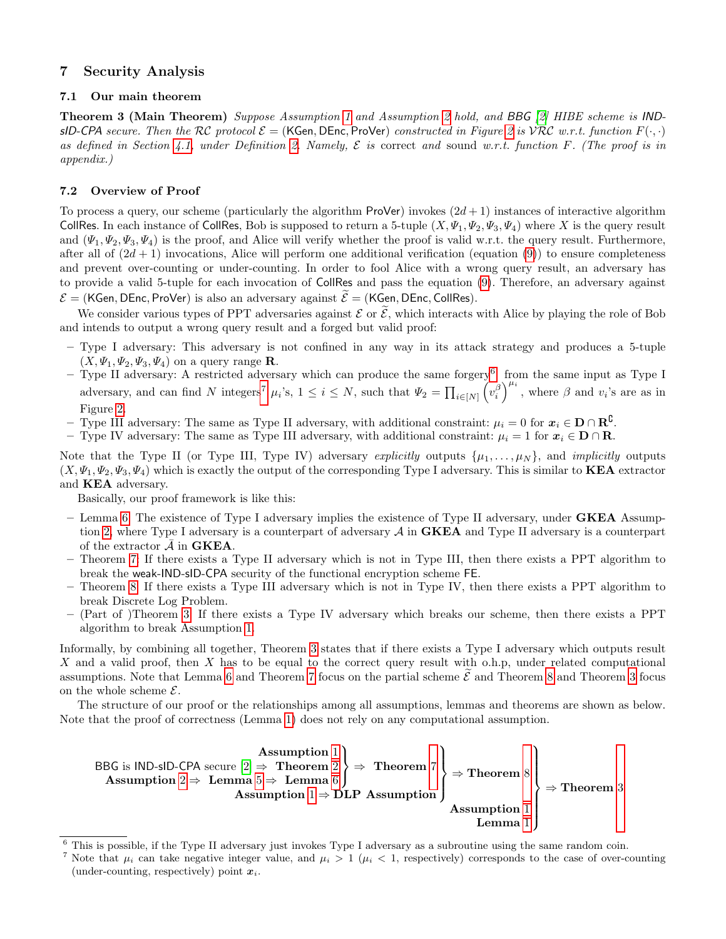## <span id="page-12-1"></span>7 Security Analysis

### 7.1 Our main theorem

<span id="page-12-0"></span>Theorem 3 (Main Theorem) Suppose Assumption [1](#page-6-2) and Assumption [2](#page-6-1) hold, and BBG [\[2\]](#page-15-1) HIBE scheme is INDsID-CPA secure. Then the RC protocol  $\mathcal{E} = (KGen, DEnc, ProVer)$  constructed in Figure [2](#page-11-0) is  $VRC$  w.r.t. function  $F(\cdot, \cdot)$ as defined in Section [4.1,](#page-5-1) under Definition [2.](#page-6-3) Namely,  $\mathcal E$  is correct and sound w.r.t. function F. (The proof is in appendix.)

### <span id="page-12-4"></span>7.2 Overview of Proof

To process a query, our scheme (particularly the algorithm ProVer) invokes  $(2d + 1)$  instances of interactive algorithm CollRes. In each instance of CollRes, Bob is supposed to return a 5-tuple  $(X, \Psi_1, \Psi_2, \Psi_3, \Psi_4)$  where X is the query result and  $(\Psi_1, \Psi_2, \Psi_3, \Psi_4)$  is the proof, and Alice will verify whether the proof is valid w.r.t. the query result. Furthermore, after all of  $(2d + 1)$  invocations, Alice will perform one additional verification (equation [\(9\)](#page-11-2)) to ensure completeness and prevent over-counting or under-counting. In order to fool Alice with a wrong query result, an adversary has to provide a valid 5-tuple for each invocation of CollRes and pass the equation [\(9\)](#page-11-2). Therefore, an adversary against  $\mathcal{E} =$  (KGen, DEnc, ProVer) is also an adversary against  $\tilde{\mathcal{E}} =$  (KGen, DEnc, CollRes).

We consider various types of PPT adversaries against  $\mathcal E$  or  $\widetilde{\mathcal E}$ , which interacts with Alice by playing the role of Bob and intends to output a wrong query result and a forged but valid proof:

- Type I adversary: This adversary is not confined in any way in its attack strategy and produces a 5-tuple  $(X, \Psi_1, \Psi_2, \Psi_3, \Psi_4)$  on a query range **R**.
- $-$  Type II adversary: A restricted adversary which can produce the same forgery<sup>[6](#page-12-2)</sup> from the same input as Type I adversary, and can find N integers<sup>[7](#page-12-3)</sup>  $\mu_i$ 's,  $1 \leq i \leq N$ , such that  $\Psi_2 = \prod_{i \in [N]} \left( v_i^{\beta} \right)^{\mu_i}$ , where  $\beta$  and  $v_i$ 's are as in Figure [2.](#page-11-0)
- Type III adversary: The same as Type II adversary, with additional constraint:  $\mu_i = 0$  for  $\mathbf{x}_i \in \mathbf{D} \cap \mathbf{R}^{\complement}$ .
- Type IV adversary: The same as Type III adversary, with additional constraint:  $\mu_i = 1$  for  $\mathbf{x}_i \in \mathbf{D} \cap \mathbf{R}$ .

Note that the Type II (or Type III, Type IV) adversary explicitly outputs  $\{\mu_1, \ldots, \mu_N\}$ , and *implicitly* outputs  $(X, \Psi_1, \Psi_2, \Psi_3, \Psi_4)$  which is exactly the output of the corresponding Type I adversary. This is similar to **KEA** extractor and KEA adversary.

Basically, our proof framework is like this:

- Lemma [6:](#page-24-0) The existence of Type I adversary implies the existence of Type II adversary, under **GKEA** Assump-tion [2,](#page-6-1) where Type I adversary is a counterpart of adversary  $A$  in **GKEA** and Type II adversary is a counterpart of the extractor  $\bar{\mathcal{A}}$  in **GKEA**.
- Theorem [7:](#page-25-0) If there exists a Type II adversary which is not in Type III, then there exists a PPT algorithm to break the weak-IND-sID-CPA security of the functional encryption scheme FE.
- Theorem [8:](#page-29-0) If there exists a Type III adversary which is not in Type IV, then there exists a PPT algorithm to break Discrete Log Problem.
- (Part of )Theorem [3:](#page-12-0) If there exists a Type IV adversary which breaks our scheme, then there exists a PPT algorithm to break Assumption [1.](#page-6-2)

Informally, by combining all together, Theorem [3](#page-12-0) states that if there exists a Type I adversary which outputs result X and a valid proof, then X has to be equal to the correct query result with o.h.p, under related computational assumptions. Note that Lemma [6](#page-24-0) and Theorem [7](#page-25-0) focus on the partial scheme  $\mathcal E$  and Theorem [8](#page-29-0) and Theorem [3](#page-12-0) focus on the whole scheme  $\mathcal{E}$ .

The structure of our proof or the relationships among all assumptions, lemmas and theorems are shown as below. Note that the proof of correctness (Lemma [1\)](#page-8-2) does not rely on any computational assumption.



<span id="page-12-2"></span>This is possible, if the Type II adversary just invokes Type I adversary as a subroutine using the same random coin.

<span id="page-12-3"></span>Note that  $\mu_i$  can take negative integer value, and  $\mu_i > 1$  ( $\mu_i < 1$ , respectively) corresponds to the case of over-counting (under-counting, respectively) point  $x_i$ .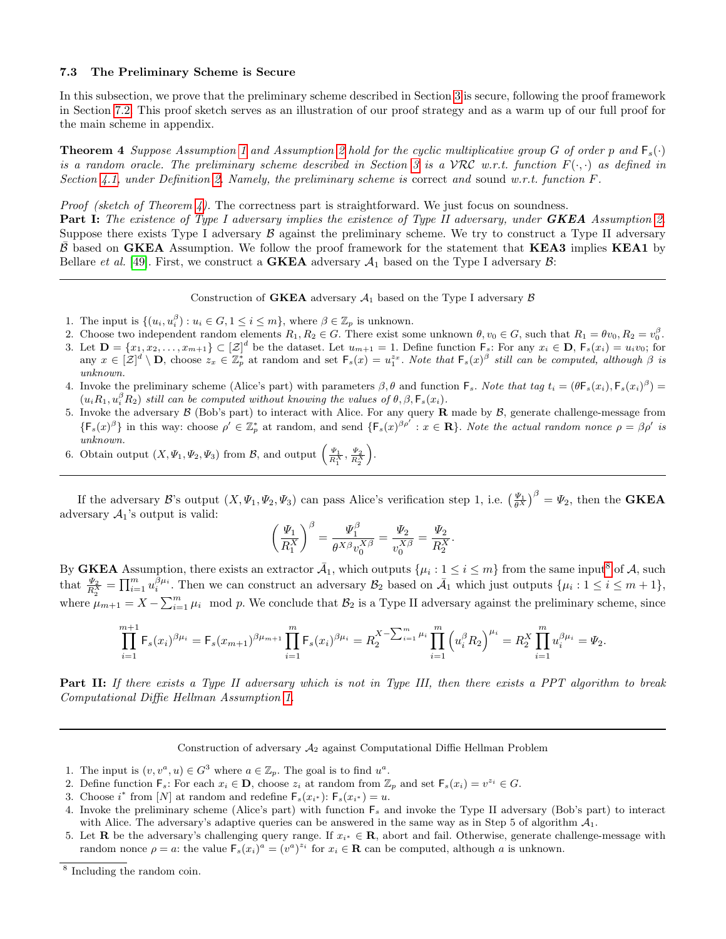#### 7.3 The Preliminary Scheme is Secure

In this subsection, we prove that the preliminary scheme described in Section [3](#page-3-0) is secure, following the proof framework in Section [7.2.](#page-12-4) This proof sketch serves as an illustration of our proof strategy and as a warm up of our full proof for the main scheme in appendix.

<span id="page-13-0"></span>**Theorem 4** Suppose Assumption [1](#page-6-2) and Assumption [2](#page-6-1) hold for the cyclic multiplicative group G of order p and  $F_s(\cdot)$ is a random oracle. The preliminary scheme described in Section [3](#page-3-0) is a VRC w.r.t. function  $F(\cdot, \cdot)$  as defined in Section [4.1,](#page-5-1) under Definition [2.](#page-6-3) Namely, the preliminary scheme is correct and sound w.r.t. function  $F$ .

*Proof (sketch of Theorem [4\)](#page-13-0).* The correctness part is straightforward. We just focus on soundness.

**Part I:** The existence of Type I adversary implies the existence of Type II adversary, under **GKEA** Assumption [2.](#page-6-1) Suppose there exists Type I adversary  $\beta$  against the preliminary scheme. We try to construct a Type II adversary  $\bar{\beta}$  based on GKEA Assumption. We follow the proof framework for the statement that KEA3 implies KEA1 by Bellare *et al.* [\[49\]](#page-17-11). First, we construct a **GKEA** adversary  $A_1$  based on the Type I adversary  $B$ :

Construction of **GKEA** adversary  $A_1$  based on the Type I adversary  $B$ 

- 1. The input is  $\{(u_i, u_i^{\beta}) : u_i \in G, 1 \leq i \leq m\}$ , where  $\beta \in \mathbb{Z}_p$  is unknown.
- 2. Choose two independent random elements  $R_1, R_2 \in G$ . There exist some unknown  $\theta, v_0 \in G$ , such that  $R_1 = \theta v_0, R_2 = v_0^{\beta}$ .
- 3. Let  $\mathbf{D} = \{x_1, x_2, \ldots, x_{m+1}\} \subset \left[\mathcal{Z}\right]^d$  be the dataset. Let  $u_{m+1} = 1$ . Define function  $\mathsf{F}_s$ : For any  $x_i \in \mathbf{D}$ ,  $\mathsf{F}_s(x_i) = u_i v_0$ ; for any  $x \in [\mathcal{Z}]^d \setminus \mathbf{D}$ , choose  $z_x \in \mathbb{Z}_p^*$  at random and set  $\mathsf{F}_s(x) = u_1^{z_x}$ . Note that  $\mathsf{F}_s(x)^\beta$  still can be computed, although  $\beta$  is unknown.
- 4. Invoke the preliminary scheme (Alice's part) with parameters  $\beta$ ,  $\theta$  and function  $\mathsf{F}_s$ . Note that tag  $t_i = (\theta \mathsf{F}_s(x_i), \mathsf{F}_s(x_i)^{\beta}) =$  $(u_i R_1, u_i^{\beta} R_2)$  still can be computed without knowing the values of  $\theta, \beta, \mathsf{F}_s(x_i)$ .
- 5. Invoke the adversary  $\beta$  (Bob's part) to interact with Alice. For any query **R** made by  $\beta$ , generate challenge-message from  $\{F_s(x)^\beta\}$  in this way: choose  $\rho' \in \mathbb{Z}_p^*$  at random, and send  $\{F_s(x)^\beta \rho': x \in \mathbf{R}\}\$ . Note the actual random nonce  $\rho = \beta \rho'$  is unknown.
- 6. Obtain output  $(X, \Psi_1, \Psi_2, \Psi_3)$  from B, and output  $\left(\frac{\Psi_1}{R_1^X}, \frac{\Psi_2}{R_2^X}\right)$ .

If the adversary B's output  $(X, \Psi_1, \Psi_2, \Psi_3)$  can pass Alice's verification step 1, i.e.  $\left(\frac{\Psi_1}{\theta X}\right)^{\beta} = \Psi_2$ , then the **GKEA** adversary  $A_1$ 's output is valid:

$$
\left(\frac{\varPsi_1}{R_1^X}\right)^\beta=\frac{\varPsi_1^\beta}{\theta^{X\beta}v_0^{X\beta}}=\frac{\varPsi_2}{v_0^{X\beta}}=\frac{\varPsi_2}{R_2^X}.
$$

By **GKEA** Assumption, there exists an extractor  $\bar{A}_1$ , which outputs  $\{\mu_i: 1 \leq i \leq m\}$  from the same input<sup>[8](#page-13-1)</sup> of A, such that  $\frac{\Psi_2}{R_2^X} = \prod_{i=1}^m u_i^{\beta \mu_i}$ . Then we can construct an adversary  $\mathcal{B}_2$  based on  $\bar{\mathcal{A}}_1$  which just outputs  $\{\mu_i : 1 \leq i \leq m+1\}$ , where  $\mu_{m+1} = X - \sum_{i=1}^{m} \mu_i$  mod p. We conclude that  $\mathcal{B}_2$  is a Type II adversary against the preliminary scheme, since

$$
\prod_{i=1}^{m+1} \mathsf{F}_s(x_i)^{\beta \mu_i} = \mathsf{F}_s(x_{m+1})^{\beta \mu_{m+1}} \prod_{i=1}^m \mathsf{F}_s(x_i)^{\beta \mu_i} = R_2^{X - \sum_{i=1}^m \mu_i} \prod_{i=1}^m \left(u_i^{\beta} R_2\right)^{\mu_i} = R_2^X \prod_{i=1}^m u_i^{\beta \mu_i} = \Psi_2.
$$

Part II: If there exists a Type II adversary which is not in Type III, then there exists a PPT algorithm to break Computational Diffie Hellman Assumption [1.](#page-6-2)

Construction of adversary  $A_2$  against Computational Diffie Hellman Problem

- 1. The input is  $(v, v^a, u) \in G^3$  where  $a \in \mathbb{Z}_p$ . The goal is to find  $u^a$ .
- 2. Define function  $\mathsf{F}_s$ : For each  $x_i \in \mathbf{D}$ , choose  $z_i$  at random from  $\mathbb{Z}_p$  and set  $\mathsf{F}_s(x_i) = v^{z_i} \in G$ .
- 3. Choose  $i^*$  from [N] at random and redefine  $\mathsf{F}_s(x_{i^*})$ :  $\mathsf{F}_s(x_{i^*}) = u$ .
- 4. Invoke the preliminary scheme (Alice's part) with function  $F_s$  and invoke the Type II adversary (Bob's part) to interact with Alice. The adversary's adaptive queries can be answered in the same way as in Step 5 of algorithm  $A_1$ .
- 5. Let **R** be the adversary's challenging query range. If  $x_{i^*} \in \mathbb{R}$ , abort and fail. Otherwise, generate challenge-message with random nonce  $\rho = a$ : the value  $\mathsf{F}_s(x_i)^a = (v^a)^{z_i}$  for  $x_i \in \mathbb{R}$  can be computed, although a is unknown.

<span id="page-13-1"></span><sup>8</sup> Including the random coin.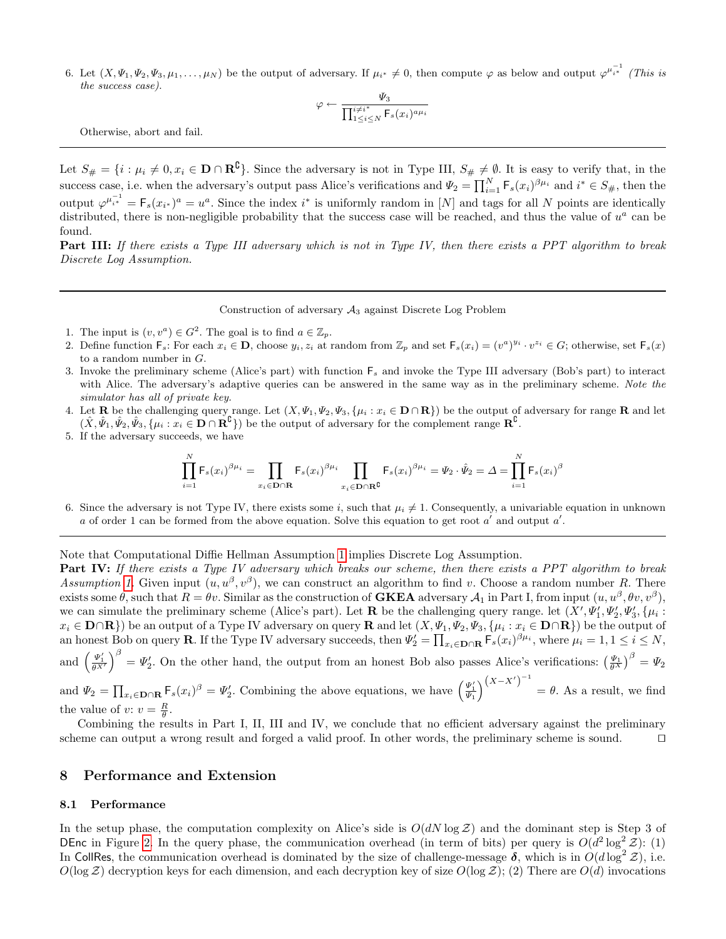6. Let  $(X, \Psi_1, \Psi_2, \Psi_3, \mu_1, \ldots, \mu_N)$  be the output of adversary. If  $\mu_{i^*} \neq 0$ , then compute  $\varphi$  as below and output  $\varphi^{\mu_{i^*}^{-1}}$  (This is the success case).

$$
\varphi \leftarrow \frac{\Psi_3}{\prod_{1 \leq i \leq N}^{i \neq i^*} \mathsf{F}_s(x_i)^{a \mu_i}}
$$

Otherwise, abort and fail.

Let  $S_{\#} = \{i : \mu_i \neq 0, x_i \in \mathbf{D} \cap \mathbf{R}^{\complement}\}\.$  Since the adversary is not in Type III,  $S_{\#} \neq \emptyset$ . It is easy to verify that, in the success case, i.e. when the adversary's output pass Alice's verifications and  $\Psi_2 = \prod_{i=1}^N \mathsf{F}_s(x_i)^{\beta \mu_i}$  and  $i^* \in S_{\#}$ , then the output  $\varphi^{\mu_{i*}^{-1}} = \mathsf{F}_s(x_{i*})^a = u^a$ . Since the index  $i^*$  is uniformly random in [N] and tags for all N points are identically distributed, there is non-negligible probability that the success case will be reached, and thus the value of  $u^a$  can be found.

Part III: If there exists a Type III adversary which is not in Type IV, then there exists a PPT algorithm to break Discrete Log Assumption.

#### Construction of adversary  $A_3$  against Discrete Log Problem

- 1. The input is  $(v, v^a) \in G^2$ . The goal is to find  $a \in \mathbb{Z}_p$ .
- 2. Define function  $\mathsf{F}_s$ : For each  $x_i \in \mathbf{D}$ , choose  $y_i, z_i$  at random from  $\mathbb{Z}_p$  and set  $\mathsf{F}_s(x_i) = (v^a)^{y_i} \cdot v^{z_i} \in G$ ; otherwise, set  $\mathsf{F}_s(x)$ to a random number in G.
- 3. Invoke the preliminary scheme (Alice's part) with function  $F_s$  and invoke the Type III adversary (Bob's part) to interact with Alice. The adversary's adaptive queries can be answered in the same way as in the preliminary scheme. Note the simulator has all of private key.
- 4. Let **R** be the challenging query range. Let  $(X, \Psi_1, \Psi_2, \Psi_3, \{\mu_i : x_i \in \mathbf{D} \cap \mathbf{R}\})$  be the output of adversary for range **R** and let  $(\hat{X}, \hat{\Psi}_1, \hat{\Psi}_2, \hat{\Psi}_3, \{\mu_i : x_i \in \mathbf{D} \cap \mathbf{R}^{\complement}\})$  be the output of adversary for the complement range  $\mathbf{R}^{\complement}$ .
- 5. If the adversary succeeds, we have

$$
\prod_{i=1}^N {\sf F}_s(x_i)^{\beta\mu_i}=\prod_{x_i\in{\bf D}\cap{\bf R}} {\sf F}_s(x_i)^{\beta\mu_i} \prod_{x_i\in{\bf D}\cap{\bf R}^{\bf C}} {\sf F}_s(x_i)^{\beta\mu_i}=\Psi_2\cdot\hat{\Psi}_2=\varDelta=\prod_{i=1}^N {\sf F}_s(x_i)^{\beta}
$$

6. Since the adversary is not Type IV, there exists some i, such that  $\mu_i \neq 1$ . Consequently, a univariable equation in unknown a of order 1 can be formed from the above equation. Solve this equation to get root  $a'$  and output  $a'$ .

Note that Computational Diffie Hellman Assumption [1](#page-6-2) implies Discrete Log Assumption.

Part IV: If there exists a Type IV adversary which breaks our scheme, then there exists a PPT algorithm to break Assumption [1.](#page-6-2) Given input  $(u, u^{\beta}, v^{\beta})$ , we can construct an algorithm to find v. Choose a random number R. There exists some  $\theta$ , such that  $R = \theta v$ . Similar as the construction of **GKEA** adversary  $\mathcal{A}_1$  in Part I, from input  $(u, u^{\beta}, \theta v, v^{\beta})$ , we can simulate the preliminary scheme (Alice's part). Let **R** be the challenging query range. let  $(X', \Psi'_1, \Psi'_2, \Psi'_3, \{\mu_i :$  $x_i \in \mathbf{D} \cap \mathbf{R}$ ) be an output of a Type IV adversary on query  $\mathbf{R}$  and let  $(X, \Psi_1, \Psi_2, \Psi_3, \{\mu_i : x_i \in \mathbf{D} \cap \mathbf{R}\})$  be the output of an honest Bob on query **R**. If the Type IV adversary succeeds, then  $\Psi_2' = \prod_{x_i \in \mathbf{D} \cap \mathbf{R}} \mathsf{F}_s(x_i)^{\beta \mu_i}$ , where  $\mu_i = 1, 1 \leq i \leq N$ , and  $\left(\frac{\Psi_1'}{\theta X'}\right)^{\beta} = \Psi_2'$ . On the other hand, the output from an honest Bob also passes Alice's verifications:  $\left(\frac{\Psi_1}{\theta X}\right)^{\beta} = \Psi_2$ and  $\Psi_2 = \prod_{x_i \in \mathbf{D} \cap \mathbf{R}} \mathsf{F}_s(x_i)^\beta = \Psi_2'$ . Combining the above equations, we have  $\left(\frac{\Psi_1'}{\Psi_1}\right)^{(X-X')^{-1}}$  $=\theta$ . As a result, we find

the value of  $v: v = \frac{R}{\theta}$ . Combining the results in Part I, II, III and IV, we conclude that no efficient adversary against the preliminary scheme can output a wrong result and forged a valid proof. In other words, the preliminary scheme is sound.  $\square$ 

#### <span id="page-14-0"></span>8 Performance and Extension

#### 8.1 Performance

In the setup phase, the computation complexity on Alice's side is  $O(dN \log Z)$  and the dominant step is Step 3 of DEnc in Figure [2.](#page-11-0) In the query phase, the communication overhead (in term of bits) per query is  $O(d^2 \log^2 \mathcal{Z})$ : (1) In CollRes, the communication overhead is dominated by the size of challenge-message  $\delta$ , which is in  $O(d \log^2 Z)$ , i.e.  $O(\log Z)$  decryption keys for each dimension, and each decryption key of size  $O(\log Z)$ ; (2) There are  $O(d)$  invocations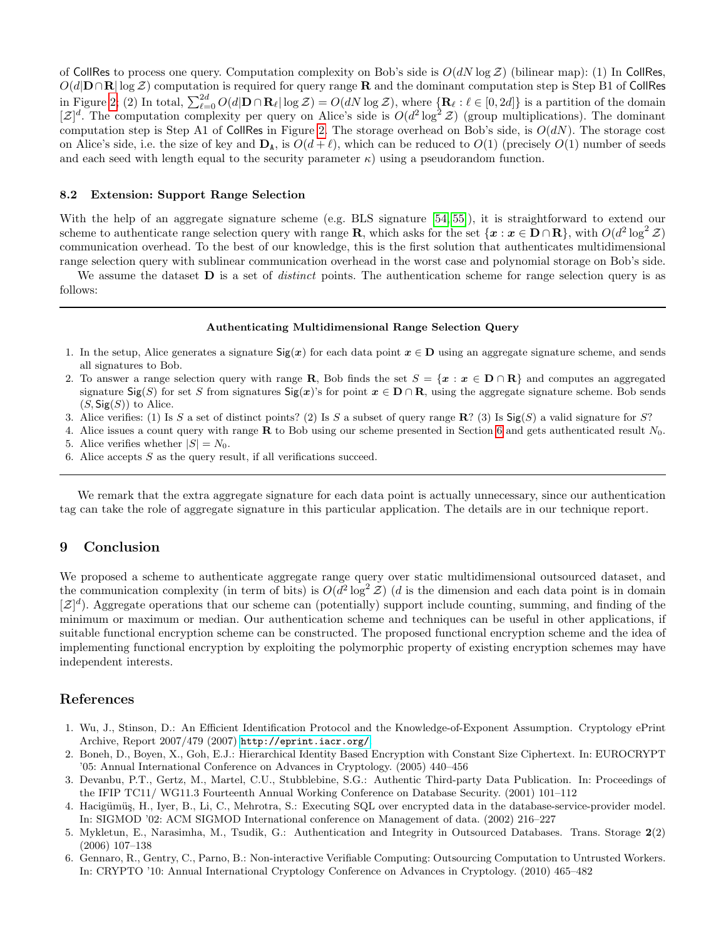of CollRes to process one query. Computation complexity on Bob's side is  $O(dN \log Z)$  (bilinear map): (1) In CollRes,  $O(d|\mathbf{D}\cap\mathbf{R}|\log Z)$  computation is required for query range **R** and the dominant computation step is Step B1 of CollRes in Figure [2;](#page-11-0) (2) In total,  $\sum_{\ell=0}^{2d} O(d|\mathbf{D} \cap \mathbf{R}_{\ell}| \log \mathcal{Z}) = O(dN \log \mathcal{Z})$ , where  $\{\mathbf{R}_{\ell} : \ell \in [0, 2d]\}$  is a partition of the domain  $[\mathcal{Z}]^d$ . The computation complexity per query on Alice's side is  $O(d^2 \log^2 \mathcal{Z})$  (group multiplications). The dominant computation step is Step A1 of CollRes in Figure [2.](#page-11-0) The storage overhead on Bob's side, is  $O(dN)$ . The storage cost on Alice's side, i.e. the size of key and  $\mathbf{D}_A$ , is  $O(d+\ell)$ , which can be reduced to  $O(1)$  (precisely  $O(1)$  number of seeds and each seed with length equal to the security parameter  $\kappa$ ) using a pseudorandom function.

#### <span id="page-15-6"></span>8.2 Extension: Support Range Selection

With the help of an aggregate signature scheme (e.g. BLS signature [\[54,](#page-17-17) [55\]](#page-17-18)), it is straightforward to extend our scheme to authenticate range selection query with range R, which asks for the set  $\{x : x \in D \cap R\}$ , with  $O(d^2 \log^2 \mathcal{Z})$ communication overhead. To the best of our knowledge, this is the first solution that authenticates multidimensional range selection query with sublinear communication overhead in the worst case and polynomial storage on Bob's side.

We assume the dataset  $\bf{D}$  is a set of *distinct* points. The authentication scheme for range selection query is as follows:

#### Authenticating Multidimensional Range Selection Query

- 1. In the setup, Alice generates a signature  $\text{Sig}(x)$  for each data point  $x \in D$  using an aggregate signature scheme, and sends all signatures to Bob.
- 2. To answer a range selection query with range R, Bob finds the set  $S = \{x : x \in D \cap R\}$  and computes an aggregated signature Sig(S) for set S from signatures Sig(x)'s for point  $x \in D \cap R$ , using the aggregate signature scheme. Bob sends  $(S, \mathsf{Sig}(S))$  to Alice.
- 3. Alice verifies: (1) Is S a set of distinct points? (2) Is S a subset of query range  $\mathbb{R}$ ? (3) Is  $\text{Sig}(S)$  a valid signature for S?
- 4. Alice issues a count query with range  $\bf{R}$  to Bob using our scheme presented in Section [6](#page-9-0) and gets authenticated result  $N_0$ .
- 5. Alice verifies whether  $|S| = N_0$ .
- 6. Alice accepts  $S$  as the query result, if all verifications succeed.

We remark that the extra aggregate signature for each data point is actually unnecessary, since our authentication tag can take the role of aggregate signature in this particular application. The details are in our technique report.

### <span id="page-15-7"></span>9 Conclusion

We proposed a scheme to authenticate aggregate range query over static multidimensional outsourced dataset, and the communication complexity (in term of bits) is  $O(d^2 \log^2 \mathcal{Z})$  (d is the dimension and each data point is in domain  $[\mathcal{Z}]^d$ ). Aggregate operations that our scheme can (potentially) support include counting, summing, and finding of the minimum or maximum or median. Our authentication scheme and techniques can be useful in other applications, if suitable functional encryption scheme can be constructed. The proposed functional encryption scheme and the idea of implementing functional encryption by exploiting the polymorphic property of existing encryption schemes may have independent interests.

### References

- <span id="page-15-0"></span>1. Wu, J., Stinson, D.: An Efficient Identification Protocol and the Knowledge-of-Exponent Assumption. Cryptology ePrint Archive, Report 2007/479 (2007) <http://eprint.iacr.org/>.
- <span id="page-15-1"></span>2. Boneh, D., Boyen, X., Goh, E.J.: Hierarchical Identity Based Encryption with Constant Size Ciphertext. In: EUROCRYPT '05: Annual International Conference on Advances in Cryptology. (2005) 440–456
- <span id="page-15-2"></span>3. Devanbu, P.T., Gertz, M., Martel, C.U., Stubblebine, S.G.: Authentic Third-party Data Publication. In: Proceedings of the IFIP TC11/ WG11.3 Fourteenth Annual Working Conference on Database Security. (2001) 101–112
- <span id="page-15-3"></span>4. Hacigümüş, H., Iyer, B., Li, C., Mehrotra, S.: Executing SQL over encrypted data in the database-service-provider model. In: SIGMOD '02: ACM SIGMOD International conference on Management of data. (2002) 216–227
- <span id="page-15-4"></span>5. Mykletun, E., Narasimha, M., Tsudik, G.: Authentication and Integrity in Outsourced Databases. Trans. Storage 2(2) (2006) 107–138
- <span id="page-15-5"></span>6. Gennaro, R., Gentry, C., Parno, B.: Non-interactive Verifiable Computing: Outsourcing Computation to Untrusted Workers. In: CRYPTO '10: Annual International Cryptology Conference on Advances in Cryptology. (2010) 465–482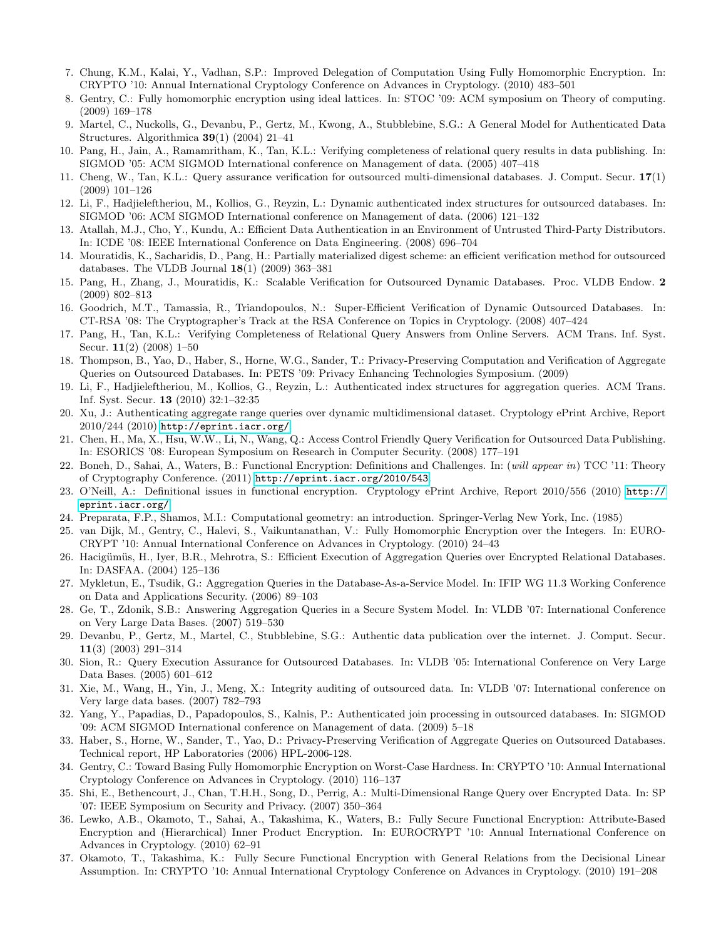- <span id="page-16-0"></span>7. Chung, K.M., Kalai, Y., Vadhan, S.P.: Improved Delegation of Computation Using Fully Homomorphic Encryption. In: CRYPTO '10: Annual International Cryptology Conference on Advances in Cryptology. (2010) 483–501
- <span id="page-16-1"></span>8. Gentry, C.: Fully homomorphic encryption using ideal lattices. In: STOC '09: ACM symposium on Theory of computing. (2009) 169–178
- <span id="page-16-2"></span>9. Martel, C., Nuckolls, G., Devanbu, P., Gertz, M., Kwong, A., Stubblebine, S.G.: A General Model for Authenticated Data Structures. Algorithmica 39(1) (2004) 21–41
- <span id="page-16-3"></span>10. Pang, H., Jain, A., Ramamritham, K., Tan, K.L.: Verifying completeness of relational query results in data publishing. In: SIGMOD '05: ACM SIGMOD International conference on Management of data. (2005) 407–418
- <span id="page-16-4"></span>11. Cheng, W., Tan, K.L.: Query assurance verification for outsourced multi-dimensional databases. J. Comput. Secur. 17(1) (2009) 101–126
- <span id="page-16-5"></span>12. Li, F., Hadjieleftheriou, M., Kollios, G., Reyzin, L.: Dynamic authenticated index structures for outsourced databases. In: SIGMOD '06: ACM SIGMOD International conference on Management of data. (2006) 121–132
- <span id="page-16-6"></span>13. Atallah, M.J., Cho, Y., Kundu, A.: Efficient Data Authentication in an Environment of Untrusted Third-Party Distributors. In: ICDE '08: IEEE International Conference on Data Engineering. (2008) 696–704
- <span id="page-16-7"></span>14. Mouratidis, K., Sacharidis, D., Pang, H.: Partially materialized digest scheme: an efficient verification method for outsourced databases. The VLDB Journal  $18(1)$  (2009) 363-381
- <span id="page-16-8"></span>15. Pang, H., Zhang, J., Mouratidis, K.: Scalable Verification for Outsourced Dynamic Databases. Proc. VLDB Endow. 2 (2009) 802–813
- <span id="page-16-9"></span>16. Goodrich, M.T., Tamassia, R., Triandopoulos, N.: Super-Efficient Verification of Dynamic Outsourced Databases. In: CT-RSA '08: The Cryptographer's Track at the RSA Conference on Topics in Cryptology. (2008) 407–424
- <span id="page-16-10"></span>17. Pang, H., Tan, K.L.: Verifying Completeness of Relational Query Answers from Online Servers. ACM Trans. Inf. Syst. Secur. 11(2) (2008) 1–50
- <span id="page-16-11"></span>18. Thompson, B., Yao, D., Haber, S., Horne, W.G., Sander, T.: Privacy-Preserving Computation and Verification of Aggregate Queries on Outsourced Databases. In: PETS '09: Privacy Enhancing Technologies Symposium. (2009)
- <span id="page-16-12"></span>19. Li, F., Hadjieleftheriou, M., Kollios, G., Reyzin, L.: Authenticated index structures for aggregation queries. ACM Trans. Inf. Syst. Secur. 13 (2010) 32:1–32:35
- <span id="page-16-13"></span>20. Xu, J.: Authenticating aggregate range queries over dynamic multidimensional dataset. Cryptology ePrint Archive, Report  $2010/244$   $(2010)$  <http://eprint.iacr.org/>.
- <span id="page-16-14"></span>21. Chen, H., Ma, X., Hsu, W.W., Li, N., Wang, Q.: Access Control Friendly Query Verification for Outsourced Data Publishing. In: ESORICS '08: European Symposium on Research in Computer Security. (2008) 177–191
- <span id="page-16-25"></span>22. Boneh, D., Sahai, A., Waters, B.: Functional Encryption: Definitions and Challenges. In: (will appear in) TCC '11: Theory of Cryptography Conference. (2011) <http://eprint.iacr.org/2010/543>.
- <span id="page-16-26"></span>23. O'Neill, A.: Definitional issues in functional encryption. Cryptology ePrint Archive, Report 2010/556 (2010) [http://](http://eprint.iacr.org/) [eprint.iacr.org/](http://eprint.iacr.org/).
- <span id="page-16-15"></span>24. Preparata, F.P., Shamos, M.I.: Computational geometry: an introduction. Springer-Verlag New York, Inc. (1985)
- <span id="page-16-16"></span>25. van Dijk, M., Gentry, C., Halevi, S., Vaikuntanathan, V.: Fully Homomorphic Encryption over the Integers. In: EURO-CRYPT '10: Annual International Conference on Advances in Cryptology. (2010) 24–43
- <span id="page-16-17"></span>26. Hacigümüs, H., Iyer, B.R., Mehrotra, S.: Efficient Execution of Aggregation Queries over Encrypted Relational Databases. In: DASFAA. (2004) 125–136
- <span id="page-16-18"></span>27. Mykletun, E., Tsudik, G.: Aggregation Queries in the Database-As-a-Service Model. In: IFIP WG 11.3 Working Conference on Data and Applications Security. (2006) 89–103
- <span id="page-16-19"></span>28. Ge, T., Zdonik, S.B.: Answering Aggregation Queries in a Secure System Model. In: VLDB '07: International Conference on Very Large Data Bases. (2007) 519–530
- <span id="page-16-20"></span>29. Devanbu, P., Gertz, M., Martel, C., Stubblebine, S.G.: Authentic data publication over the internet. J. Comput. Secur. 11(3) (2003) 291–314
- <span id="page-16-21"></span>30. Sion, R.: Query Execution Assurance for Outsourced Databases. In: VLDB '05: International Conference on Very Large Data Bases. (2005) 601–612
- <span id="page-16-22"></span>31. Xie, M., Wang, H., Yin, J., Meng, X.: Integrity auditing of outsourced data. In: VLDB '07: International conference on Very large data bases. (2007) 782–793
- <span id="page-16-23"></span>32. Yang, Y., Papadias, D., Papadopoulos, S., Kalnis, P.: Authenticated join processing in outsourced databases. In: SIGMOD '09: ACM SIGMOD International conference on Management of data. (2009) 5–18
- <span id="page-16-24"></span>33. Haber, S., Horne, W., Sander, T., Yao, D.: Privacy-Preserving Verification of Aggregate Queries on Outsourced Databases. Technical report, HP Laboratories (2006) HPL-2006-128.
- <span id="page-16-27"></span>34. Gentry, C.: Toward Basing Fully Homomorphic Encryption on Worst-Case Hardness. In: CRYPTO '10: Annual International Cryptology Conference on Advances in Cryptology. (2010) 116–137
- <span id="page-16-28"></span>35. Shi, E., Bethencourt, J., Chan, T.H.H., Song, D., Perrig, A.: Multi-Dimensional Range Query over Encrypted Data. In: SP '07: IEEE Symposium on Security and Privacy. (2007) 350–364
- <span id="page-16-29"></span>36. Lewko, A.B., Okamoto, T., Sahai, A., Takashima, K., Waters, B.: Fully Secure Functional Encryption: Attribute-Based Encryption and (Hierarchical) Inner Product Encryption. In: EUROCRYPT '10: Annual International Conference on Advances in Cryptology. (2010) 62–91
- <span id="page-16-30"></span>37. Okamoto, T., Takashima, K.: Fully Secure Functional Encryption with General Relations from the Decisional Linear Assumption. In: CRYPTO '10: Annual International Cryptology Conference on Advances in Cryptology. (2010) 191–208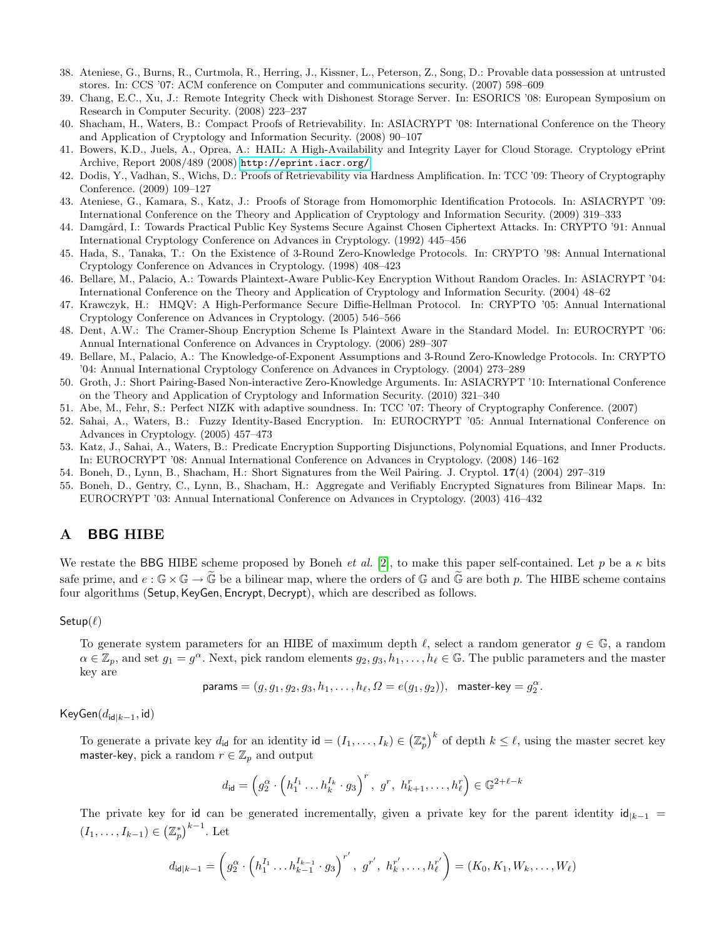- <span id="page-17-0"></span>38. Ateniese, G., Burns, R., Curtmola, R., Herring, J., Kissner, L., Peterson, Z., Song, D.: Provable data possession at untrusted stores. In: CCS '07: ACM conference on Computer and communications security. (2007) 598–609
- <span id="page-17-1"></span>39. Chang, E.C., Xu, J.: Remote Integrity Check with Dishonest Storage Server. In: ESORICS '08: European Symposium on Research in Computer Security. (2008) 223–237
- <span id="page-17-2"></span>40. Shacham, H., Waters, B.: Compact Proofs of Retrievability. In: ASIACRYPT '08: International Conference on the Theory and Application of Cryptology and Information Security. (2008) 90–107
- <span id="page-17-3"></span>41. Bowers, K.D., Juels, A., Oprea, A.: HAIL: A High-Availability and Integrity Layer for Cloud Storage. Cryptology ePrint Archive, Report 2008/489 (2008) <http://eprint.iacr.org/>.
- <span id="page-17-4"></span>42. Dodis, Y., Vadhan, S., Wichs, D.: Proofs of Retrievability via Hardness Amplification. In: TCC '09: Theory of Cryptography Conference. (2009) 109–127
- <span id="page-17-5"></span>43. Ateniese, G., Kamara, S., Katz, J.: Proofs of Storage from Homomorphic Identification Protocols. In: ASIACRYPT '09: International Conference on the Theory and Application of Cryptology and Information Security. (2009) 319–333
- <span id="page-17-6"></span>44. Damgård, I.: Towards Practical Public Key Systems Secure Against Chosen Ciphertext Attacks. In: CRYPTO '91: Annual International Cryptology Conference on Advances in Cryptology. (1992) 445–456
- <span id="page-17-7"></span>45. Hada, S., Tanaka, T.: On the Existence of 3-Round Zero-Knowledge Protocols. In: CRYPTO '98: Annual International Cryptology Conference on Advances in Cryptology. (1998) 408–423
- <span id="page-17-8"></span>46. Bellare, M., Palacio, A.: Towards Plaintext-Aware Public-Key Encryption Without Random Oracles. In: ASIACRYPT '04: International Conference on the Theory and Application of Cryptology and Information Security. (2004) 48–62
- <span id="page-17-9"></span>47. Krawczyk, H.: HMQV: A High-Performance Secure Diffie-Hellman Protocol. In: CRYPTO '05: Annual International Cryptology Conference on Advances in Cryptology. (2005) 546–566
- <span id="page-17-10"></span>48. Dent, A.W.: The Cramer-Shoup Encryption Scheme Is Plaintext Aware in the Standard Model. In: EUROCRYPT '06: Annual International Conference on Advances in Cryptology. (2006) 289–307
- <span id="page-17-11"></span>49. Bellare, M., Palacio, A.: The Knowledge-of-Exponent Assumptions and 3-Round Zero-Knowledge Protocols. In: CRYPTO '04: Annual International Cryptology Conference on Advances in Cryptology. (2004) 273–289
- <span id="page-17-12"></span>50. Groth, J.: Short Pairing-Based Non-interactive Zero-Knowledge Arguments. In: ASIACRYPT '10: International Conference on the Theory and Application of Cryptology and Information Security. (2010) 321–340
- <span id="page-17-13"></span>51. Abe, M., Fehr, S.: Perfect NIZK with adaptive soundness. In: TCC '07: Theory of Cryptography Conference. (2007)
- <span id="page-17-15"></span>52. Sahai, A., Waters, B.: Fuzzy Identity-Based Encryption. In: EUROCRYPT '05: Annual International Conference on Advances in Cryptology. (2005) 457–473
- <span id="page-17-16"></span>53. Katz, J., Sahai, A., Waters, B.: Predicate Encryption Supporting Disjunctions, Polynomial Equations, and Inner Products. In: EUROCRYPT '08: Annual International Conference on Advances in Cryptology. (2008) 146–162
- <span id="page-17-17"></span>54. Boneh, D., Lynn, B., Shacham, H.: Short Signatures from the Weil Pairing. J. Cryptol. 17(4) (2004) 297–319
- <span id="page-17-18"></span>55. Boneh, D., Gentry, C., Lynn, B., Shacham, H.: Aggregate and Verifiably Encrypted Signatures from Bilinear Maps. In: EUROCRYPT '03: Annual International Conference on Advances in Cryptology. (2003) 416–432

## <span id="page-17-14"></span>A BBG HIBE

We restate the BBG HIBE scheme proposed by Boneh *et al.* [\[2\]](#page-15-1), to make this paper self-contained. Let p be a  $\kappa$  bits safe prime, and  $e : \mathbb{G} \times \mathbb{G} \to \tilde{\mathbb{G}}$  be a bilinear map, where the orders of  $\mathbb{G}$  and  $\tilde{\mathbb{G}}$  are both p. The HIBE scheme contains four algorithms (Setup, KeyGen, Encrypt, Decrypt), which are described as follows.

Setup $(\ell)$ 

To generate system parameters for an HIBE of maximum depth  $\ell$ , select a random generator  $g \in \mathbb{G}$ , a random  $\alpha \in \mathbb{Z}_p$ , and set  $g_1 = g^{\alpha}$ . Next, pick random elements  $g_2, g_3, h_1, \ldots, h_\ell \in \mathbb{G}$ . The public parameters and the master key are

$$
\text{params} = (g, g_1, g_2, g_3, h_1, \dots, h_\ell, \Omega = e(g_1, g_2)), \quad \text{master-key} = g_2^\alpha.
$$

KeyGen $(d_{\text{idl}|k-1}, \text{id})$ 

To generate a private key  $d_{\mathsf{id}}$  for an identity  $\mathsf{id} = (I_1, \ldots, I_k) \in (\mathbb{Z}_p^*)^k$  of depth  $k \leq \ell$ , using the master secret key master-key, pick a random  $r \in \mathbb{Z}_p$  and output

$$
d_{\mathsf{id}} = \left(g_2^{\alpha} \cdot \left(h_1^{I_1} \ldots h_k^{I_k} \cdot g_3\right)^r, \ g^r, \ h_{k+1}^r, \ldots, h_{\ell}^r\right) \in \mathbb{G}^{2+\ell-k}
$$

The private key for id can be generated incrementally, given a private key for the parent identity  $\mathsf{id}_{k-1}$  =  $(I_1, ..., I_{k-1}) \in (\mathbb{Z}_p^*)^{k-1}$ . Let

$$
d_{\mathsf{id}|k-1} = \left(g_2^{\alpha} \cdot \left(h_1^{I_1} \ldots h_{k-1}^{I_{k-1}} \cdot g_3\right)^{r'}, \ g^{r'}, \ h_k^{r'}, \ldots, h_{\ell}^{r'}\right) = (K_0, K_1, W_k, \ldots, W_{\ell})
$$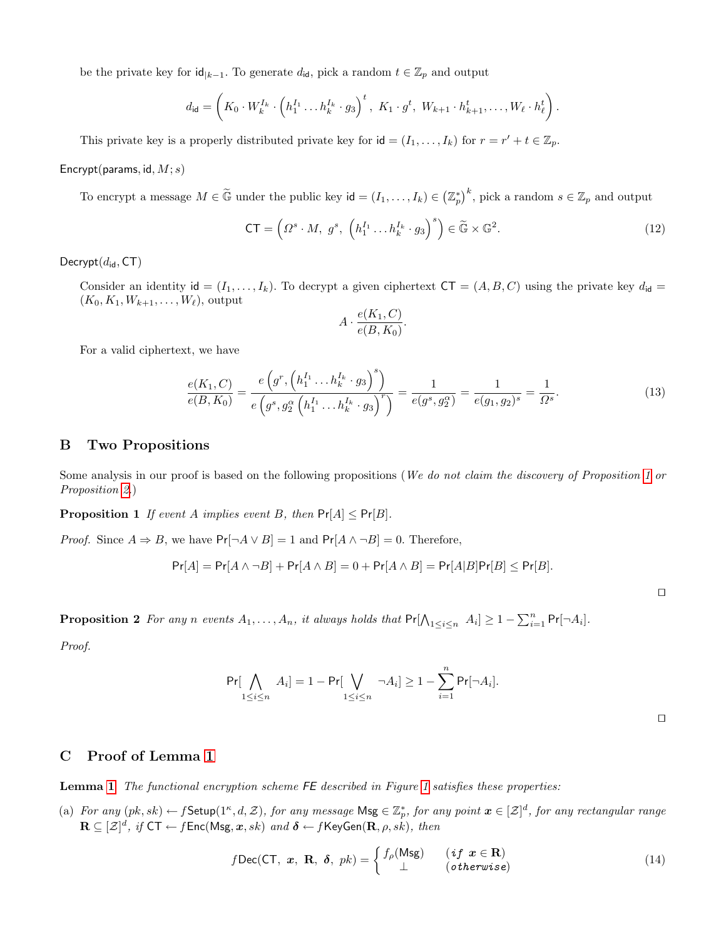be the private key for  $\mathsf{id}_{|k-1}$ . To generate  $d_{\mathsf{id}}$ , pick a random  $t \in \mathbb{Z}_p$  and output

$$
d_{\mathsf{id}} = \left( K_0 \cdot W_k^{I_k} \cdot \left( h_1^{I_1} \dots h_k^{I_k} \cdot g_3 \right)^t, \ K_1 \cdot g^t, \ W_{k+1} \cdot h_{k+1}^t, \dots, W_\ell \cdot h_\ell^t \right)
$$

This private key is a properly distributed private key for  $id = (I_1, \ldots, I_k)$  for  $r = r' + t \in \mathbb{Z}_p$ .

Encrypt(params, id,  $M; s$ )

To encrypt a message  $M \in \tilde{\mathbb{G}}$  under the public key  $\mathsf{id} = (I_1, \ldots, I_k) \in (\mathbb{Z}_p^*)^k$ , pick a random  $s \in \mathbb{Z}_p$  and output

$$
\mathsf{CT} = \left(\Omega^s \cdot M, \ g^s, \ \left(h_1^{I_1} \dots h_k^{I_k} \cdot g_3\right)^s\right) \in \widetilde{\mathbb{G}} \times \mathbb{G}^2. \tag{12}
$$

.

Decrypt $(d_{\mathsf{id}},\mathsf{CT})$ 

Consider an identity  $id = (I_1, \ldots, I_k)$ . To decrypt a given ciphertext  $CT = (A, B, C)$  using the private key  $d_{id} =$  $(K_0, K_1, W_{k+1}, \ldots, W_\ell)$ , output

$$
A \cdot \frac{e(K_1, C)}{e(B, K_0)}.
$$

For a valid ciphertext, we have

$$
\frac{e(K_1, C)}{e(B, K_0)} = \frac{e\left(g^r, \left(h_1^{I_1} \dots h_k^{I_k} \cdot g_3\right)^s\right)}{e\left(g^s, g_2^{\alpha}\left(h_1^{I_1} \dots h_k^{I_k} \cdot g_3\right)^r\right)} = \frac{1}{e(g^s, g_2^{\alpha})} = \frac{1}{e(g_1, g_2)^s} = \frac{1}{\Omega^s}.
$$
\n(13)

### <span id="page-18-3"></span>B Two Propositions

<span id="page-18-1"></span>Some analysis in our proof is based on the following propositions (We do not claim the discovery of Proposition [1](#page-18-1) or Proposition [2.](#page-18-2))

**Proposition 1** If event A implies event B, then  $Pr[A] \leq Pr[B]$ .

*Proof.* Since  $A \Rightarrow B$ , we have  $Pr[\neg A \lor B] = 1$  and  $Pr[A \land \neg B] = 0$ . Therefore,

$$
Pr[A] = Pr[A \wedge \neg B] + Pr[A \wedge B] = 0 + Pr[A \wedge B] = Pr[A|B]Pr[B] \le Pr[B].
$$

<span id="page-18-2"></span>**Proposition 2** For any n events  $A_1, \ldots, A_n$ , it always holds that  $Pr[\bigwedge_{1 \leq i \leq n} A_i] \geq 1 - \sum_{i=1}^n Pr[\neg A_i].$ 

Proof.

$$
\Pr[\bigwedge_{1 \leq i \leq n} A_i] = 1 - \Pr[\bigvee_{1 \leq i \leq n} \neg A_i] \geq 1 - \sum_{i=1}^n \Pr[\neg A_i].
$$

 $\Box$ 

 $\Box$ 

## <span id="page-18-0"></span>C Proof of Lemma [1](#page-8-2)

Lemma [1](#page-8-2) The functional encryption scheme FE described in Figure [1](#page-10-0) satisfies these properties:

(a) For any  $(pk, sk) \leftarrow f$ Setup $(1^{\kappa}, d, \mathcal{Z})$ , for any message  $\mathsf{Msg} \in \mathbb{Z}_p^*$ , for any point  $\boldsymbol{x} \in [\mathcal{Z}]^d$ , for any rectangular range  $\mathbf{R} \subseteq [\mathcal{Z}]^d, \textit{ if } \mathsf{CT} \leftarrow f\mathsf{Enc}(\mathsf{Msg}, \bm{x}, sk) \textit{ and } \bm{\delta} \leftarrow f\mathsf{KeyGen}(\mathbf{R}, \rho, sk), \textit{ then}$ 

$$
f\text{Dec}(\text{CT}, x, \text{R}, \delta, pk) = \begin{cases} f_{\rho}(\text{Msg}) & (if x \in \text{R}) \\ \perp & (otherwise) \end{cases} \tag{14}
$$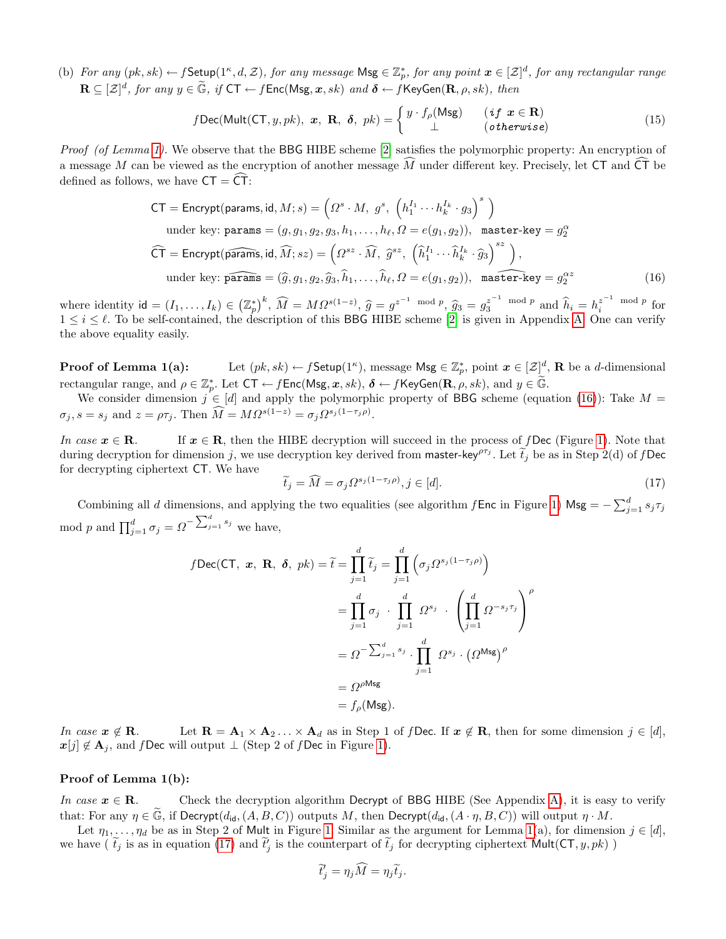(b) For any  $(pk, sk) \leftarrow f$ Setup $(1^{\kappa}, d, \mathcal{Z})$ , for any message  $\mathsf{Msg} \in \mathbb{Z}_p^*$ , for any point  $\boldsymbol{x} \in [\mathcal{Z}]^d$ , for any rectangular range  $\mathbf{R} \subseteq [\mathcal{Z}]^d$ , for any  $y \in \widetilde{\mathbb{G}}$ , if  $\mathsf{CT} \leftarrow f\mathsf{Enc}(\mathsf{Msg}, x, sk)$  and  $\boldsymbol{\delta} \leftarrow f\mathsf{KeyGen}(\mathbf{R}, \rho, sk)$ , then

$$
f\text{Dec}(\text{Mult}(\text{CT}, y, pk), \mathbf{x}, \mathbf{R}, \delta, pk) = \begin{cases} y \cdot f_{\rho}(\text{Msg}) & (if \ \mathbf{x} \in \mathbf{R}) \\ \perp & (otherwise) \end{cases} \tag{15}
$$

Proof (of Lemma [1\)](#page-8-2). We observe that the BBG HIBE scheme [\[2\]](#page-15-1) satisfies the polymorphic property: An encryption of a message M can be viewed as the encryption of another message  $\widehat{M}$  under different key. Precisely, let CT and  $\widehat{CT}$  be defined as follows, we have  $CT = \overline{CT}$ :

$$
CT = \text{Encrypt}(\text{params}, \text{id}, M; s) = \left(\Omega^s \cdot M, g^s, \left(h_1^{I_1} \cdots h_k^{I_k} \cdot g_3\right)^s\right)
$$
  
under key:  $\text{params} = (g, g_1, g_2, g_3, h_1, \dots, h_\ell, \Omega = e(g_1, g_2)), \text{ master-key} = g_2^\alpha$   

$$
\widehat{CT} = \text{Encrypt}(\widehat{\text{params}}, \text{id}, \widehat{M}; sz) = \left(\Omega^{sz} \cdot \widehat{M}, \widehat{g}^{sz}, \left(\widehat{h}_1^{I_1} \cdots \widehat{h}_k^{I_k} \cdot \widehat{g}_3\right)^{sz}\right),
$$
  
under key:  $\widehat{\text{params}} = (\widehat{g}, g_1, g_2, \widehat{g}_3, \widehat{h}_1, \dots, \widehat{h}_\ell, \Omega = e(g_1, g_2)), \text{ master-key} = g_2^{\alpha z}$  (16)

where identity  $\mathsf{id} = (I_1, \ldots, I_k) \in \left(\mathbb{Z}_p^*\right)^k$ ,  $\widehat{M} = M\Omega^{s(1-z)}$ ,  $\widehat{g} = g^{z^{-1} \mod p}$ ,  $\widehat{g}_3 = g^{z^{-1} \mod p}$  and  $\widehat{h}_i = h^{z^{-1} \mod p}_{i}$  for  $1 \leq i \leq \ell$ . To be self-centained, the description of this **BBC** HIBE sche  $1 \leq i \leq \ell$ . To be self-contained, the description of this BBG HIBE scheme [\[2\]](#page-15-1) is given in Appendix [A.](#page-17-14) One can verify the above equality easily.

**Proof of Lemma 1(a):** Let  $(pk, sk) \leftarrow f$ Setup(1<sup>k</sup>), message  $\mathsf{Msg} \in \mathbb{Z}_p^*$ , point  $\boldsymbol{x} \in [\mathcal{Z}]^d$ , **R** be a *d*-dimensional rectangular range, and  $\rho \in \mathbb{Z}_p^*$ . Let  $CT \leftarrow f \text{Enc}(\text{Msg}, x, sk), \delta \leftarrow f \text{KeyGen}(\mathbf{R}, \rho, sk),$  and  $y \in \widetilde{\mathbb{G}}$ .

We consider dimension  $j \in [d]$  and apply the polymorphic property of BBG scheme (equation [\(16\)](#page-19-0)): Take  $M =$  $\sigma_j$ ,  $s = s_j$  and  $z = \rho \tau_j$ . Then  $\widehat{M} = M \Omega^{s(1-z)} = \sigma_j \Omega^{s_j(1-\tau_j \rho)}$ .

In case  $x \in \mathbf{R}$ . If  $x \in \mathbf{R}$ , then the HIBE decryption will succeed in the process of f Dec (Figure [1\)](#page-10-0). Note that during decryption for dimension j, we use decryption key derived from master-key<sup> $\rho\tau_j$ </sup>. Let  $\tilde{t}_j$  be as in Step 2(d) of f Dec for decrypting ciphertext CT. We have

<span id="page-19-1"></span><span id="page-19-0"></span>
$$
\widetilde{t}_j = \widehat{M} = \sigma_j \Omega^{s_j(1 - \tau_j \rho)}, j \in [d]. \tag{17}
$$

Combining all d dimensions, and applying the two equalities (see algorithm f Enc in Figure [1\)](#page-10-0) Msg =  $-\sum_{j=1}^{d} s_j \tau_j$ mod p and  $\prod_{j=1}^d \sigma_j = \Omega^{-\sum_{j=1}^d s_j}$  we have,

$$
f\text{Dec}(\text{CT}, \ \mathbf{x}, \ \mathbf{R}, \ \delta, \ pk) = \widetilde{t} = \prod_{j=1}^{d} \widetilde{t}_{j} = \prod_{j=1}^{d} \left( \sigma_{j} \Omega^{s_{j}(1-\tau_{j}\rho)} \right)
$$

$$
= \prod_{j=1}^{d} \sigma_{j} \cdot \prod_{j=1}^{d} \Omega^{s_{j}} \cdot \left( \prod_{j=1}^{d} \Omega^{-s_{j}\tau_{j}} \right)^{\rho}
$$

$$
= \Omega^{-\sum_{j=1}^{d} s_{j}} \cdot \prod_{j=1}^{d} \ \Omega^{s_{j}} \cdot \left( \Omega^{\text{Msg}} \right)^{\rho}
$$

$$
= \Omega^{\rho \text{Msg}}
$$

$$
= f_{\rho}(\text{Msg}).
$$

In case  $x \notin \mathbf{R}$ . Let  $\mathbf{R} = \mathbf{A}_1 \times \mathbf{A}_2 \dots \times \mathbf{A}_d$  as in Step 1 of f Dec. If  $x \notin \mathbf{R}$ , then for some dimension  $j \in [d]$ ,  $\mathbf{x}[j] \notin \mathbf{A}_j$ , and f Dec will output  $\perp$  (Step 2 of f Dec in Figure [1\)](#page-10-0).

#### Proof of Lemma 1(b):

In case  $x \in \mathbb{R}$ . Check the decryption algorithm Decrypt of BBG HIBE (See Appendix [A\)](#page-17-14), it is easy to verify that: For any  $\eta \in \widetilde{\mathbb{G}}$ , if Decrypt $(d_{id},(A, B, C))$  outputs M, then Decrypt $(d_{id},(A \cdot \eta,B,C))$  will output  $\eta \cdot M$ .

Let  $\eta_1, \ldots, \eta_d$  be as in Step 2 of Mult in Figure [1.](#page-10-0) Similar as the argument for Lemma [1\(](#page-8-2)a), for dimension  $j \in [d]$ , we have ( $\tilde{t}_j$  is as in equation [\(17\)](#page-19-1) and  $\tilde{t}_j$  is the counterpart of  $\tilde{t}_j$  for decrypting ciphertext Mult(CT,  $y, pk$ )

$$
\widetilde{t}'_j = \eta_j \widehat{M} = \eta_j \widetilde{t}_j.
$$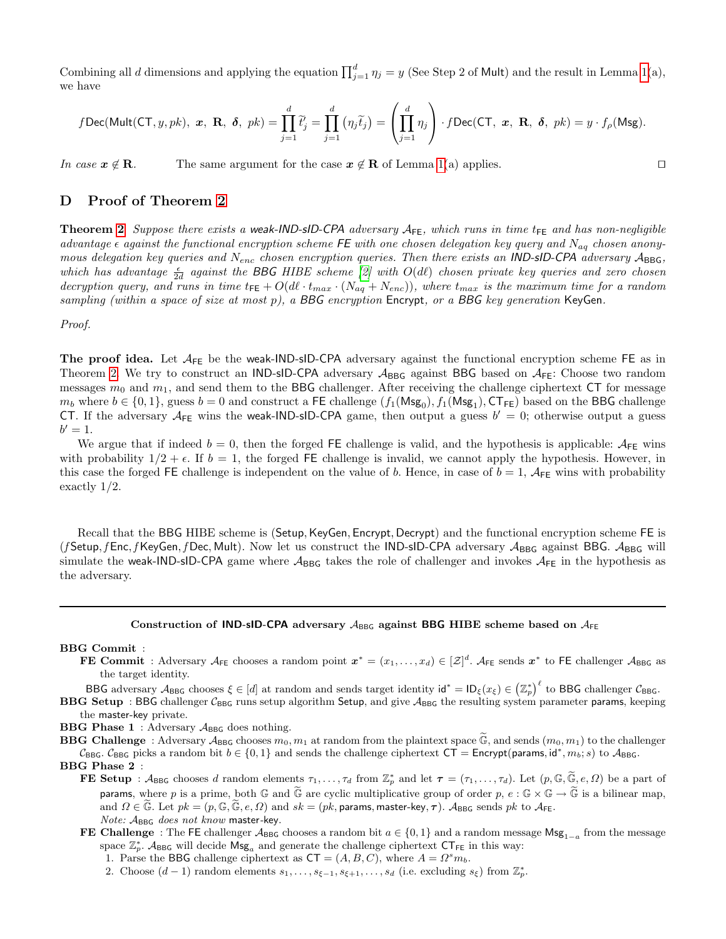Combining all d dimensions and applying the equation  $\prod_{j=1}^{d} \eta_j = y$  (See Step 2 of Mult) and the result in Lemma [1\(](#page-8-2)a), we have

$$
f\text{Dec}(\text{Mult}(\text{CT}, y, pk), \mathbf{x}, \mathbf{R}, \delta, pk) = \prod_{j=1}^{d} \widetilde{t}_{j} = \prod_{j=1}^{d} (\eta_{j} \widetilde{t}_{j}) = \left(\prod_{j=1}^{d} \eta_{j}\right) \cdot f\text{Dec}(\text{CT}, \mathbf{x}, \mathbf{R}, \delta, pk) = y \cdot f_{\rho}(\text{Msg}).
$$

In case  $x \notin \mathbf{R}$ . The same argument for the case  $x \notin \mathbf{R}$  of Lemma [1\(](#page-8-2)a) applies.

### <span id="page-20-0"></span>D Proof of Theorem [2](#page-8-1)

**Theorem [2](#page-8-1)** Suppose there exists a weak-IND-sID-CPA adversary  $A_{FE}$ , which runs in time  $t_{FE}$  and has non-negligible advantage  $\epsilon$  against the functional encryption scheme FE with one chosen delegation key query and  $N_{aa}$  chosen anonymous delegation key queries and  $N_{enc}$  chosen encryption queries. Then there exists an IND-sID-CPA adversary  $A_{\text{BBG}}$ , which has advantage  $\frac{\epsilon}{2d}$  against the BBG HIBE scheme [\[2\]](#page-15-1) with  $O(d\ell)$  chosen private key queries and zero chosen decryption query, and runs in time  $t_{FE} + O(d\ell \cdot t_{max} \cdot (N_{aq} + N_{enc}))$ , where  $t_{max}$  is the maximum time for a random sampling (within a space of size at most  $p$ ), a BBG encryption Encrypt, or a BBG key generation KeyGen.

Proof.

The proof idea. Let  $A_{FE}$  be the weak-IND-sID-CPA adversary against the functional encryption scheme FE as in Theorem [2.](#page-8-1) We try to construct an IND-sID-CPA adversary  $A_{BBG}$  against BBG based on  $A_{FE}$ : Choose two random messages  $m_0$  and  $m_1$ , and send them to the BBG challenger. After receiving the challenge ciphertext CT for message  $m_b$  where  $b \in \{0,1\}$ , guess  $b=0$  and construct a FE challenge  $(f_1(\text{Msg}_0), f_1(\text{Msg}_1), \text{CT}_{\text{FE}})$  based on the BBG challenge CT. If the adversary  $A_{FE}$  wins the weak-IND-sID-CPA game, then output a guess  $b' = 0$ ; otherwise output a guess  $b' = 1$ .

We argue that if indeed  $b = 0$ , then the forged FE challenge is valid, and the hypothesis is applicable:  $A_{FE}$  wins with probability  $1/2 + \epsilon$ . If  $b = 1$ , the forged FE challenge is invalid, we cannot apply the hypothesis. However, in this case the forged FE challenge is independent on the value of b. Hence, in case of  $b = 1$ ,  $A_{FE}$  wins with probability exactly 1/2.

Recall that the BBG HIBE scheme is (Setup, KeyGen, Encrypt, Decrypt) and the functional encryption scheme FE is (fSetup, fEnc, fKeyGen, fDec, Mult). Now let us construct the IND-sID-CPA adversary  $A_{BBG}$  against BBG.  $A_{BBG}$  will simulate the weak-IND-sID-CPA game where  $A_{\text{BBG}}$  takes the role of challenger and invokes  $A_{\text{FE}}$  in the hypothesis as the adversary.

### Construction of IND-sID-CPA adversary  $A_{\text{BEG}}$  against BBG HIBE scheme based on  $A_{\text{FE}}$

#### BBG Commit :

**FE Commit** : Adversary  $A_{FE}$  chooses a random point  $x^* = (x_1, \ldots, x_d) \in [\mathcal{Z}]^d$ .  $A_{FE}$  sends  $x^*$  to FE challenger  $A_{BBG}$  as the target identity.

BBG adversary  $A_{\text{BBG}}$  chooses  $\xi \in [d]$  at random and sends target identity  $\mathsf{id}^* = \mathsf{ID}_{\xi}(x_{\xi}) \in (\mathbb{Z}_p^*)^{\ell}$  to BBG challenger  $\mathcal{C}_{\text{BBG}}$ .

**BBG Setup** : BBG challenger  $C_{\text{BBG}}$  runs setup algorithm Setup, and give  $A_{\text{BBG}}$  the resulting system parameter params, keeping the master-key private.

**BBG Phase 1** : Adversary  $A_{BBG}$  does nothing.

**BBG Challenge** : Adversary  $A_{\text{BBG}}$  chooses  $m_0, m_1$  at random from the plaintext space  $\widetilde{\mathbb{G}}$ , and sends  $(m_0, m_1)$  to the challenger  $\mathcal{C}_{\text{BBG}}$ .  $\mathcal{C}_{\text{BBG}}$  picks a random bit  $b \in \{0, 1\}$  and sends the challenge ciphertext  $\text{CT} =$  Encrypt(params, id<sup>\*</sup>,  $m_b$ ; s) to  $\mathcal{A}_{\text{BBG}}$ .

#### BBG Phase 2 :

**FE Setup** :  $A_{\text{BBG}}$  chooses d random elements  $\tau_1, \ldots, \tau_d$  from  $\mathbb{Z}_p^*$  and let  $\tau = (\tau_1, \ldots, \tau_d)$ . Let  $(p, \mathbb{G}, \widetilde{\mathbb{G}}, e, \Omega)$  be a part of **params**, where p is a prime, both G and G are cyclic multiplicative group of order  $p, e : \mathbb{G} \times \mathbb{G} \to \mathbb{G}$  is a bilinear map, and  $\Omega \in \mathbb{G}$ . Let  $pk = (p, \mathbb{G}, \mathbb{G}, e, \Omega)$  and  $sk = (pk$ , params, master-key,  $\tau$ ).  $\mathcal{A}_{\text{BBG}}$  sends  $pk$  to  $\mathcal{A}_{\text{FE}}$ . Note:  $A_{BBG}$  does not know master-key.

FE Challenge : The FE challenger  $A_{BBG}$  chooses a random bit  $a \in \{0,1\}$  and a random message  $\mathsf{Ms}_{1-a}$  from the message space  $\mathbb{Z}_p^*$ .  $\mathcal{A}_{BBG}$  will decide  $\mathsf{Msg}_a$  and generate the challenge ciphertext  $\mathsf{CT}_{\mathsf{FE}}$  in this way:

1. Parse the BBG challenge ciphertext as  $CT = (A, B, C)$ , where  $A = \Omega^s m_b$ .

2. Choose  $(d-1)$  random elements  $s_1, \ldots, s_{\xi-1}, s_{\xi+1}, \ldots, s_d$  (i.e. excluding  $s_{\xi}$ ) from  $\mathbb{Z}_p^*$ .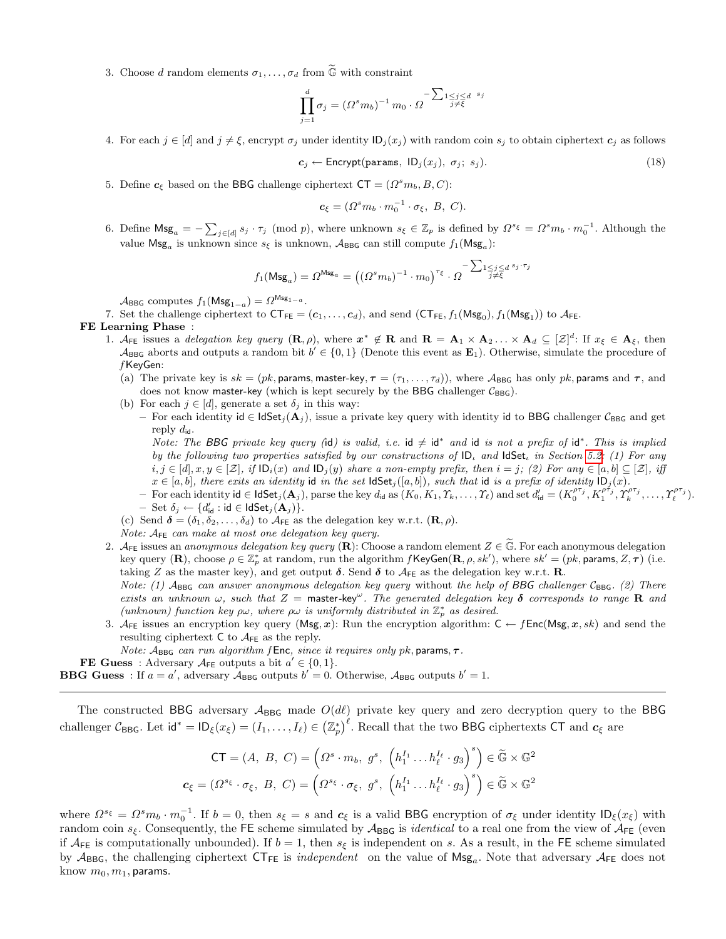3. Choose d random elements  $\sigma_1, \ldots, \sigma_d$  from  $\widetilde{\mathbb{G}}$  with constraint

$$
\prod_{j=1}^{d} \sigma_j = (\Omega^s m_b)^{-1} m_0 \cdot \Omega^{-\sum_{1 \leq j \leq d} s_j}
$$

4. For each  $j \in [d]$  and  $j \neq \xi$ , encrypt  $\sigma_j$  under identity  $\mathsf{ID}_j(x_j)$  with random coin  $s_j$  to obtain ciphertext  $c_j$  as follows

$$
c_j \leftarrow \text{Encrypt}(\text{params}, \text{ ID}_j(x_j), \sigma_j; s_j). \tag{18}
$$

5. Define  $c_{\xi}$  based on the BBG challenge ciphertext  $CT = (\Omega^s m_b, B, C)$ :

$$
\boldsymbol{c}_{\xi} = (\Omega^s m_b \cdot m_0^{-1} \cdot \sigma_{\xi}, \ B, \ C).
$$

6. Define  $\textsf{Msg}_a = -\sum_{j \in [d]} s_j \cdot \tau_j \pmod{p}$ , where unknown  $s_\xi \in \mathbb{Z}_p$  is defined by  $\Omega^{s_\xi} = \Omega^s m_b \cdot m_0^{-1}$ . Although the value  $\mathsf{Msg}_a$  is unknown since  $s_\xi$  is unknown,  $\mathcal{A}_{\mathsf{BBG}}$  can still compute  $f_1(\mathsf{Msg}_a)$ :

$$
f_1(\mathsf{Msg}_a) = \varOmega^{\mathsf{Msg}_a} = \left((\varOmega^sm_b)^{-1} \cdot m_0\right)^{\tau_{\xi}} \cdot \varOmega^{-\sum_{1 \leq j \leq d} s_j \cdot \tau_j}
$$

 $\mathcal{A}_{\mathsf{BBG}}$  computes  $f_1(\mathsf{Msg}_{1-a}) = \Omega^{\mathsf{Msg}_{1-a}}$ .

7. Set the challenge ciphertext to  $CT_{FE} = (c_1, \ldots, c_d)$ , and send  $(CT_{FE}, f_1(Msg_0), f_1(Msg_1))$  to  $A_{FE}$ . FE Learning Phase :

- 1.  $\mathcal{A}_{FE}$  issues a delegation key query  $(\mathbf{R}, \rho)$ , where  $\mathbf{x}^* \notin \mathbf{R}$  and  $\mathbf{R} = \mathbf{A}_1 \times \mathbf{A}_2 \dots \times \mathbf{A}_d \subseteq [\mathcal{Z}]^d$ : If  $x_{\xi} \in \mathbf{A}_{\xi}$ , then  $\mathcal{A}_{\text{BBG}}$  aborts and outputs a random bit  $b' \in \{0,1\}$  (Denote this event as  $\mathbf{E}_1$ ). Otherwise, simulate the procedure of f KeyGen:
	- (a) The private key is  $sk = (pk$ , params, master-key,  $\tau = (\tau_1, \ldots, \tau_d)$ , where  $\mathcal{A}_{\text{BBG}}$  has only  $pk$ , params and  $\tau$ , and does not know master-key (which is kept securely by the BBG challenger  $C_{BBG}$ ).
	- (b) For each  $j \in [d]$ , generate a set  $\delta_j$  in this way:
		- For each identity id ∈ IdSet<sub>j</sub>( $\mathbf{A}_j$ ), issue a private key query with identity id to BBG challenger  $\mathcal{C}_{BBG}$  and get reply  $d_{\mathsf{id}}$ .

Note: The BBG private key query (id) is valid, i.e. id  $\neq$  id<sup>\*</sup> and id is not a prefix of id<sup>\*</sup>. This is implied by the following two properties satisfied by our constructions of  $ID_{\iota}$  and  $I dSet_{\iota}$  in Section [5.2:](#page-7-1) (1) For any  $i, j \in [d], x, y \in [\mathcal{Z}],$  if  $ID_i(x)$  and  $ID_j(y)$  share a non-empty prefix, then  $i = j$ ; (2) For any  $\in [a, b] \subseteq [\mathcal{Z}],$  iff  $x \in [a, b]$ , there exits an identity id in the set  $\textsf{ldSet}_{j}([a, b])$ , such that id is a prefix of identity  $\textsf{ID}_j(x)$ .

- For each identity  $id \in \textsf{IdSet}_j(A_j)$ , parse the key  $d_{id}$  as  $(K_0, K_1, T_k, \ldots, T_\ell)$  and set  $d'_{id} = (K_0^{\rho \tau_j}, K_1^{\rho \tau_j}, \gamma_k^{\rho \tau_j}, \ldots, \gamma_\ell^{\rho \tau_j}).$  $-$  Set  $\delta_j \leftarrow \{d'_{\sf id} : {\sf id} \in {\sf IdSet}_j({\bf A}_j)\}.$
- (c) Send  $\boldsymbol{\delta} = (\delta_1, \delta_2, \dots, \delta_d)$  to  $\mathcal{A}_{\mathsf{FE}}$  as the delegation key w.r.t.  $(\mathbf{R}, \rho)$ .

Note:  $A_{FE}$  can make at most one delegation key query.

2.  $A_{FE}$  issues an *anonymous delegation key query* (R): Choose a random element  $Z \in \tilde{\mathbb{G}}$ . For each anonymous delegation key query  $(\mathbf{R})$ , choose  $\rho \in \mathbb{Z}_p^*$  at random, run the algorithm  $f$ KeyGen $(\mathbf{R}, \rho, sk')$ , where  $sk' = (pk$ , params,  $Z, \tau$ ) (i.e. taking Z as the master key), and get output  $\delta$ . Send  $\delta$  to  $A_{FE}$  as the delegation key w.r.t. **R**. Note: (1)  $A_{BBG}$  can answer anonymous delegation key query without the help of BBG challenger  $C_{BBG}$ . (2) There

exists an unknown  $\omega$ , such that  $Z =$  master-key<sup> $\omega$ </sup>. The generated delegation key  $\delta$  corresponds to range **R** and (unknown) function key  $\rho\omega$ , where  $\rho\omega$  is uniformly distributed in  $\mathbb{Z}_p^*$  as desired.

3. AFE issues an encryption key query (Msg, x): Run the encryption algorithm:  $C \leftarrow fEnc(Msg, x, sk)$  and send the resulting ciphertext  $C$  to  $A_{FE}$  as the reply.

Note:  $A_{\text{BBG}}$  can run algorithm f Enc, since it requires only pk, params,  $\tau$ .

**FE Guess** : Adversary  $A_{FE}$  outputs a bit  $a' \in \{0, 1\}.$ 

**BBG Guess**: If  $a = a'$ , adversary  $\mathcal{A}_{\text{BBG}}$  outputs  $b' = 0$ . Otherwise,  $\mathcal{A}_{\text{BBG}}$  outputs  $b' = 1$ .

The constructed BBG adversary  $A_{BBG}$  made  $O(d\ell)$  private key query and zero decryption query to the BBG challenger  $\mathcal{C}_{\text{BBG}}$ . Let  $\mathsf{id}^* = \mathsf{ID}_{\xi}(x_{\xi}) = (I_1, \ldots, I_{\ell}) \in (\mathbb{Z}_p^*)^{\ell}$ . Recall that the two BBG ciphertexts CT and  $\mathbf{c}_{\xi}$  are

$$
\mathsf{CT} = (A, B, C) = \left(\Omega^s \cdot m_b, g^s, \left(h_1^{I_1} \dots h_\ell^{I_\ell} \cdot g_3\right)^s\right) \in \widetilde{\mathbb{G}} \times \mathbb{G}^2
$$

$$
\mathbf{c}_{\xi} = \left(\Omega^{s_{\xi}} \cdot \sigma_{\xi}, B, C\right) = \left(\Omega^{s_{\xi}} \cdot \sigma_{\xi}, g^s, \left(h_1^{I_1} \dots h_\ell^{I_\ell} \cdot g_3\right)^s\right) \in \widetilde{\mathbb{G}} \times \mathbb{G}^2
$$

where  $\Omega^{s_{\xi}} = \Omega^{s} m_b \cdot m_0^{-1}$ . If  $b = 0$ , then  $s_{\xi} = s$  and  $c_{\xi}$  is a valid BBG encryption of  $\sigma_{\xi}$  under identity  $\mathsf{ID}_{\xi}(x_{\xi})$  with random coin  $s_{\xi}$ . Consequently, the FE scheme simulated by  $A_{\text{BBG}}$  is *identical* to a real one from the view of  $A_{\text{FE}}$  (even if  $A_{FE}$  is computationally unbounded). If  $b = 1$ , then  $s_{\xi}$  is independent on s. As a result, in the FE scheme simulated by  $A_{BBG}$ , the challenging ciphertext  $CT_{FE}$  is *independent* on the value of  $Msg_a$ . Note that adversary  $A_{FE}$  does not know  $m_0, m_1$ , params.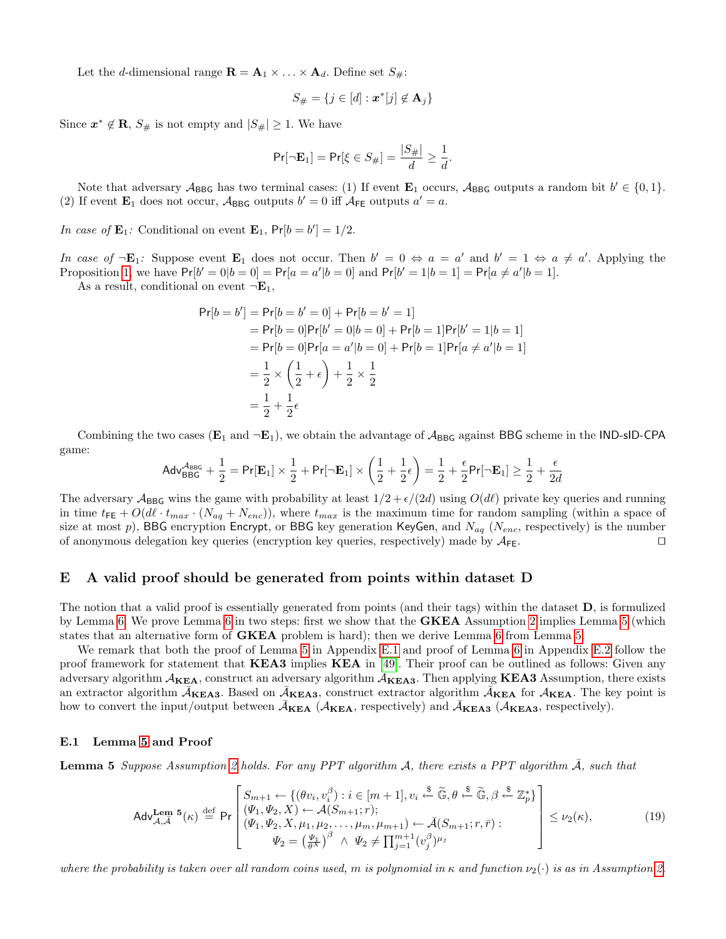Let the d-dimensional range  $\mathbf{R} = \mathbf{A}_1 \times \ldots \times \mathbf{A}_d$ . Define set  $S_{\#}$ :

$$
S_{\#} = \{j \in [d] : \boldsymbol{x}^*[j] \notin \mathbf{A}_j\}
$$

Since  $x^* \notin \mathbf{R}$ ,  $S_{\#}$  is not empty and  $|S_{\#}| \geq 1$ . We have

$$
\Pr[\neg \mathbf{E}_1] = \Pr[\xi \in S_{\#}] = \frac{|S_{\#}|}{d} \ge \frac{1}{d}.
$$

Note that adversary  $A_{BBG}$  has two terminal cases: (1) If event  $\mathbf{E}_1$  occurs,  $A_{BBG}$  outputs a random bit  $b' \in \{0,1\}$ . (2) If event  $\mathbf{E}_1$  does not occur,  $\mathcal{A}_{\text{BBG}}$  outputs  $b' = 0$  iff  $\mathcal{A}_{\text{FE}}$  outputs  $a' = a$ .

In case of  $\mathbf{E}_1$ : Conditional on event  $\mathbf{E}_1$ ,  $\mathsf{Pr}[b = b'] = 1/2$ .

In case of  $\neg \mathbf{E}_1$ : Suppose event  $\mathbf{E}_1$  does not occur. Then  $b' = 0 \Leftrightarrow a = a'$  and  $b' = 1 \Leftrightarrow a \neq a'$ . Applying the Proposition [1,](#page-18-1) we have  $Pr[b' = 0|b = 0] = Pr[a = a'|b = 0]$  and  $Pr[b' = 1|b = 1] = Pr[a \neq a'|b = 1]$ .

As a result, conditional on event  $\neg \mathbf{E}_1$ ,

$$
Pr[b = b'] = Pr[b = b' = 0] + Pr[b = b' = 1]
$$
  
= Pr[b = 0]Pr[b' = 0|b = 0] + Pr[b = 1]Pr[b' = 1|b = 1]  
= Pr[b = 0]Pr[a = a'|b = 0] + Pr[b = 1]Pr[a \neq a'|b = 1]  
=  $\frac{1}{2} \times (\frac{1}{2} + \epsilon) + \frac{1}{2} \times \frac{1}{2}$   
=  $\frac{1}{2} + \frac{1}{2} \epsilon$ 

Combining the two cases  $(E_1 \text{ and } \neg E_1)$ , we obtain the advantage of  $\mathcal{A}_{BBG}$  against BBG scheme in the IND-sID-CPA game:

$$
\mathsf{Adv}_{\mathsf{BBG}}^{\mathcal{A}_{\mathsf{BBG}}} + \frac{1}{2} = \mathsf{Pr}[\mathbf{E}_1] \times \frac{1}{2} + \mathsf{Pr}[\neg \mathbf{E}_1] \times \left(\frac{1}{2} + \frac{1}{2}\epsilon\right) = \frac{1}{2} + \frac{\epsilon}{2}\mathsf{Pr}[\neg \mathbf{E}_1] \ge \frac{1}{2} + \frac{\epsilon}{2d}
$$

The adversary  $\mathcal{A}_{\text{BBG}}$  wins the game with probability at least  $1/2 + \epsilon/(2d)$  using  $O(d\ell)$  private key queries and running in time  $t_{FE} + O(d \cdot t_{max} \cdot (N_{aq} + N_{enc}))$ , where  $t_{max}$  is the maximum time for random sampling (within a space of size at most p), BBG encryption Encrypt, or BBG key generation KeyGen, and  $N_{aq}$  (N<sub>enc</sub>, respectively) is the number of anonymous delegation key queries (encryption key queries, respectively) made by  $A_{FE}$ .

### E A valid proof should be generated from points within dataset D

The notion that a valid proof is essentially generated from points (and their tags) within the dataset D, is formulized by Lemma [6.](#page-24-0) We prove Lemma [6](#page-24-0) in two steps: first we show that the GKEA Assumption [2](#page-6-1) implies Lemma [5](#page-22-0) (which states that an alternative form of GKEA problem is hard); then we derive Lemma [6](#page-24-0) from Lemma [5.](#page-22-0)

We remark that both the proof of Lemma [5](#page-22-0) in Appendix [E.1](#page-22-1) and proof of Lemma [6](#page-24-0) in Appendix [E.2](#page-24-1) follow the proof framework for statement that KEA3 implies KEA in [\[49\]](#page-17-11). Their proof can be outlined as follows: Given any adversary algorithm  $A_{KEA}$ , construct an adversary algorithm  $A_{KEA3}$ . Then applying **KEA3** Assumption, there exists an extractor algorithm  $\bar{A}_{\bf KEA3}$ . Based on  $\bar{A}_{\bf KEA3}$ , construct extractor algorithm  $\bar{A}_{\bf KEA}$  for  $A_{\bf KEA}$ . The key point is how to convert the input/output between  $\bar{A}_{\text{KEA}}$  ( $A_{\text{KEA}}$ , respectively) and  $\bar{A}_{\text{KEA3}}$  ( $A_{\text{KEA3}}$ , respectively).

#### <span id="page-22-1"></span>E.1 Lemma [5](#page-22-0) and Proof

<span id="page-22-0"></span>**Lemma 5** Suppose Assumption [2](#page-6-1) holds. For any PPT algorithm A, there exists a PPT algorithm A, such that

$$
\mathsf{Adv}_{\mathcal{A},\overline{\mathcal{A}}}^{\mathbf{Lem}}\mathsf{5}(\kappa) \stackrel{\text{def}}{=} \mathsf{Pr}\left[\begin{matrix} S_{m+1} \leftarrow \{(\theta v_i, v_i^{\beta}) : i \in [m+1], v_i \stackrel{\$}{\leftarrow} \widetilde{\mathbb{G}}, \theta \stackrel{\$}{\leftarrow} \widetilde{\mathbb{G}}, \beta \stackrel{\$}{\leftarrow} \mathbb{Z}_p^* \} \\ (\Psi_1, \Psi_2, X) \leftarrow \mathcal{A}(S_{m+1}; r); \\ (\Psi_1, \Psi_2, X, \mu_1, \mu_2, \dots, \mu_m, \mu_{m+1}) \leftarrow \bar{\mathcal{A}}(S_{m+1}; r, \bar{r}): \\ \Psi_2 = \left(\frac{\Psi_1}{\theta^X}\right)^{\beta} \wedge \Psi_2 \neq \prod_{j=1}^{m+1} (v_j^{\beta})^{\mu_j} \end{matrix}\right] \leq \nu_2(\kappa),\tag{19}
$$

where the probability is taken over all random coins used, m is polynomial in  $\kappa$  and function  $\nu_2(\cdot)$  is as in Assumption [2.](#page-6-1)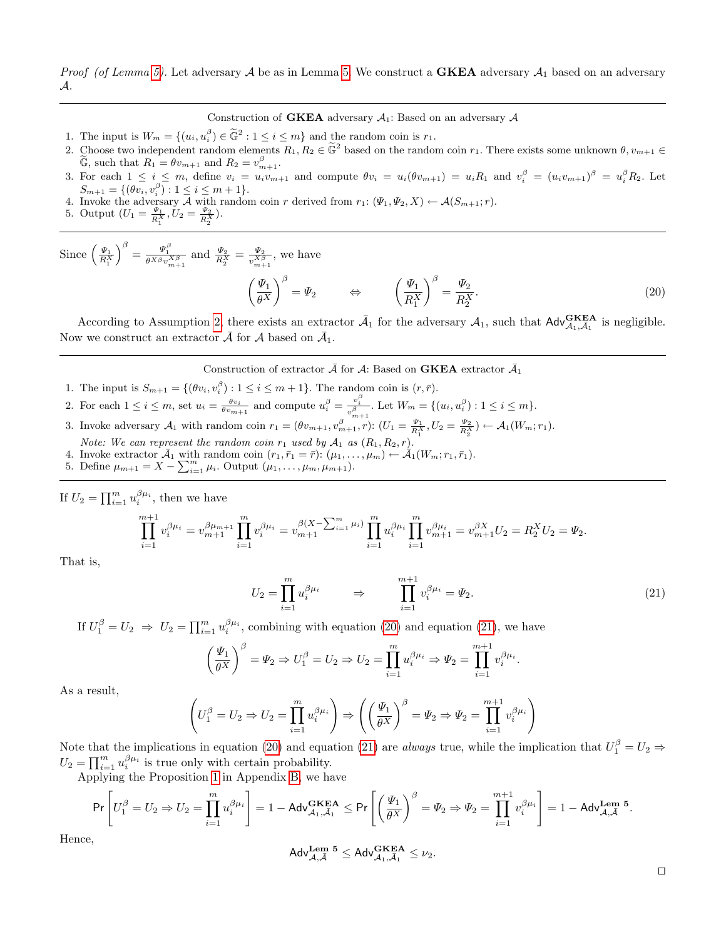*Proof (of Lemma [5\)](#page-22-0).* Let adversary A be as in Lemma [5.](#page-22-0) We construct a **GKEA** adversary  $A_1$  based on an adversary A.

Construction of **GKEA** adversary  $A_1$ : Based on an adversary  $A$ 

- 1. The input is  $W_m = \{(u_i, u_i^{\beta}) \in \tilde{\mathbb{G}}^2 : 1 \leq i \leq m\}$  and the random coin is  $r_1$ .
- 2. Choose two independent random elements  $R_1, R_2 \in \tilde{\mathbb{G}}^2$  based on the random coin  $r_1$ . There exists some unknown  $\theta, v_{m+1} \in \tilde{\mathbb{G}}$  and the random coin  $r_1$ . There exists some unknown  $\theta, v_{m+1} \in \tilde{\mathbb{G}}$  $\widetilde{\mathbb{G}}$ , such that  $R_1 = \theta v_{m+1}$  and  $R_2 = v_{m+1}^{\beta}$ .
- 3. For each  $1 \leq i \leq m$ , define  $v_i = u_i v_{m+1}$  and compute  $\theta v_i = u_i(\theta v_{m+1}) = u_i R_1$  and  $v_i^{\beta} = (u_i v_{m+1})^{\beta} = u_i^{\beta} R_2$ . Let  $S_{m+1} = \{(\theta v_i, v_i^{\beta}) : 1 \leq i \leq m+1\}.$
- $\mathcal{L}_{m+1}^{m+1} = \{(\mathcal{U}_i, \mathcal{U}_i) : 1 \leq i \leq m+1\}.$ <br>4. Invoke the adversary A with random coin r derived from  $r_1: (\Psi_1, \Psi_2, X) \leftarrow \mathcal{A}(S_{m+1}; r).$
- 5. Output  $(U_1 = \frac{\Psi_1}{R_1^X}, U_2 = \frac{\Psi_2}{R_2^X}).$

Since  $\left(\frac{\varPsi_1}{R_1^X}\right)$  $\int^{\beta} = \frac{\Psi_1^{\beta}}{\theta^{X\beta}v_{m+1}^{X\beta}}$  and  $\frac{\Psi_2}{R_2^X} = \frac{\Psi_2}{v_{m+1}^{X\beta}}$  $\frac{\Psi_2}{v_{m+1}^{X\beta}}$ , we have  $\sqrt{ }$  $\varPsi_1$  $\setminus^{\beta}$ 

<span id="page-23-0"></span>
$$
\left(\frac{\Psi_1}{\theta^X}\right)^{\beta} = \Psi_2 \qquad \Leftrightarrow \qquad \left(\frac{\Psi_1}{R_1^X}\right)^{\beta} = \frac{\Psi_2}{R_2^X}.\tag{20}
$$

According to Assumption [2,](#page-6-1) there exists an extractor  $\bar{A}_1$  for the adversary  $A_1$ , such that  $\mathsf{Adv}_{A_1,\bar{A}_1}^{\mathbf{GKEA}}$  is negligible. Now we construct an extractor  $\bar{\mathcal{A}}$  for  $\mathcal{A}$  based on  $\bar{\mathcal{A}}_1$ .

### Construction of extractor  $\bar{\mathcal{A}}$  for  $\mathcal{A}$ : Based on **GKEA** extractor  $\bar{\mathcal{A}}_1$

- 1. The input is  $S_{m+1} = \{(\theta v_i, v_i^{\beta}) : 1 \leq i \leq m+1\}$ . The random coin is  $(r, \bar{r})$ .
- 2. For each  $1 \leq i \leq m$ , set  $u_i = \frac{\theta v_i}{\theta v_{m+1}}$  and compute  $u_i^{\beta} = \frac{v_i^{\beta}}{v_{m+1}^{\beta}}$ . Let  $W_m = \{(u_i, u_i^{\beta}) : 1 \leq i \leq m\}$ .
- 3. Invoke adversary  $\mathcal{A}_1$  with random coin  $r_1 = (\theta v_{m+1}, v_{m+1}^{\beta}, r)$ :  $(U_1 = \frac{\Psi_1}{R_1^X}, U_2 = \frac{\Psi_2}{R_2^X}) \leftarrow \mathcal{A}_1(W_m; r_1)$ .

Note: We can represent the random coin  $r_1$  used by  $A_1$  as  $(R_1, R_2, r)$ .

- 4. Invoke extractor  $\bar{\mathcal{A}}_1$  with random coin  $(r_1, \bar{r}_1 = \bar{r})$ :  $(\mu_1, \ldots, \mu_m) \leftarrow \bar{\mathcal{A}}_1(W_m; r_1, \bar{r}_1)$ .
- 5. Define  $\mu_{m+1} = X \sum_{i=1}^{m} \mu_i$ . Output  $(\mu_1, \ldots, \mu_m, \mu_{m+1})$ .

If  $U_2 = \prod_{i=1}^m u_i^{\beta \mu_i}$ , then we have

$$
\prod_{i=1}^{m+1} v_i^{\beta \mu_i} = v_{m+1}^{\beta \mu_{m+1}} \prod_{i=1}^m v_i^{\beta \mu_i} = v_{m+1}^{\beta (X - \sum_{i=1}^m \mu_i)} \prod_{i=1}^m u_i^{\beta \mu_i} \prod_{i=1}^m v_{m+1}^{\beta \mu_i} = v_{m+1}^{\beta X} U_2 = \Psi_2.
$$

That is,

$$
U_2 = \prod_{i=1}^m u_i^{\beta \mu_i} \qquad \Rightarrow \qquad \prod_{i=1}^{m+1} v_i^{\beta \mu_i} = \Psi_2.
$$
 (21)

<span id="page-23-1"></span>.

If  $U_1^{\beta} = U_2 \Rightarrow U_2 = \prod_{i=1}^m u_i^{\beta \mu_i}$ , combining with equation [\(20\)](#page-23-0) and equation [\(21\)](#page-23-1), we have

$$
\left(\frac{\Psi_1}{\theta^X}\right)^{\beta} = \Psi_2 \Rightarrow U_1^{\beta} = U_2 \Rightarrow U_2 = \prod_{i=1}^{m} u_i^{\beta \mu_i} \Rightarrow \Psi_2 = \prod_{i=1}^{m+1} v_i^{\beta \mu_i}
$$

As a result,

$$
\left(U_1^{\beta} = U_2 \Rightarrow U_2 = \prod_{i=1}^{m} u_i^{\beta \mu_i}\right) \Rightarrow \left(\left(\frac{\Psi_1}{\theta^X}\right)^{\beta} = \Psi_2 \Rightarrow \Psi_2 = \prod_{i=1}^{m+1} v_i^{\beta \mu_i}\right)
$$

Note that the implications in equation [\(20\)](#page-23-0) and equation [\(21\)](#page-23-1) are *always* true, while the implication that  $U_1^{\beta} = U_2 \Rightarrow$  $U_2 = \prod_{i=1}^m u_i^{\beta \mu_i}$  is true only with certain probability.

Applying the Proposition [1](#page-18-1) in Appendix [B,](#page-18-3) we have

$$
\Pr\left[U_1^\beta=U_2\Rightarrow U_2=\prod_{i=1}^mu_i^{\beta\mu_i}\right]=1-\mathsf{Adv}_{\mathcal{A}_1,\bar{\mathcal{A}}_1}^{\mathbf{GKEA}}\leq \Pr\left[\left(\frac{\varPsi_1}{\theta^X}\right)^\beta=\varPsi_2\Rightarrow \varPsi_2=\prod_{i=1}^{m+1}v_i^{\beta\mu_i}\right]=1-\mathsf{Adv}_{\mathcal{A},\bar{\mathcal{A}}}^{\mathbf{Lem}}\overset{\mathbf{5}}{\mathbf{B}}.
$$

Hence,

$$
\mathsf{Adv}_{\mathcal{A},\bar{\mathcal{A}}}^{\mathbf{Lem}} \ ^{\mathbf{5}} \leq \mathsf{Adv}_{\mathcal{A}_1,\bar{\mathcal{A}}_1}^{\mathbf{GKEA}} \leq \nu_2.
$$

 $\Box$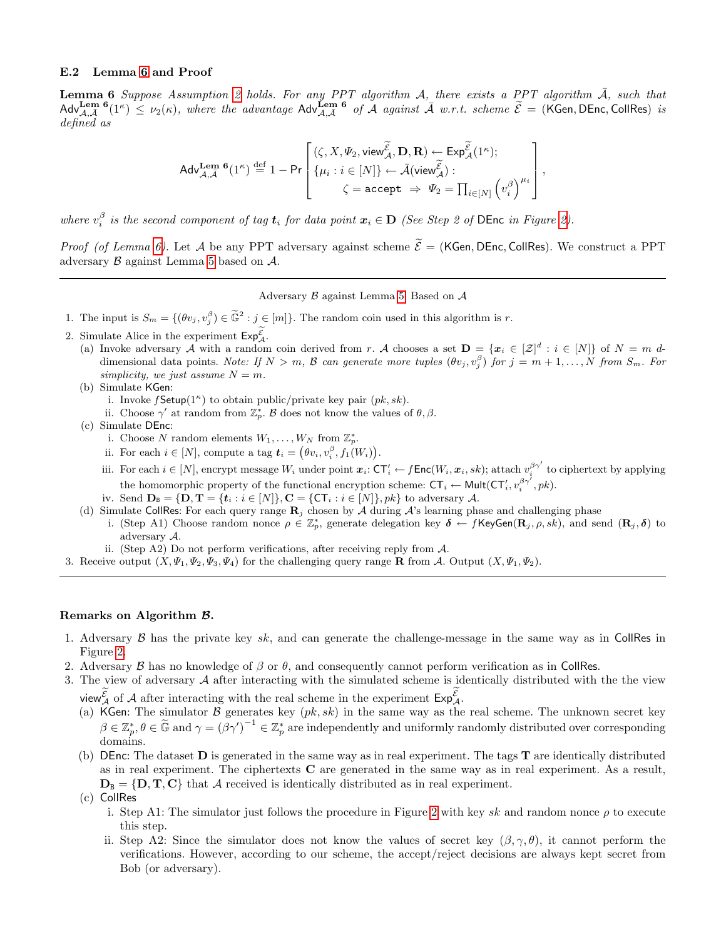### <span id="page-24-1"></span>E.2 Lemma [6](#page-24-0) and Proof

<span id="page-24-0"></span>**Lemma 6** Suppose Assumption [2](#page-6-1) holds. For any PPT algorithm A, there exists a PPT algorithm  $\overline{A}$ , such that  $\text{Adv}^{\text{Lem 6}}_{\mathcal{A},\bar{A}}(1^{\kappa}) \leq \nu_2(\kappa)$ , where the advantage  $\text{Adv}^{\text{Lem 6}}_{\mathcal{A},\bar{A}}$  of  $\bar{\mathcal{A}}$  against  $\bar{\mathcal{A}}$  w.r.t. scheme  $\tilde{\mathcal{E}} = (\text{KGen, DEnc, Collins})$  is defined as

$$
\mathsf{Adv}_{\mathcal{A},\bar{\mathcal{A}}}^{\mathbf{Lem}} \circ (1^\kappa) \stackrel{\mathrm{def}}{=} 1 - \mathsf{Pr}\left[\begin{matrix} (\zeta,X,\varPsi_2,\mathsf{view}_{\mathcal{A}}^{\widetilde{\mathcal{E}}},\mathbf{D},\mathbf{R}) \leftarrow \mathsf{Exp}_{\mathcal{A}}^{\widetilde{\mathcal{E}}}(1^\kappa); \\ \{\mu_i: i \in [N]\} \leftarrow \bar{\mathcal{A}}(\mathsf{view}_{\mathcal{A}}^{\widetilde{\mathcal{E}}}) : \\ \zeta = \mathsf{accept} \ \Rightarrow \ \varPsi_2 = \prod_{i \in [N]} \left(v_i^\beta\right)^{\mu_i} \end{matrix}\right],
$$

where  $v_i^{\beta}$  is the second component of tag  $t_i$  for data point  $x_i \in D$  (See Step 2 of DEnc in Figure [2\)](#page-11-0).

*Proof (of Lemma [6\)](#page-24-0)*. Let A be any PPT adversary against scheme  $\tilde{\mathcal{E}} =$  (KGen, DEnc, CollRes). We construct a PPT adversary B against Lemma [5](#page-22-0) based on A.

Adversary B against Lemma [5:](#page-22-0) Based on A

1. The input is  $S_m = \{(\theta v_j, v_j^{\beta}) \in \tilde{\mathbb{G}}^2 : j \in [m]\}.$  The random coin used in this algorithm is r.

- 2. Simulate Alice in the experiment  $Exp_{\mathcal{A}}^{\mathcal{E}}$ .
	- (a) Invoke adversary A with a random coin derived from r. A chooses a set  $\mathbf{D} = \{x_i \in [\mathcal{Z}]^d : i \in [N]\}$  of  $N = m$  ddimensional data points. Note: If  $N > m$ , B can generate more tuples  $(\theta v_j, v_j^{\beta})$  for  $j = m + 1, ..., N$  from  $S_m$ . For simplicity, we just assume  $N = m$ .
	- (b) Simulate KGen:
		- i. Invoke  $f$ **Setup**( $1^{\kappa}$ ) to obtain public/private key pair  $(pk, sk)$ .
		- ii. Choose  $\gamma'$  at random from  $\mathbb{Z}_p^*$ . B does not know the values of  $\theta, \beta$ .
	- (c) Simulate DEnc:
		- i. Choose N random elements  $W_1, \ldots, W_N$  from  $\mathbb{Z}_p^*$ .
		- ii. For each  $i \in [N]$ , compute a tag  $\mathbf{t}_i = (\theta v_i, v_i^{\beta}, f_1(W_i)).$
		- iii. For each  $i \in [N]$ , encrypt message  $W_i$  under point  $x_i$ :  $\mathsf{CT}'_i \leftarrow f\mathsf{Enc}(W_i, x_i, sk)$ ; attach  $v_i^{\beta \gamma'}$  to ciphertext by applying the homomorphic property of the functional encryption scheme:  $CT_i \leftarrow \text{Mult}(CT'_i, v_i^{\beta \gamma^i}, pk)$ .
		- iv. Send  $\mathbf{D}_B = \{\mathbf{D}, \mathbf{T} = \{t_i : i \in [N]\}, \mathbf{C} = \{\mathsf{CT}_i : i \in [N]\}, pk\}$  to adversary A.
	- (d) Simulate CollRes: For each query range  $\mathbf{R}_i$  chosen by A during A's learning phase and challenging phase i. (Step A1) Choose random nonce  $\rho \in \mathbb{Z}_p^*$ , generate delegation key  $\delta \leftarrow f$ KeyGen $(\mathbf{R}_j, \rho, s\vec{k})$ , and send  $(\mathbf{R}_j, \delta)$  to adversary A.
	- ii. (Step A2) Do not perform verifications, after receiving reply from  $\mathcal{A}$ .
- 3. Receive output  $(X, \Psi_1, \Psi_2, \Psi_3, \Psi_4)$  for the challenging query range **R** from A. Output  $(X, \Psi_1, \Psi_2)$ .

#### Remarks on Algorithm B.

- 1. Adversary  $\beta$  has the private key sk, and can generate the challenge-message in the same way as in CollRes in Figure [2.](#page-11-0)
- 2. Adversary B has no knowledge of  $\beta$  or  $\theta$ , and consequently cannot perform verification as in CollRes.
- 3. The view of adversary  $A$  after interacting with the simulated scheme is identically distributed with the the view view  $_{\mathcal{A}}^{\mathcal{E}}$  of  $\mathcal{A}$  after interacting with the real scheme in the experiment  $\mathsf{Exp}^{\mathcal{E}}_{\mathcal{A}}$ .
	- (a) KGen: The simulator B generates key  $(pk, sk)$  in the same way as the real scheme. The unknown secret key  $\beta \in \mathbb{Z}_p^*, \theta \in \widetilde{\mathbb{G}}$  and  $\gamma = (\beta \gamma')^{-1} \in \mathbb{Z}_p^*$  are independently and uniformly randomly distributed over corresponding domains.
	- (b) DEnc: The dataset  $\bf{D}$  is generated in the same way as in real experiment. The tags  $\bf{T}$  are identically distributed as in real experiment. The ciphertexts C are generated in the same way as in real experiment. As a result,  $D_B = \{D, T, C\}$  that A received is identically distributed as in real experiment.

(c) CollRes

- i. Step A1: The simulator just follows the procedure in Figure [2](#page-11-0) with key sk and random nonce  $\rho$  to execute this step.
- ii. Step A2: Since the simulator does not know the values of secret key  $(\beta, \gamma, \theta)$ , it cannot perform the verifications. However, according to our scheme, the accept/reject decisions are always kept secret from Bob (or adversary).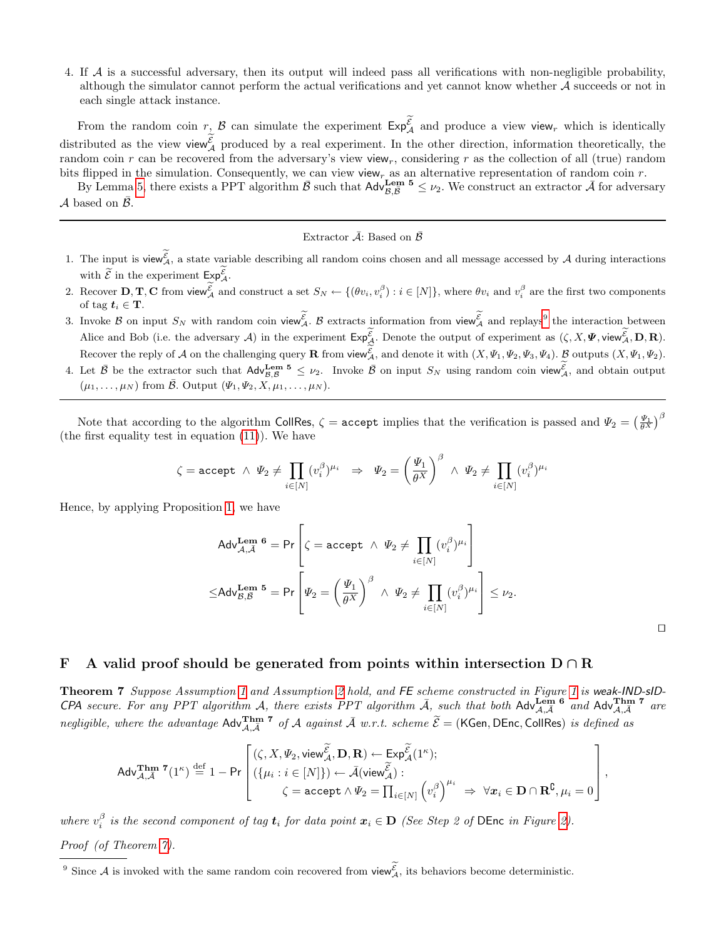4. If A is a successful adversary, then its output will indeed pass all verifications with non-negligible probability, although the simulator cannot perform the actual verifications and yet cannot know whether A succeeds or not in each single attack instance.

From the random coin  $r, \mathcal{B}$  can simulate the experiment  $Exp_{\mathcal{A}}^{\mathcal{E}}$  and produce a view view<sub>r</sub> which is identically distributed as the view view  $\mathcal{E}_\mathcal{A}$  produced by a real experiment. In the other direction, information theoretically, the random coin r can be recovered from the adversary's view view, considering r as the collection of all (true) random bits flipped in the simulation. Consequently, we can view view<sub>r</sub> as an alternative representation of random coin  $r$ .

By Lemma [5,](#page-22-0) there exists a PPT algorithm  $\bar{\mathcal{B}}$  such that  $\mathsf{Adv}_{\mathcal{B},\bar{\mathcal{B}}}^{\mathbf{Lem}} \preceq \nu_2$ . We construct an extractor  $\bar{\mathcal{A}}$  for adversary  $\mathcal A$  based on  $\mathcal B$ .

## Extractor  $\bar{\mathcal{A}}$ : Based on  $\bar{\mathcal{B}}$

- 1. The input is view  $\mathcal{E}_\mathcal{A}$ , a state variable describing all random coins chosen and all message accessed by A during interactions with  $\widetilde{\mathcal{E}}$  in the experiment  $\mathsf{Exp}_{\mathcal{A}}^{\mathcal{E}}$ .
- 2. Recover  $\mathbf{D}, \mathbf{T}, \mathbf{C}$  from view  $\mathcal{L}_A$  and construct a set  $S_N \leftarrow \{(\theta v_i, v_i^{\beta}) : i \in [N]\}$ , where  $\theta v_i$  and  $v_i^{\beta}$  are the first two components of tag  $t_i \in \mathbf{T}$ .
- 3. Invoke  $\beta$  on input  $S_N$  with random coin view  $\mathcal{E}_\mathcal{A}$ .  $\beta$  extracts information from view  $\mathcal{E}_\mathcal{A}$  and replays the interaction between Alice and Bob (i.e. the adversary A) in the experiment  $\mathsf{Exp}_{\mathcal{A}}^{\mathcal{E}}$ . Denote the output of experiment as  $(\zeta, X, \Psi, \text{view}_{\mathcal{A}}^{\mathcal{E}}, D, R)$ . Recover the reply of A on the challenging query **R** from view  $\mathcal{L}_A$ , and denote it with  $(X, \Psi_1, \Psi_2, \Psi_3, \Psi_4)$ .  $\mathcal{L}_B$  outputs  $(X, \Psi_1, \Psi_2)$ .
- 4. Let  $\bar{\mathcal{B}}$  be the extractor such that  $\mathsf{Adv}_{\mathcal{B},\bar{\mathcal{B}}}^{\mathsf{Lem}} \leq \nu_2$ . Invoke  $\bar{\mathcal{B}}$  on input  $S_N$  using random coin view ${}_{\mathcal{A}}^{\mathcal{E}}$ , and obtain output  $(\mu_1, \ldots, \mu_N)$  from  $\bar{\mathcal{B}}$ . Output  $(\Psi_1, \Psi_2, X, \mu_1, \ldots, \mu_N)$ .

Note that according to the algorithm CollRes,  $\zeta =$  accept implies that the verification is passed and  $\Psi_2 = \left(\frac{\Psi_1}{\theta^X}\right)^{\beta}$ (the first equality test in equation [\(11\)](#page-11-3)). We have

$$
\zeta = \text{accept} \ \land \ \Psi_2 \neq \prod_{i \in [N]} (v_i^{\beta})^{\mu_i} \ \ \Rightarrow \ \ \Psi_2 = \left(\frac{\Psi_1}{\theta^X}\right)^{\beta} \ \land \ \Psi_2 \neq \prod_{i \in [N]} (v_i^{\beta})^{\mu_i}
$$

Hence, by applying Proposition [1,](#page-18-1) we have

$$
Adv_{\mathcal{A}, \bar{\mathcal{A}}}^{\text{Tem 6}} = \text{Pr}\left[\zeta = \text{accept} \land \Psi_2 \neq \prod_{i \in [N]} (v_i^{\beta})^{\mu_i}\right]
$$
  

$$
\leq Adv_{\mathcal{B}, \bar{\mathcal{B}}}^{\text{ Lem 5}} = \text{Pr}\left[\Psi_2 = \left(\frac{\Psi_1}{\theta^X}\right)^{\beta} \land \Psi_2 \neq \prod_{i \in [N]} (v_i^{\beta})^{\mu_i}\right] \leq \nu_2.
$$

|  | ۹ | ٦ |  |
|--|---|---|--|
|  |   |   |  |
|  |   |   |  |
|  |   |   |  |

,

## F A valid proof should be generated from points within intersection  $D \cap R$

<span id="page-25-0"></span>Theorem 7 Suppose Assumption [1](#page-10-0) and Assumption [2](#page-6-1) hold, and FE scheme constructed in Figure 1 is weak-IND-sID-CPA secure. For any PPT algorithm A, there exists PPT algorithm  $\bar{A}$ , such that both Adv $\lim_{\mathcal{A},\bar{\mathcal{A}}}$  6 and Adv $\lim_{\mathcal{A},\bar{\mathcal{A}}}$  7 are negligible, where the advantage  $\text{Adv}_{\mathcal{A},\overline{\mathcal{A}}}^{\text{Thm 7}}$  of  $\mathcal A$  against  $\overline{\mathcal A}$  w.r.t. scheme  $\widetilde{\mathcal{E}} =$  (KGen, DEnc, CollRes) is defined as

$$
\mathsf{Adv}_{\mathcal{A},\bar{\mathcal{A}}}^{\mathbf{Thm}} \; {}^{\boldsymbol{\tau}}(1^\kappa) \stackrel{\mathrm{def}}{=} 1 - \mathsf{Pr}\left[\begin{matrix}(\zeta,X,\varPsi_2,\mathsf{view}_{\mathcal{A}}^{\widetilde{\mathcal{E}}},\mathbf{D},\mathbf{R}) \leftarrow \mathsf{Exp}_{\mathcal{A}}^{\widetilde{\mathcal{E}}}(1^\kappa); \\ (\{\mu_i:i\in[N]\}) \leftarrow \bar{\mathcal{A}}(\mathsf{view}_{\mathcal{A}}^{\widetilde{\mathcal{E}}}) : \\ \zeta = \mathsf{accept} \wedge \varPsi_2 = \prod_{i\in[N]} \left(v_i^\beta\right)^{\mu_i} \ \Rightarrow \ \forall \pmb{x}_i \in \mathbf{D} \cap \mathbf{R}^{\complement}, \mu_i = 0\end{matrix}\right]
$$

where  $v_i^{\beta}$  is the second component of tag  $t_i$  for data point  $x_i \in D$  (See Step 2 of DEnc in Figure [2\)](#page-11-0). Proof (of Theorem [7\)](#page-25-0).

<span id="page-25-1"></span><sup>&</sup>lt;sup>9</sup> Since A is invoked with the same random coin recovered from view<sub>A</sub>, its behaviors become deterministic.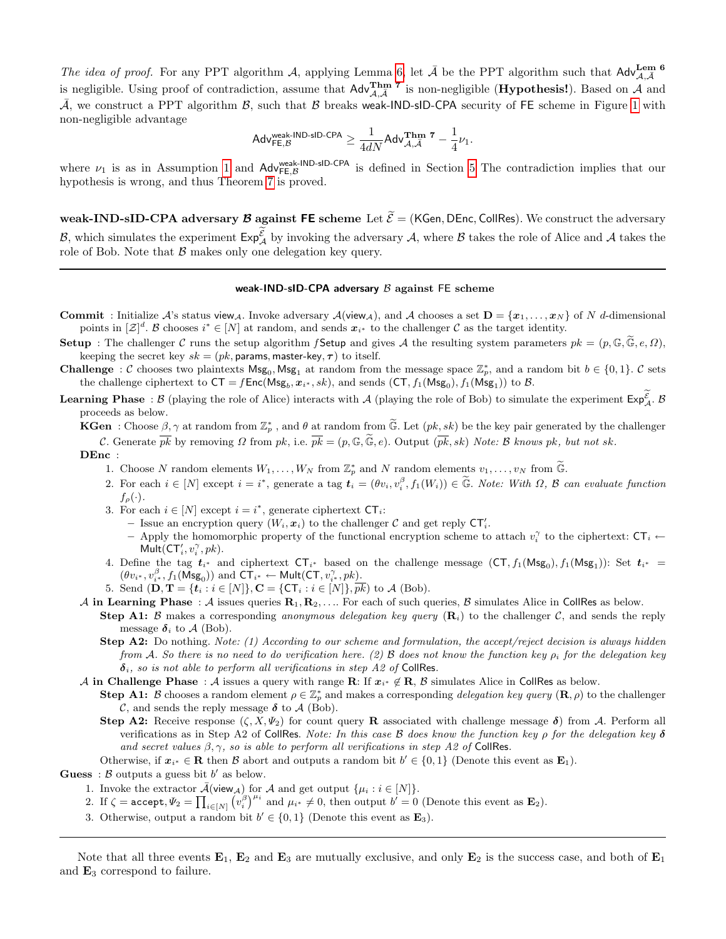The idea of proof. For any PPT algorithm A, applying Lemma [6,](#page-24-0) let  $\bar{A}$  be the PPT algorithm such that Adv $_{A,\bar{A}}^{\text{Lem 6}}$ is negligible. Using proof of contradiction, assume that  $\text{Adv}_{\mathcal{A},\bar{\mathcal{A}}}^{\text{Thm 7}}$  is non-negligible (**Hypothesis!**). Based on  $\mathcal{A}$  and  $\bar{\mathcal{A}}$ , we construct a PPT algorithm  $\mathcal{B}$ , such that  $\mathcal B$  breaks weak-IND-sID-CPA security of FE scheme in Figure [1](#page-10-0) with non-negligible advantage

$$
\mathsf{Adv}_{\mathsf{FE},\mathcal{B}}^{\mathsf{weak}\text{-}\mathsf{IND}\text{-}\mathsf{sID\text{-}\mathsf{CPA}}}\geq \frac{1}{4dN}\mathsf{Adv}_{\mathcal{A},\bar{\mathcal{A}}}^{\mathbf{Thm}} \text{ }^{7}-\frac{1}{4}\nu_1.
$$

where  $\nu_1$  is as in Assumption [1](#page-6-2) and Adv<sup>weak-IND-sID-CPA</sup> is defined in Section [5](#page-7-0) The contradiction implies that our hypothesis is wrong, and thus Theorem [7](#page-25-0) is proved.

weak-IND-sID-CPA adversary  $\mathcal B$  against FE scheme Let  $\widetilde{\mathcal E} = (KGen, DEnc, CollRes)$ . We construct the adversary B, which simulates the experiment  $\mathsf{Exp}_{\mathcal{A}}^{\mathcal{E}}$  by invoking the adversary  $\mathcal{A}$ , where B takes the role of Alice and  $\mathcal{A}$  takes the role of Bob. Note that  $\beta$  makes only one delegation key query.

#### weak-IND-sID-CPA adversary  $\beta$  against FE scheme

- **Commit** : Initialize A's status view<sub>A</sub>. Invoke adversary  $\mathcal{A}(\text{view}_\mathcal{A})$ , and  $\mathcal{A}$  chooses a set  $\mathbf{D} = \{x_1, \ldots, x_N\}$  of N d-dimensional points in  $[\mathcal{Z}]^d$ . B chooses  $i^* \in [N]$  at random, and sends  $x_{i^*}$  to the challenger C as the target identity.
- Setup : The challenger C runs the setup algorithm f Setup and gives A the resulting system parameters  $pk = (p, \mathbb{G}, \mathbb{G}, e, \Omega)$ , keeping the secret key  $sk = (pk$ , params, master-key,  $\tau$ ) to itself.
- **Challenge** : C chooses two plaintexts  $\mathsf{Msg}_0, \mathsf{Msg}_1$  at random from the message space  $\mathbb{Z}_p^*$ , and a random bit  $b \in \{0,1\}$ . C sets the challenge ciphertext to  $\mathsf{CT} = f\mathsf{Enc}(\mathsf{Msg}_b, x_{i^*}, sk)$ , and sends  $(\mathsf{CT}, f_1(\mathsf{Msg}_0), f_1(\mathsf{Msg}_1))$  to  $\mathcal{B}$ .
- **Learning Phase**:  $\beta$  (playing the role of Alice) interacts with  $\mathcal{A}$  (playing the role of Bob) to simulate the experiment  $\mathsf{Exp}_{\mathcal{A}}^{\mathcal{E}}$ .  $\beta$ proceeds as below.

**KGen** : Choose  $\beta, \gamma$  at random from  $\mathbb{Z}_p^*$ , and  $\theta$  at random from  $\widetilde{\mathbb{G}}$ . Let  $(pk, sk)$  be the key pair generated by the challenger C. Generate  $\overline{pk}$  by removing  $\Omega$  from  $pk$ , i.e.  $\overline{pk} = (p, \mathbb{G}, \mathbb{G}, \mathbb{e})$ . Output  $(\overline{pk}, sk)$  Note: B knows  $pk$ , but not sk.

#### DEnc :

- 1. Choose N random elements  $W_1, \ldots, W_N$  from  $\mathbb{Z}_p^*$  and N random elements  $v_1, \ldots, v_N$  from  $\widetilde{\mathbb{G}}$ .
- 2. For each  $i \in [N]$  except  $i = i^*$ , generate a tag  $\mathbf{t}_i = (\theta v_i, v_i^{\beta}, f_1(W_i)) \in \widetilde{\mathbb{G}}$ . Note: With  $\Omega$ ,  $\mathcal{B}$  can evaluate function  $f_{\rho}(\cdot).$
- 3. For each  $i \in [N]$  except  $i = i^*$ , generate ciphertext  $CT_i$ :
	- Issue an encryption query  $(W_i, x_i)$  to the challenger C and get reply  $\mathsf{CT}'_i$ .
	- Apply the homomorphic property of the functional encryption scheme to attach  $v_i^{\gamma}$  to the ciphertext:  $CT_i \leftarrow$  $Mult({\sf CT}_i', v_i^\gamma, pk).$
- 4. Define the tag  $t_{i^*}$  and ciphertext  $CT_{i^*}$  based on the challenge message  $(CT, f_1(Msg_0), f_1(Msg_1))$ : Set  $t_{i^*}$  =  $(\theta v_{i^*}, v_{i^*}^{\beta}, f_1(\mathsf{Msg}_0))$  and  $\mathsf{CT}_{i^*} \leftarrow \mathsf{Mult}(\mathsf{CT}, v_{i^*}^{\gamma}, pk)$ .
- 5. Send  $(D, T = \{t_i : i \in [N]\}, C = \{CT_i : i \in [N]\}, pk)$  to A (Bob).
- A in Learning Phase : A issues queries  $R_1, R_2, \ldots$  For each of such queries, B simulates Alice in CollRes as below.
	- **Step A1:** B makes a corresponding anonymous delegation key query  $(\mathbf{R}_i)$  to the challenger C, and sends the reply message  $\delta_i$  to A (Bob).
		- **Step A2:** Do nothing. Note: (1) According to our scheme and formulation, the accept/reject decision is always hidden from A. So there is no need to do verification here. (2) B does not know the function key  $\rho_i$  for the delegation key  $\delta_i$ , so is not able to perform all verifications in step A2 of CollRes.
- A in Challenge Phase : A issues a query with range R: If  $x_i^* \notin R$ , B simulates Alice in CollRes as below.
	- **Step A1:** B chooses a random element  $\rho \in \mathbb{Z}_p^*$  and makes a corresponding delegation key query  $(\mathbf{R}, \rho)$  to the challenger C, and sends the reply message  $\delta$  to  $\mathcal{A}$  (Bob).
	- Step A2: Receive response  $(\zeta, X, \Psi_2)$  for count query R associated with challenge message  $\delta$ ) from A. Perform all verifications as in Step A2 of CollRes. Note: In this case B does know the function key  $\rho$  for the delegation key  $\delta$ and secret values  $\beta, \gamma$ , so is able to perform all verifications in step A2 of CollRes.
- Otherwise, if  $x_{i^*} \in \mathbf{R}$  then  $\beta$  abort and outputs a random bit  $b' \in \{0,1\}$  (Denote this event as  $\mathbf{E}_1$ ).
- **Guess** :  $\beta$  outputs a guess bit  $b'$  as below.
	- 1. Invoke the extractor  $\bar{\mathcal{A}}(\mathsf{view}_{\mathcal{A}})$  for  $\mathcal{A}$  and get output  $\{\mu_i : i \in [N]\}.$
	- 2. If  $\zeta = \operatorname{accept}, \Psi_2 = \prod_{i \in [N]} (v_i^{\beta})^{\mu_i}$  and  $\mu_i \neq 0$ , then output  $b' = 0$  (Denote this event as  $\mathbf{E}_2$ ).
	- 3. Otherwise, output a random bit  $b' \in \{0, 1\}$  (Denote this event as  $\mathbf{E}_3$ ).

Note that all three events  $\mathbf{E}_1$ ,  $\mathbf{E}_2$  and  $\mathbf{E}_3$  are mutually exclusive, and only  $\mathbf{E}_2$  is the success case, and both of  $\mathbf{E}_1$ and  $\mathbf{E}_3$  correspond to failure.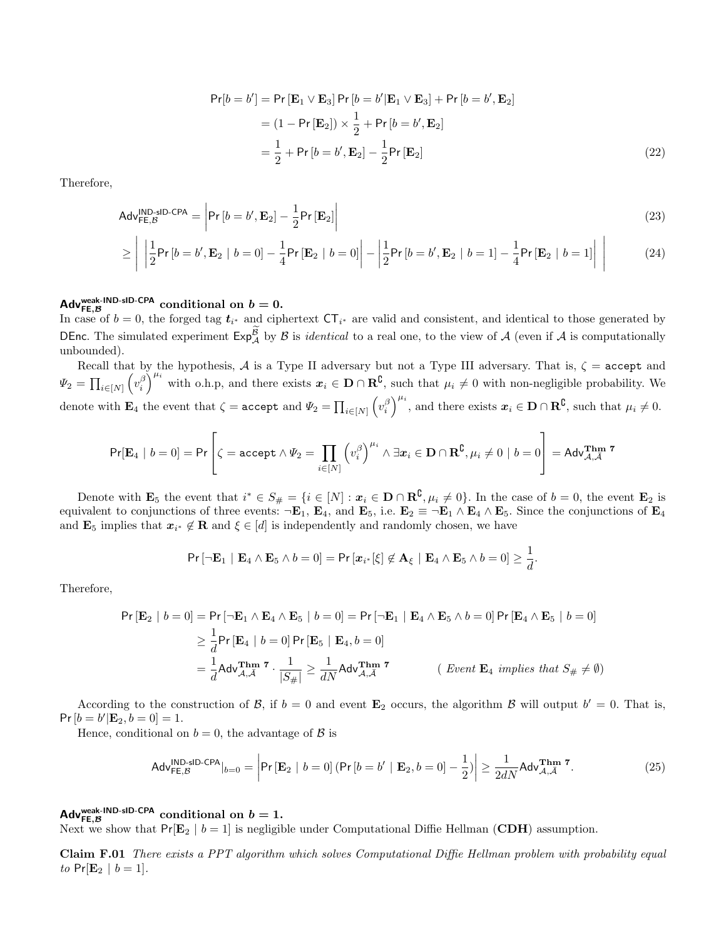$$
Pr[b = b'] = Pr[\mathbf{E}_1 \vee \mathbf{E}_3] Pr[b = b'|\mathbf{E}_1 \vee \mathbf{E}_3] + Pr[b = b', \mathbf{E}_2]
$$
  
=  $(1 - Pr[\mathbf{E}_2]) \times \frac{1}{2} + Pr[b = b', \mathbf{E}_2]$   
=  $\frac{1}{2} + Pr[b = b', \mathbf{E}_2] - \frac{1}{2} Pr[\mathbf{E}_2]$  (22)

Therefore,

$$
Adv_{\mathsf{FE},\mathcal{B}}^{\mathsf{IND}\text{-}\mathsf{sID}\text{-}\mathsf{CPA}} = \left| \mathsf{Pr}\left[ b = b', \mathbf{E}_2 \right] - \frac{1}{2} \mathsf{Pr}\left[ \mathbf{E}_2 \right] \right| \tag{23}
$$

$$
\geq \left| \left| \frac{1}{2} \mathsf{Pr}\left[b = b', \mathbf{E}_2 \mid b = 0 \right] - \frac{1}{4} \mathsf{Pr}\left[\mathbf{E}_2 \mid b = 0 \right] \right| - \left| \frac{1}{2} \mathsf{Pr}\left[b = b', \mathbf{E}_2 \mid b = 1 \right] - \frac{1}{4} \mathsf{Pr}\left[\mathbf{E}_2 \mid b = 1 \right] \right| \right| \tag{24}
$$

# Adv<sup>weak-IND-sID-CPA</sup> conditional on  $b=0$ .

In case of  $b = 0$ , the forged tag  $t_{i^*}$  and ciphertext  $CT_{i^*}$  are valid and consistent, and identical to those generated by DEnc. The simulated experiment  $Exp_A^B$  by B is *identical* to a real one, to the view of A (even if A is computationally unbounded).

Recall that by the hypothesis, A is a Type II adversary but not a Type III adversary. That is,  $\zeta$  = accept and  $\Psi_2 = \prod_{i \in [N]} \left(v_i^{\beta}\right)^{\mu_i}$  with o.h.p, and there exists  $x_i \in \mathbf{D} \cap \mathbf{R}^{\complement}$ , such that  $\mu_i \neq 0$  with non-negligible probability. We denote with  $\mathbf{E}_4$  the event that  $\zeta = \mathbf{accept}$  and  $\Psi_2 = \prod_{i \in [N]} \left( v_i^{\beta} \right)^{\mu_i}$ , and there exists  $\mathbf{x}_i \in \mathbf{D} \cap \mathbf{R}^{\complement}$ , such that  $\mu_i \neq 0$ .

$$
\Pr[\mathbf{E}_4 \mid b=0] = \Pr\left[\zeta = \texttt{accept} \land \Psi_2 = \prod_{i \in [N]} \left(v_i^\beta\right)^{\mu_i} \land \exists x_i \in \mathbf{D} \cap \mathbf{R}^\complement, \mu_i \neq 0 \mid b=0\right] = \mathsf{Adv}_{\mathcal{A},\bar{\mathcal{A}}}^{\mathbf{Thm}} \text{ and } \Pr[\mathbf{E}_\mathcal{A} \mid \mathcal{A}] = \Pr\left[\mathbf{E}_\mathcal{A} \mid \mathcal{A} \neq 0 \mid \mathcal{A} \neq 0 \mid \mathcal{A} \neq 0 \mid \mathcal{A} \neq 0 \mid \mathcal{A} \neq 0 \mid \mathcal{A} \neq 0 \mid \mathcal{A} \neq 0 \mid \mathcal{A} \neq 0 \mid \mathcal{A} \neq 0 \mid \mathcal{A} \neq 0 \mid \mathcal{A} \neq 0 \mid \mathcal{A} \neq 0 \mid \mathcal{A} \neq 0 \mid \mathcal{A} \neq 0 \mid \mathcal{A} \neq 0 \mid \mathcal{A} \neq 0 \mid \mathcal{A} \neq 0 \mid \mathcal{A} \neq 0 \mid \mathcal{A} \neq 0 \mid \mathcal{A} \neq 0 \mid \mathcal{A} \neq 0 \mid \mathcal{A} \neq 0 \mid \mathcal{A} \neq 0 \mid \mathcal{A} \neq 0 \mid \mathcal{A} \neq 0 \mid \mathcal{A} \neq 0 \mid \mathcal{A} \neq 0 \mid \mathcal{A} \neq 0 \mid \mathcal{A} \neq 0 \mid \mathcal{A} \neq 0 \mid \mathcal{A} \neq 0 \mid \mathcal{A} \neq 0 \mid \mathcal{A} \neq 0 \mid \mathcal{A} \neq 0 \mid \mathcal{A} \neq 0 \mid \mathcal{A} \neq 0 \mid \mathcal{A} \neq 0 \mid \mathcal{A} \neq 0 \mid \mathcal{A} \neq 0 \mid \mathcal{A} \neq 0 \mid \mathcal{A} \neq 0 \mid \mathcal{A} \neq 0 \mid \mathcal{A} \neq 0 \mid \mathcal{A} \neq 0 \mid \mathcal{A} \neq 0 \
$$

Denote with  $\mathbf{E}_5$  the event that  $i^* \in S_{\#} = \{i \in [N] : \pmb{x}_i \in \mathbf{D} \cap \mathbf{R}^{\complement}, \mu_i \neq 0\}$ . In the case of  $b = 0$ , the event  $\mathbf{E}_2$  is equivalent to conjunctions of three events:  $\neg \mathbf{E}_1$ ,  $\mathbf{E}_4$ , and  $\mathbf{E}_5$ , i.e.  $\mathbf{E}_2 \equiv \neg \mathbf{E}_1 \wedge \mathbf{E}_4 \wedge \mathbf{E}_5$ . Since the conjunctions of  $\mathbf{E}_4$ and  $\mathbf{E}_5$  implies that  $x_{i^*} \notin \mathbf{R}$  and  $\xi \in [d]$  is independently and randomly chosen, we have

$$
\Pr[\neg \mathbf{E}_1 \mid \mathbf{E}_4 \wedge \mathbf{E}_5 \wedge b = 0] = \Pr[\mathbf{x}_{i^*}[\xi] \notin \mathbf{A}_{\xi} \mid \mathbf{E}_4 \wedge \mathbf{E}_5 \wedge b = 0] \geq \frac{1}{d}.
$$

Therefore,

$$
\Pr\left[\mathbf{E}_2 \mid b=0\right] = \Pr\left[\neg \mathbf{E}_1 \land \mathbf{E}_4 \land \mathbf{E}_5 \mid b=0\right] = \Pr\left[\neg \mathbf{E}_1 \mid \mathbf{E}_4 \land \mathbf{E}_5 \land b=0\right] \Pr\left[\mathbf{E}_4 \land \mathbf{E}_5 \mid b=0\right]
$$
\n
$$
\geq \frac{1}{d} \Pr\left[\mathbf{E}_4 \mid b=0\right] \Pr\left[\mathbf{E}_5 \mid \mathbf{E}_4, b=0\right]
$$
\n
$$
= \frac{1}{d} \text{Adv}_{\mathcal{A},\bar{\mathcal{A}}}^{\text{Thm}} \text{ and } \frac{1}{|S_{\#}|} \geq \frac{1}{dN} \text{Adv}_{\mathcal{A},\bar{\mathcal{A}}}^{\text{Thm}} \text{ and } \text{Event } \mathbf{E}_4 \text{ implies that } S_{\#} \neq \emptyset)
$$

According to the construction of B, if  $b = 0$  and event  $\mathbf{E}_2$  occurs, the algorithm B will output  $b' = 0$ . That is,  $Pr [b = b' | \mathbf{E}_2, b = 0] = 1.$ 

Hence, conditional on  $b = 0$ , the advantage of  $\beta$  is

<span id="page-27-0"></span>
$$
\text{Adv}_{\mathsf{FE},\mathcal{B}}^{\text{IND-sID-CPA}}|_{b=0} = \left| \Pr\left[\mathbf{E}_2 \mid b=0\right] \left( \Pr\left[b=b' \mid \mathbf{E}_2, b=0\right] - \frac{1}{2} \right) \right| \ge \frac{1}{2dN} \text{Adv}_{\mathcal{A},\tilde{\mathcal{A}}}^{\text{Thm }7}.
$$
 (25)

# Adv<sup>weak-IND-sID-CPA</sup> conditional on  $b=1$ .

Next we show that  $Pr[\mathbf{E}_2 | b = 1]$  is negligible under Computational Diffie Hellman (CDH) assumption.

Claim F.01 There exists a PPT algorithm which solves Computational Diffie Hellman problem with probability equal to  $Pr[\mathbf{E}_2 | b = 1].$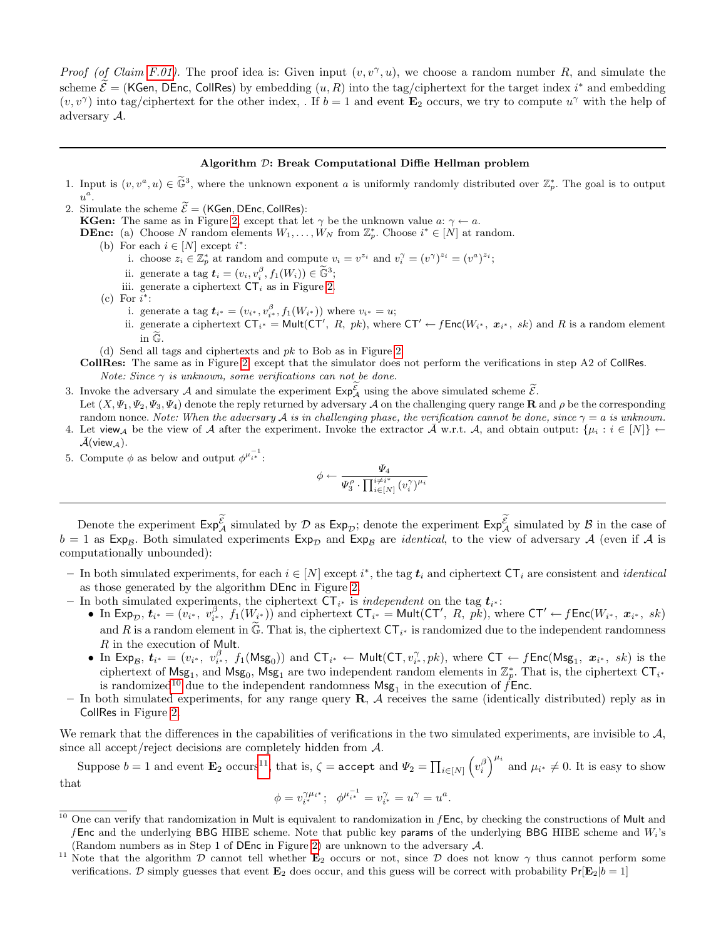Proof (of Claim [F.01\)](#page-27-0). The proof idea is: Given input  $(v, v^{\gamma}, u)$ , we choose a random number R, and simulate the scheme  $\mathcal{E} = (\mathsf{KGen}, \mathsf{DEnc}, \mathsf{CollRes})$  by embedding  $(u, R)$  into the tag/ciphertext for the target index i<sup>\*</sup> and embedding  $(v, v^{\gamma})$  into tag/ciphertext for the other index, . If  $b = 1$  and event  $\mathbf{E}_2$  occurs, we try to compute  $u^{\gamma}$  with the help of adversary A.

#### Algorithm D: Break Computational Diffie Hellman problem

- 1. Input is  $(v, v^a, u) \in \tilde{\mathbb{G}}^3$ , where the unknown exponent a is uniformly randomly distributed over  $\mathbb{Z}_p^*$ . The goal is to output  $u^a$ .
- 2. Simulate the scheme  $\widetilde{\mathcal{E}} = (KGen, DEnc, CollRes)$ :

**KGen:** The same as in Figure [2,](#page-11-0) except that let  $\gamma$  be the unknown value  $a: \gamma \leftarrow a$ .

- **DEnc:** (a) Choose N random elements  $W_1, \ldots, W_N$  from  $\mathbb{Z}_p^*$ . Choose  $i^* \in [N]$  at random.
	- (b) For each  $i \in [N]$  except  $i^*$ :
		- i. choose  $z_i \in \mathbb{Z}_p^*$  at random and compute  $v_i = v^{z_i}$  and  $v_i^{\gamma} = (v^{\gamma})^{z_i} = (v^a)^{z_i}$ ;
		- ii. generate a tag  $\mathbf{t}_i = (v_i, v_i^{\beta}, f_1(W_i)) \in \widetilde{\mathbb{G}}^3;$ <br>ii. generate a sinkept of  $\mathbf{F}_i$  or in Figure 3.
		- iii. generate a ciphertext  $CT_i$  as in Figure [2.](#page-11-0)
	- $(c)$  For  $i^*$ :
		- i. generate a tag  $t_{i^*} = (v_{i^*}, v_{i^*}^{\beta}, f_1(W_{i^*}))$  where  $v_{i^*} = u$ ;
		- ii. generate a ciphertext  $\mathsf{CT}_{i^*} = \mathsf{Mult}(\mathsf{CT}', R, pk)$ , where  $\mathsf{CT}' \leftarrow f\mathsf{Enc}(W_{i^*}, x_{i^*}, sk)$  and R is a random element in G.
	- (d) Send all tags and ciphertexts and pk to Bob as in Figure [2.](#page-11-0)

CollRes: The same as in Figure [2,](#page-11-0) except that the simulator does not perform the verifications in step A2 of CollRes. Note: Since  $\gamma$  is unknown, some verifications can not be done.

- 3. Invoke the adversary A and simulate the experiment  $\mathsf{Exp}^{\mathcal{E}}_{\mathcal{A}}$  using the above simulated scheme  $\widetilde{\mathcal{E}}$ .
- Let  $(X, \Psi_1, \Psi_2, \Psi_3, \Psi_4)$  denote the reply returned by adversary A on the challenging query range **R** and  $\rho$  be the corresponding random nonce. Note: When the adversary A is in challenging phase, the verification cannot be done, since  $\gamma = a$  is unknown.
- 4. Let view<sub>A</sub> be the view of A after the experiment. Invoke the extractor  $\bar{\mathcal{A}}$  w.r.t. A, and obtain output:  $\{\mu_i : i \in [N]\}$  ←  $\mathcal{A}(\mathsf{view}_{\mathcal{A}}).$
- 5. Compute  $\phi$  as below and output  $\phi^{\mu_{i^*}^{-1}}$ :

$$
\phi \leftarrow \frac{\varPsi_4}{\varPsi_3^{\rho} \cdot \prod_{i \in [N]}^{i \neq i^*} (v_i^{\gamma})^{\mu_i}}
$$

Denote the experiment  $\mathsf{Exp}_{\mathcal{A}}^{\mathcal{E}}$  simulated by  $\mathcal D$  as  $\mathsf{Exp}_{\mathcal{D}}$ ; denote the experiment  $\mathsf{Exp}_{\mathcal{A}}^{\mathcal{E}}$  simulated by  $\mathcal B$  in the case of  $b = 1$  as Exp<sub>B</sub>. Both simulated experiments Exp<sub>D</sub> and Exp<sub>B</sub> are *identical*, to the view of adversary A (even if A is computationally unbounded):

- − In both simulated experiments, for each  $i \in [N]$  except  $i^*$ , the tag  $t_i$  and ciphertext  $\mathsf{CT}_i$  are consistent and *identical* as those generated by the algorithm DEnc in Figure [2.](#page-11-0)
- In both simulated experiments, the ciphertext  $CT_{i^*}$  is *independent* on the tag  $t_{i^*}$ :
	- In  $Exp_{\mathcal{D}}$ ,  $t_{i^*} = (v_{i^*}, v_{i^*}^{\beta}, f_1(W_{i^*}))$  and ciphertext  $CT_{i^*} = Mult(CT', R, p\vec{k}),$  where  $CT' \leftarrow fEnc(W_{i^*}, x_{i^*}, sk)$ and R is a random element in  $\widetilde{\mathbb{G}}$ . That is, the ciphertext  $\mathsf{CT}_{i^*}$  is randomized due to the independent randomness R in the execution of Mult.
	- In Exp<sub>B</sub>,  $\bm{t}_{i^*} = (v_{i^*}, v_{i^*}^{\beta}, f_1(\mathsf{Msg}_0))$  and  $\mathsf{CT}_{i^*} \leftarrow \mathsf{Mult}(\mathsf{CT}, v_{i^*}^{\gamma}, pk),$  where  $\mathsf{CT} \leftarrow f\mathsf{Enc}(\mathsf{Msg}_1, \bm{x}_{i^*}, sk)$  is the ciphertext of  $\mathsf{Msg}_1$ , and  $\mathsf{Msg}_0$ ,  $\mathsf{Msg}_1$  are two independent random elements in  $\mathbb{Z}_p^*$ . That is, the ciphertext  $\mathsf{CT}_{i^*}$ is randomized<sup>[10](#page-28-0)</sup> due to the independent randomness  $\mathsf{Msg}_1$  in the execution of  $\hat{f}$ Enc.
- In both simulated experiments, for any range query  $\mathbf{R}$ ,  $\mathcal{A}$  receives the same (identically distributed) reply as in CollRes in Figure [2.](#page-11-0)

We remark that the differences in the capabilities of verifications in the two simulated experiments, are invisible to  $A$ , since all accept/reject decisions are completely hidden from A.

Suppose  $b = 1$  and event  $\mathbf{E}_2$  occurs<sup>[11](#page-28-1)</sup>, that is,  $\zeta = \text{accept}$  and  $\Psi_2 = \prod_{i \in [N]} (v_i^{\beta})^{\mu_i}$  and  $\mu_{i^*} \neq 0$ . It is easy to show that

$$
\phi = v_{i^*}^{\gamma \mu_{i^*}}; \quad \phi^{\mu_{i^*}^{-1}} = v_{i^*}^{\gamma} = u^{\gamma} = u^a.
$$

<span id="page-28-0"></span> $10$  One can verify that randomization in Mult is equivalent to randomization in  $f$ Enc, by checking the constructions of Mult and f Enc and the underlying BBG HIBE scheme. Note that public key params of the underlying BBG HIBE scheme and  $W_i$ 's (Random numbers as in Step 1 of DEnc in Figure [2\)](#page-11-0) are unknown to the adversary A.

<span id="page-28-1"></span><sup>&</sup>lt;sup>11</sup> Note that the algorithm  $\mathcal{D}$  cannot tell whether  $\mathbf{E}_2$  occurs or not, since  $\mathcal{D}$  does not know  $\gamma$  thus cannot perform some verifications. D simply guesses that event  $\mathbf{E}_2$  does occur, and this guess will be correct with probability  $Pr[\mathbf{E}_2|b=1]$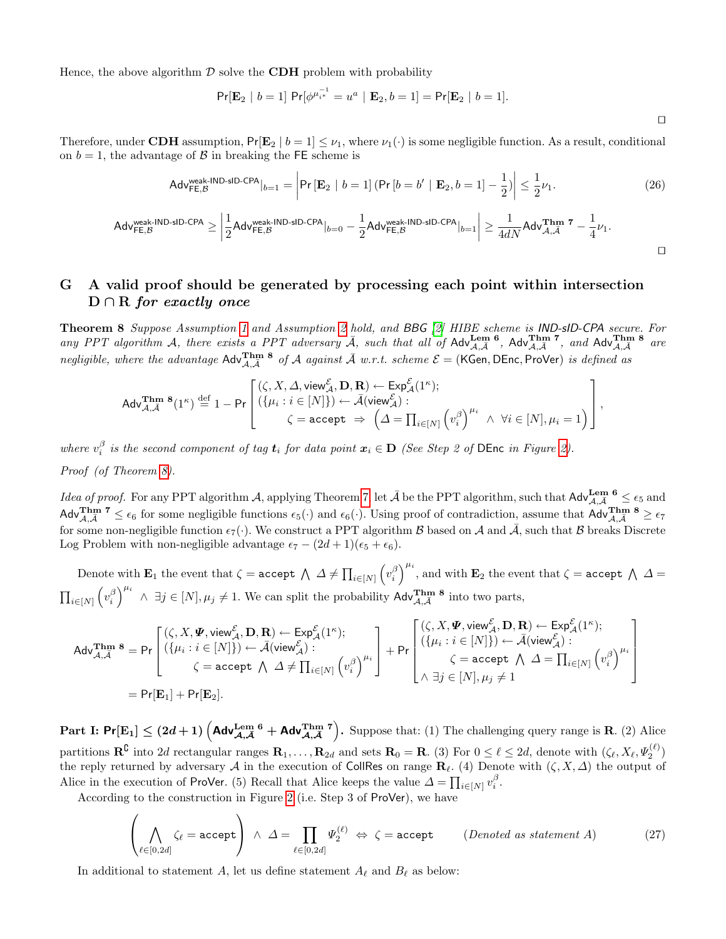Hence, the above algorithm  $\mathcal D$  solve the **CDH** problem with probability

$$
\Pr[\mathbf{E}_2 \mid b=1] \Pr[\phi^{\mu_{i^*}^{-1}} = u^a \mid \mathbf{E}_2, b=1] = \Pr[\mathbf{E}_2 \mid b=1].
$$

Therefore, under CDH assumption,  $Pr[\mathbf{E}_2 | b = 1] \leq \nu_1$ , where  $\nu_1(\cdot)$  is some negligible function. As a result, conditional on  $b = 1$ , the advantage of  $\beta$  in breaking the FE scheme is

$$
\mathsf{Adv}_{\mathsf{FE},\mathcal{B}}^{\mathsf{weak}\text{-}\mathsf{IND}\text{-}\mathsf{sID\text{-}\mathsf{CPA}}}|_{b=1} = \left| \mathsf{Pr}\left[\mathbf{E}_2 \mid b=1\right] \left( \mathsf{Pr}\left[b=b' \mid \mathbf{E}_2, b=1\right] - \frac{1}{2} \right) \right| \le \frac{1}{2} \nu_1. \tag{26}
$$

 $\Box$ 

$$
\mathsf{Adv}^{\mathsf{weak}\text{-IND}\text{-}\mathsf{sID\text{-}CPA}}_{\mathsf{FE},\mathcal{B}} \geq \left|\frac{1}{2}\mathsf{Adv}^{\mathsf{weak}\text{-}\mathsf{IND}\text{-}\mathsf{sID\text{-}CPA}}_{\mathsf{FE},\mathcal{B}}|_{b=0} - \frac{1}{2}\mathsf{Adv}^{\mathsf{weak}\text{-}\mathsf{IND}\text{-}\mathsf{sID\text{-}CPA}}_{\mathsf{FE},\mathcal{B}}|_{b=1}\right| \geq \frac{1}{4dN} \mathsf{Adv}^{\mathbf{Thm}}_{\mathcal{A},\mathcal{A}} \text{ }^{\mathbf{T}} - \frac{1}{4}\nu_1.
$$

## G A valid proof should be generated by processing each point within intersection  $D \cap R$  for exactly once

<span id="page-29-0"></span>Theorem 8 Suppose Assumption [1](#page-6-2) and Assumption [2](#page-6-1) hold, and BBG [\[2\]](#page-15-1) HIBE scheme is IND-sID-CPA secure. For any PPT algorithm A, there exists a PPT adversary  $\overline{A}$ , such that all of Adv $\lim_{\mathcal{A},\overline{\mathcal{A}}}$ , Adv $\lim_{\mathcal{A},\overline{\mathcal{A}}}$ , and Adv $\lim_{\mathcal{A},\overline{\mathcal{A}}}$  are negligible, where the advantage  $\text{Adv}_{\mathcal{A},\bar{\mathcal{A}}}^{\text{Thm 8}}$  of  $\mathcal A$  against  $\bar{\mathcal A}$  w.r.t. scheme  $\mathcal E$  = (KGen, DEnc, ProVer) is defined as

$$
\mathsf{Adv}_{\mathcal{A},\mathcal{A}}^{\mathbf{Thm}}\, {^\mathbf{8}(1^\kappa)} \stackrel{\mathrm{def}}{=} 1 - \mathsf{Pr}\left[\begin{matrix} (\zeta, X, \varDelta, \mathsf{view}^{\mathcal{E}}_{\mathcal{A}}, \mathbf{D}, \mathbf{R}) \leftarrow \mathsf{Exp}^{\mathcal{E}}_{\mathcal{A}}(1^\kappa); \\ (\{\mu_i : i \in [N]\}) \leftarrow \bar{\mathcal{A}}(\mathsf{view}^{\mathcal{E}}_{\mathcal{A}}): \\ \zeta = \mathsf{accept} \ \Rightarrow \ \left(\varDelta = \prod_{i \in [N]} \left(v_i^\beta\right)^{\mu_i} \ \wedge \ \forall i \in [N], \mu_i = 1\right)\end{matrix}\right],
$$

where  $v_i^{\beta}$  is the second component of tag  $t_i$  for data point  $x_i \in D$  (See Step 2 of DEnc in Figure [2\)](#page-11-0). Proof (of Theorem [8\)](#page-29-0).

*Idea of proof.* For any PPT algorithm A, applying Theorem [7,](#page-25-0) let  $\bar{\mathcal{A}}$  be the PPT algorithm, such that  $\mathsf{Adv}_{\mathcal{A},\bar{\mathcal{A}}}^{\mathbf{Lem}}$  6  $\leq \epsilon_5$  and  $\mathsf{Adv}_{\mathcal{A},\bar{\mathcal{A}}}^{\mathsf{Thm}}$   $\mathcal{A} \leq \epsilon_6$  for some negligible functions  $\epsilon_5(\cdot)$  and  $\epsilon_6(\cdot)$ . Using proof of contradiction, assume that  $\mathsf{Adv}_{\mathcal{A},\bar{\mathcal{A}}}^{\mathsf{Thm}}$   $\mathcal{B} \geq \epsilon_7$ for some non-negligible function  $\epsilon_7(\cdot)$ . We construct a PPT algorithm B based on A and  $\overline{A}$ , such that B breaks Discrete Log Problem with non-negligible advantage  $\epsilon_7 - (2d+1)(\epsilon_5 + \epsilon_6)$ .

Denote with  $\mathbf{E}_1$  the event that  $\zeta = \texttt{accept} \; \wedge \; \varDelta \neq \prod_{i \in [N]} \left( v_i^\beta \right)^{\mu_i}$ , and with  $\mathbf{E}_2$  the event that  $\zeta = \texttt{accept} \; \wedge \; \varDelta = \emptyset$  $\prod_{i\in[N]} \left(v_i^{\beta}\right)^{\mu_i} \wedge \exists j \in [N], \mu_j \neq 1$ . We can split the probability  $\mathsf{Adv}_{\mathcal{A},\overline{\mathcal{A}}}^{\mathbf{Thm}}$  8 into two parts,

$$
\begin{array}{llll} \text{Adv}_{\mathcal{A},\bar{\mathcal{A}}}^{\text{Thm 8}} = \text{Pr}\left[\begin{matrix}(\zeta,X,\pmb{\varPsi},\text{view}_{\mathcal{A}}^{\mathcal{E}},\mathbf{D},\mathbf{R}) \leftarrow \text{Exp}_{\mathcal{A}}^{\mathcal{E}}(1^{\kappa}); & \\\left(\{\mu_i:i\in[N]\}\right) \leftarrow \bar{\mathcal{A}}(\text{view}_{\mathcal{A}}^{\mathcal{E}}): & \\\quad \zeta = \text{accept} \; \bigwedge \; \varDelta \neq \prod_{i\in[N]} \left(v_i^{\beta}\right)^{\mu_i}\end{matrix}\right] + \text{Pr}\left[\begin{matrix}(\zeta,X,\pmb{\varPsi},\text{view}_{\mathcal{A}}^{\mathcal{E}},\mathbf{D},\mathbf{R}) \leftarrow \text{Exp}_{\mathcal{A}}^{\mathcal{E}}(1^{\kappa}); & \\\left(\{\mu_i:i\in[N]\}\right) \leftarrow \bar{\mathcal{A}}(\text{view}_{\mathcal{A}}^{\mathcal{E}}): & \\\quad \zeta = \text{accept} \; \bigwedge \; \varDelta = \prod_{i\in[N]} \left(v_i^{\beta}\right)^{\mu_i}\end{matrix}\right] \\ = \text{Pr}[\mathbf{E}_1] + \text{Pr}[\mathbf{E}_2].\end{array}
$$

Part I:  $Pr[E_1] \leq (2d+1) \left( \text{Adv}_{\mathcal{A},\mathcal{A}}^{\text{Lemma 6}} + \text{Adv}_{\mathcal{A},\mathcal{A}}^{\text{Thm 7}} \right)$ . Suppose that: (1) The challenging query range is R. (2) Alice partitions  $\mathbf{R}^{\complement}$  into 2d rectangular ranges  $\mathbf{R}_1,\ldots,\mathbf{R}_{2d}$  and sets  $\mathbf{R}_0 = \mathbf{R}$ . (3) For  $0 \leq \ell \leq 2d$ , denote with  $(\zeta_{\ell}, X_{\ell}, \Psi_2^{(\ell)})$ the reply returned by adversary A in the execution of CollRes on range  $\mathbf{R}_\ell$ . (4) Denote with  $(\zeta, X, \Delta)$  the output of Alice in the execution of ProVer. (5) Recall that Alice keeps the value  $\Delta = \prod_{i \in [N]} v_i^{\beta}$ .

According to the construction in Figure [2](#page-11-0) (i.e. Step 3 of ProVer), we have

$$
\left(\bigwedge_{\ell \in [0,2d]} \zeta_{\ell} = \text{accept}\right) \land \Delta = \prod_{\ell \in [0,2d]} \Psi_2^{(\ell)} \Leftrightarrow \zeta = \text{accept} \qquad (Denoted as statement A)
$$
 (27)

In additional to statement A, let us define statement  $A_\ell$  and  $B_\ell$  as below: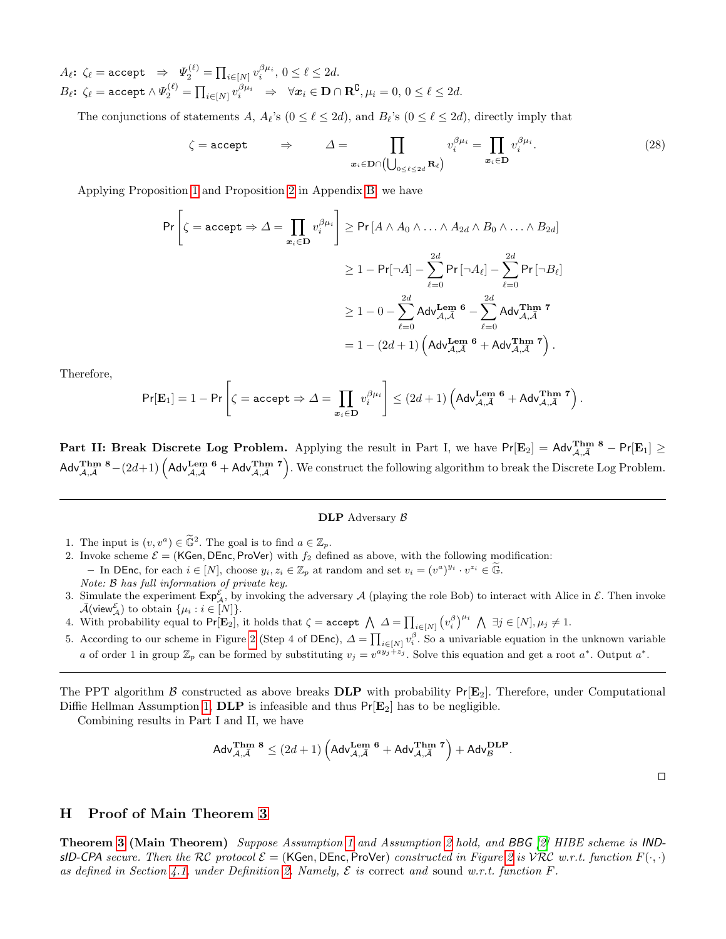$A_\ell\colon\, \zeta_\ell = \texttt{accept} \;\;\Rightarrow\;\; \Psi_2^{(\ell)} = \prod_{i\in[N]} v_i^{\beta\mu_i}, \, 0\leq \ell\leq 2d.$  $B_\ell\colon\thinspace\zeta_\ell=\texttt{accept}\thinspace\wedge\Psi_2^{(\ell)}=\prod_{i\in[N]}v_i^{\beta\mu_i}\quad\Rightarrow\quad \forall\bm{x}_i\in\mathbf{D}\cap\mathbf{R}^\complement,\mu_i=0,\,0\leq\ell\leq 2d.$ 

The conjunctions of statements A,  $A_{\ell}$ 's  $(0 \leq \ell \leq 2d)$ , and  $B_{\ell}$ 's  $(0 \leq \ell \leq 2d)$ , directly imply that

$$
\zeta = \text{accept} \qquad \Rightarrow \qquad \Delta = \prod_{\mathbf{x}_i \in \mathbf{D} \cap \left( \bigcup_{0 \le \ell \le 2d} \mathbf{R}_{\ell} \right)} v_i^{\beta \mu_i} = \prod_{\mathbf{x}_i \in \mathbf{D}} v_i^{\beta \mu_i}.
$$
 (28)

Applying Proposition [1](#page-18-1) and Proposition [2](#page-18-2) in Appendix [B,](#page-18-3) we have

$$
\Pr\left[\zeta = \text{accept} \Rightarrow \Delta = \prod_{x_i \in \mathbf{D}} v_i^{\beta \mu_i}\right] \ge \Pr\left[A \wedge A_0 \wedge \ldots \wedge A_{2d} \wedge B_0 \wedge \ldots \wedge B_{2d}\right]
$$

$$
\ge 1 - \Pr[\neg A] - \sum_{\ell=0}^{2d} \Pr\left[\neg A_{\ell}\right] - \sum_{\ell=0}^{2d} \Pr[\neg B_{\ell}]
$$

$$
\ge 1 - 0 - \sum_{\ell=0}^{2d} \text{Adv}_{\mathcal{A}, \bar{\mathcal{A}}}^{\text{Lem 6}} - \sum_{\ell=0}^{2d} \text{Adv}_{\mathcal{A}, \bar{\mathcal{A}}}^{\text{Thm 7}}
$$

$$
= 1 - (2d + 1) \left(\text{Adv}_{\mathcal{A}, \bar{\mathcal{A}}}^{\text{Len 6}} + \text{Adv}_{\mathcal{A}, \bar{\mathcal{A}}}^{\text{Thm 7}}\right).
$$

Therefore,

$$
\Pr[\mathbf{E}_1] = 1 - \Pr\left[\zeta = \texttt{accept} \Rightarrow \varDelta = \prod_{\mathbf{x}_i \in \mathbf{D}} v_i^{\beta \mu_i} \right] \leq (2d+1) \left(\mathsf{Adv}_{\mathcal{A}, \bar{\mathcal{A}}}^{\mathbf{Lem}} \mathbf{^6} + \mathsf{Adv}_{\mathcal{A}, \bar{\mathcal{A}}}^{\mathbf{Thm}} \mathbf{^7} \right).
$$

Part II: Break Discrete Log Problem. Applying the result in Part I, we have  $Pr[E_2] = Adv_{\mathcal{A},\bar{\mathcal{A}}}^{\text{Thm 8}} - Pr[E_1] \geq$  $\mathsf{Adv}_{\mathcal{A},\bar{\mathcal{A}}}^{\mathbf{Thm}}$   $\mathsf{B} - (2d+1)$   $\left(\mathsf{Adv}_{\mathcal{A},\bar{\mathcal{A}}}^{\mathbf{Lem}}$   $\mathsf{B}^{\mathbf{C}} + \mathsf{Adv}_{\mathcal{A},\bar{\mathcal{A}}}^{\mathbf{Thm}}$   $\mathsf{A}^{\mathbf{C}}\right)$ . We construct the following algorithm to break the Discrete Log Problem.

#### DLP Adversary  $\beta$

- 1. The input is  $(v, v^a) \in \tilde{\mathbb{G}}^2$ . The goal is to find  $a \in \mathbb{Z}_p$ .
- 2. Invoke scheme  $\mathcal{E} = (KGen, DEnc, ProVer)$  with  $f_2$  defined as above, with the following modification: – In DEnc, for each  $i \in [N]$ , choose  $y_i, z_i \in \mathbb{Z}_p$  at random and set  $v_i = (v^a)^{y_i} \cdot v^{z_i} \in \widetilde{\mathbb{G}}$ . Note: B has full information of private key.
- 3. Simulate the experiment  $\mathsf{Exp}_{\mathcal{A}}^{\mathcal{E}}$ , by invoking the adversary  $\mathcal{A}$  (playing the role Bob) to interact with Alice in  $\mathcal{E}$ . Then invoke  $\bar{\mathcal{A}}$ (view $\mathcal{E}_{\mathcal{A}}$ ) to obtain  $\{\mu_i : i \in [N]\}.$
- 4. With probability equal to  $Pr[\mathbf{E}_2]$ , it holds that  $\zeta = \text{accept} \setminus \Delta = \prod_{i \in [N]} (v_i^{\beta})^{\mu_i} \setminus \exists j \in [N], \mu_j \neq 1$ .
- 5. According to our scheme in Figure [2](#page-11-0) (Step 4 of DEnc),  $\Delta = \prod_{i \in [N]} v_i^{\beta}$ . So a univariable equation in the unknown variable a of order 1 in group  $\mathbb{Z}_p$  can be formed by substituting  $v_j = v^{ay_j + z_j}$ . Solve this equation and get a root  $a^*$ . Output  $a^*$ .

The PPT algorithm B constructed as above breaks **DLP** with probability  $Pr[E_2]$ . Therefore, under Computational Diffie Hellman Assumption [1,](#page-6-2) **DLP** is infeasible and thus  $Pr[\mathbf{E}_2]$  has to be negligible.

Combining results in Part I and II, we have

$$
\mathsf{Adv}_{\mathcal{A},\bar{\mathcal{A}}}^{\mathbf{Thm}} \mathsf{B} \leq (2d+1) \left( \mathsf{Adv}_{\mathcal{A},\bar{\mathcal{A}}}^{\mathbf{Lem}} \mathsf{B} + \mathsf{Adv}_{\mathcal{A},\bar{\mathcal{A}}}^{\mathbf{Thm}} \mathsf{7} \right) + \mathsf{Adv}_{\mathcal{B}}^{\mathbf{DLP}}.
$$

 $\Box$ 

### H Proof of Main Theorem [3](#page-12-0)

Theorem [3](#page-12-0) (Main Theorem) Suppose Assumption [1](#page-6-2) and Assumption [2](#page-6-1) hold, and BBG [\[2\]](#page-15-1) HIBE scheme is INDsID-CPA secure. Then the RC protocol  $\mathcal{E} = (\mathsf{KGen}, \mathsf{DEnc}, \mathsf{ProVer})$  constructed in Figure [2](#page-11-0) is  $\mathcal{VRC}$  w.r.t. function  $F(\cdot, \cdot)$ as defined in Section [4.1,](#page-5-1) under Definition [2.](#page-6-3) Namely,  $\mathcal E$  is correct and sound w.r.t. function F.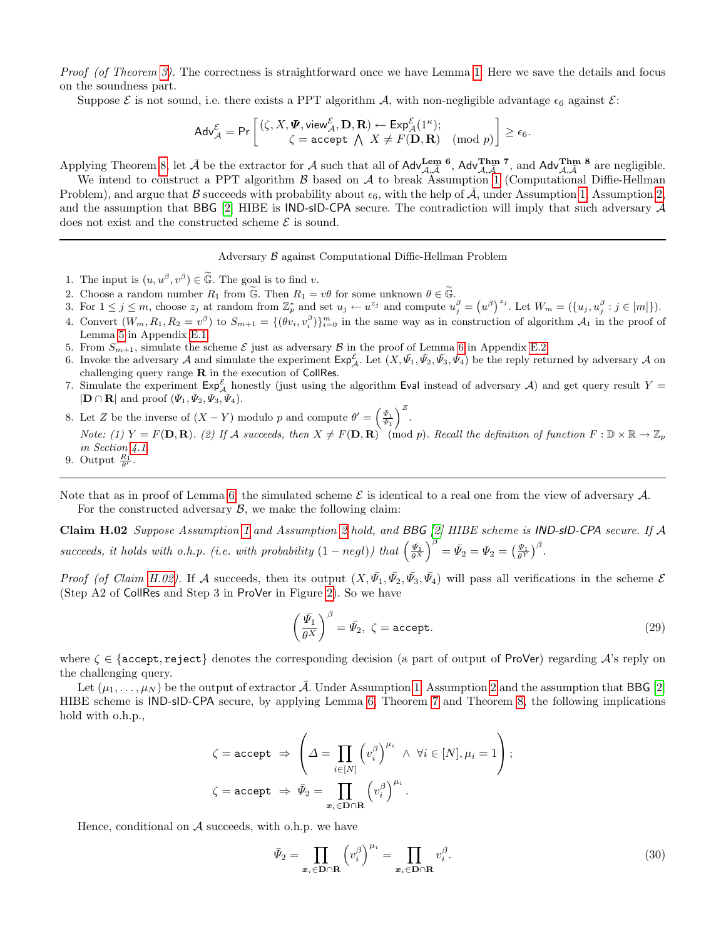Proof (of Theorem [3\)](#page-12-0). The correctness is straightforward once we have Lemma [1.](#page-8-2) Here we save the details and focus on the soundness part.

Suppose  $\mathcal E$  is not sound, i.e. there exists a PPT algorithm  $\mathcal A$ , with non-negligible advantage  $\epsilon_6$  against  $\mathcal E$ :

$$
\mathsf{Adv}^{\mathcal{E}}_{\mathcal{A}}=\mathsf{Pr}\left[\begin{matrix}(\zeta,X,\pmb{\varPsi},\mathsf{view}^{\mathcal{E}}_{\mathcal{A}},\mathbf{D},\mathbf{R})\leftarrow \mathsf{Exp}^{\mathcal{E}}_{\mathcal{A}}(1^{\kappa}); \\ \zeta=\mathsf{accept}\;\; \textstyle\bigwedge\; X\neq F(\mathbf{D},\mathbf{R})\pmod{p}\end{matrix}\right]\geq \epsilon_6.
$$

Applying Theorem [8,](#page-29-0) let  $\bar{\mathcal{A}}$  be the extractor for  $\mathcal{A}$  such that all of  $\mathsf{Adv}_{\mathcal{A},\bar{\mathcal{A}}}^{\mathbf{Lem}}$ ,  $\mathsf{Adv}_{\mathcal{A},\bar{\mathcal{A}}}^{\mathbf{Thm}}$ , and  $\mathsf{Adv}_{\mathcal{A},\bar{\mathcal{A}}}^{\mathbf{Thm}}$ , are negligible.

We intend to construct a PPT algorithm  $\beta$  based on  $\mathcal A$  to break Assumption [1](#page-6-2) (Computational Diffie-Hellman Problem), and argue that B succeeds with probability about  $\epsilon_6$ , with the help of  $\bar{\mathcal{A}}$ , under Assumption [1,](#page-6-2) Assumption [2,](#page-6-1) and the assumption that BBG [\[2\]](#page-15-1) HIBE is  $IND-SID-CPA$  secure. The contradiction will imply that such adversary  $A$ does not exist and the constructed scheme  $\mathcal E$  is sound.

Adversary B against Computational Diffie-Hellman Problem

- 1. The input is  $(u, u^{\beta}, v^{\beta}) \in \widetilde{\mathbb{G}}$ . The goal is to find v.
- 
- 2. Choose a random number  $R_1$  from  $\widetilde{\mathbb{G}}$ . Then  $R_1 = v\theta$  for some unknown  $\theta \in \widetilde{\mathbb{G}}$ .<br>3. For  $1 \leq j \leq m$ , choose  $z_j$  at random from  $\mathbb{Z}_p^*$  and set  $u_j \leftarrow u^{z_j}$  and compute  $u_j^{\beta} = (u^{\beta})^{z_j}$ . Let  $W_m$
- 4. Convert  $(W_m, R_1, R_2 = v^{\beta})$  to  $S_{m+1} = \{(\theta v_i, v_i^{\beta})\}_{i=0}^m$  in the same way as in construction of algorithm  $\mathcal{A}_1$  in the proof of Lemma [5](#page-22-0) in Appendix [E.1.](#page-22-1)
- 5. From  $S_{m+1}$ , simulate the scheme  $\mathcal E$  just as adversary  $\mathcal B$  in the proof of Lemma [6](#page-24-0) in Appendix [E.2.](#page-24-1)
- 6. Invoke the adversary A and simulate the experiment  $\textsf{Exp}^{\mathcal{E}}_{\mathcal{A}}$ . Let  $(X, \bar{\Psi_1}, \bar{\Psi_2}, \bar{\Psi_3}, \bar{\Psi_4})$  be the reply returned by adversary A on challenging query range  $R$  in the execution of CollRes.
- 7. Simulate the experiment  $Exp_{\mathcal{A}}^{\mathcal{E}}$  honestly (just using the algorithm Eval instead of adversary  $\mathcal{A}$ ) and get query result  $Y =$  $|\mathbf{D} \cap \mathbf{R}|$  and proof  $(\Psi_1, \Psi_2, \Psi_3, \Psi_4)$ .
- 8. Let Z be the inverse of  $(X Y)$  modulo p and compute  $\theta' = \left(\frac{\bar{\psi}_1}{\bar{\psi}_1}\right)^Z$ . Note: (1)  $Y = F(\mathbf{D}, \mathbf{R})$ . (2) If A succeeds, then  $X \neq F(\mathbf{D}, \mathbf{R})$  (mod p). Recall the definition of function  $F : \mathbb{D} \times \mathbb{R} \to \mathbb{Z}_p$ in Section [4.1.](#page-5-1)
- 9. Output  $\frac{R_1}{\theta'}$ .

Note that as in proof of Lemma [6,](#page-24-0) the simulated scheme  $\mathcal E$  is identical to a real one from the view of adversary  $\mathcal A$ . For the constructed adversary  $\mathcal{B}$ , we make the following claim:

Claim H.02 Suppose Assumption [1](#page-6-2) and Assumption [2](#page-6-1) hold, and BBG [\[2\]](#page-15-1) HIBE scheme is IND-sID-CPA secure. If A succeeds, it holds with o.h.p. (i.e. with probability  $(1 - negl)$ ) that  $\left(\frac{\bar{\Psi}_1}{\theta^X}\right)^{\beta} = \bar{\Psi}_2 = \Psi_2 = \left(\frac{\Psi_1}{\theta^Y}\right)^{\beta}$ .

Proof (of Claim [H.02\)](#page-31-0). If A succeeds, then its output  $(X, \bar{\Psi_1}, \bar{\Psi_2}, \bar{\Psi_3}, \bar{\Psi_4})$  will pass all verifications in the scheme  $\mathcal E$ (Step A2 of CollRes and Step 3 in ProVer in Figure [2\)](#page-11-0). So we have

<span id="page-31-1"></span><span id="page-31-0"></span>
$$
\left(\frac{\bar{\Psi_1}}{\theta^X}\right)^{\beta} = \bar{\Psi_2}, \ \zeta = \text{accept.}
$$
\n(29)

where  $\zeta \in \{\text{accept}, \text{reject}\}\$  denotes the corresponding decision (a part of output of ProVer) regarding  $\mathcal{A}$ 's reply on the challenging query.

Let  $(\mu_1, \ldots, \mu_N)$  be the output of extractor  $\bar{\mathcal{A}}$ . Under Assumption [1,](#page-6-2) Assumption [2](#page-6-1) and the assumption that BBG [\[2\]](#page-15-1) HIBE scheme is IND-sID-CPA secure, by applying Lemma [6,](#page-24-0) Theorem [7](#page-25-0) and Theorem [8,](#page-29-0) the following implications hold with o.h.p.,

$$
\zeta = \text{accept} \Rightarrow \left(\Delta = \prod_{i \in [N]} \left(v_i^{\beta}\right)^{\mu_i} \wedge \forall i \in [N], \mu_i = 1\right);
$$

$$
\zeta = \text{accept} \Rightarrow \bar{\Psi}_2 = \prod_{x_i \in \text{D} \cap \text{R}} \left(v_i^{\beta}\right)^{\mu_i}.
$$

Hence, conditional on  $A$  succeeds, with o.h.p. we have

 $\mathfrak{g}$ 

<span id="page-31-2"></span>
$$
\bar{\mathbf{\Psi}}_2 = \prod_{\mathbf{x}_i \in \mathbf{D} \cap \mathbf{R}} \left( v_i^{\beta} \right)^{\mu_i} = \prod_{\mathbf{x}_i \in \mathbf{D} \cap \mathbf{R}} v_i^{\beta}.
$$
\n(30)